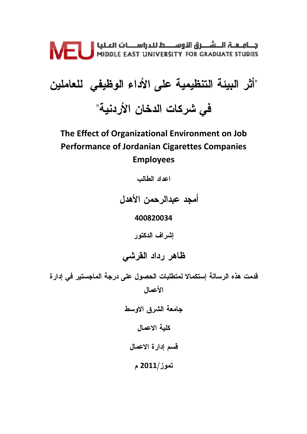



# The Effect of Organizational Environment on Job **Performance of Jordanian Cigarettes Companies Employees**

اعداد الطالب

أمجد عبدالرحمن الأهدل

400820034

إشراف الدكتور

ظاهر رداد القرشى

قدمت هذه الرسالة إستكمالا لمتطلبات الحصول على درجة الماجستير في إدارة الأعمال جامعة الشرق الاوسط كلية الاعمال قسم إدارة الاعمال تموز/2011 م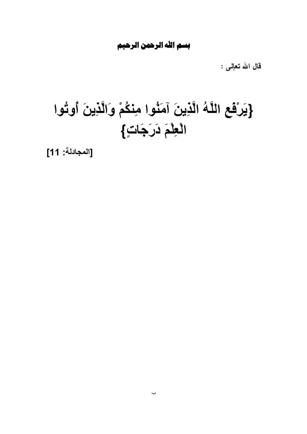# بسم االله الرحمن الرحيم

قال الله تعإلى :

# {يَرْفَعِ اللّهُ الّذِينَ آمَنُوا مِنْكُمْ وَالّذِينَ أُوثُوا اْ َِْ دَرََتٍ**}**

[المجادلة: 11]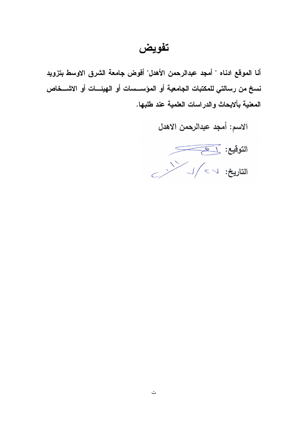# تفويض

أنا الموقع ادناه " أمجد عبدالرحمن الأهدل" أفوض جامعة الشرق الاوسط بتزويد نسخ من رسالتي للمكتبات الجامعية أو المؤســـسات أو الهيئــــات أو الاشــــخاص المعنية بألابحاث والدراسات العلمية عند طلبها.

الاسم: أمجد عبدالرحمن الاهدل

التوقيع: < التاريخ: ١> / المسلم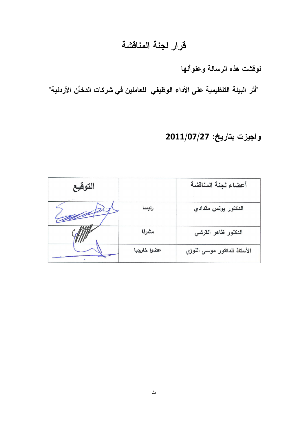# قرار لجنة المناقشة

نوقشت هذه الرسالة وعنوأنها

"أثر البيئة التنظيمية على الأداء الوظيفي للعاملين في شركات الدخأن الأردنية"

# واجيزت بتاريخ: 2011/07/27

| التوقيع |             | أعضاء لجنة المناقشة         |
|---------|-------------|-----------------------------|
|         | رئيسا       | الدكتور يونس مقدادي         |
|         | مشرفا       | الدكلور ظاهر القرشى         |
|         | عضوا خارجيا | الأستاذ الدكتور موسى اللوزي |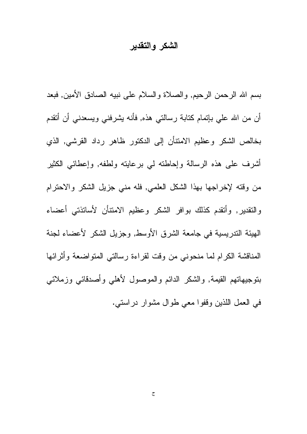# الشكر والتقدير

بسم الله الرحمن الرحيم, والصلاة والسلام على نبيه الصادق الأمين, فبعد أن من الله على بإنمام كنابة رسالتي هذه, فأنه يشرفني ويسعدني أن أنقدم بخالص الشكر وعظيم الامتنأن إلى الدكتور ظاهر رداد القرشي, الذي أشرف على هذه الرسالة وإحاطته لمي برعايته ولطفه, وإعطائي الكثير من وقته لإخراجها بهذا الشكل العلمي, فله مني جزيل الشكر والاحترام والنقدير, وأنقدم كذلك بوافر الشكر وعظيم الامتنأن لأساتذتي أعضاء الهيئة التدريسية في جامعة الشرق الأوسط, وجزيل الشكر لأعضاء لجنة المناقشة الكرام لما منحونبي من وقت لقراءة رسالتي المنواضعة وأثرائها بنوجيهاتهم القيمة, والشكر الدائم والموصول لأهلبي وأصدقائبي وزملائبي في العمل اللذين وقفوا معي طوال مشوار دراستي.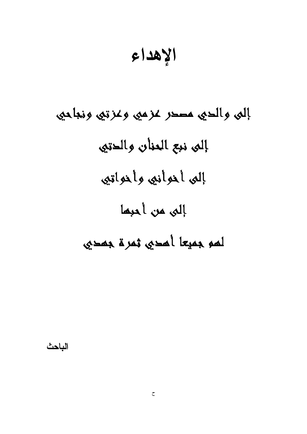$$
\mathcal{L}(\mathcal{M})
$$

# إلىي والدي مصدر عزميي وعزتيى ونجاحيي إلىي نبع المنأن والدتيى إلىي أخوأنبي وأخواتبي إلى من أحبها لمو جميعا أمدي ثمرة جمدي

الباحث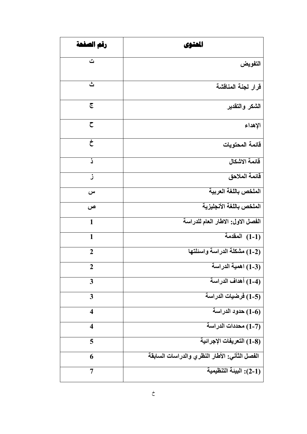| رقم الصفحة                | المتوي                                        |
|---------------------------|-----------------------------------------------|
| ت                         | التفويض                                       |
| ٹ                         | قرار لجنة المناقشة                            |
| $\overline{\mathfrak{C}}$ | الشكر والتقدير                                |
| $\zeta$                   | الإهداء                                       |
| $\dot{\tau}$              | قائمة المحتويات                               |
| ذ                         | قائمة الاشكال                                 |
| ڒ                         | قائمة الملاحق                                 |
| س                         | الملخص باللغة العربية                         |
| ص                         | الملخص باللغة الأنجليزية                      |
| $\mathbf{1}$              | الفصل الأول: الاطار العام للدراسة             |
| $\mathbf{1}$              | $\overline{1-1}$ المقدمة                      |
| $\boldsymbol{2}$          | (2-1) مشكلة الدراسة واسئلتها                  |
| 2                         | (3-1) اهمية الدراسة                           |
| $\mathbf{3}$              | (4-1) أهداف الدراسة                           |
| 3                         | (5-1) فرضيات الدراسة                          |
| $\overline{\mathbf{4}}$   | (1-6) حدود الدراسة                            |
| $\overline{\mathbf{4}}$   | (7-7) محددات الدراسة                          |
| 5                         | (8-1) التعريفات الإجرائية                     |
| 6                         | الفصل الثأني: الأطار النظري والدراسات السابقة |
| 7                         | (1-2): البيئة التنظيمية                       |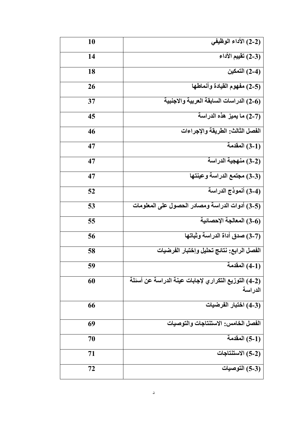| 10 | (2-2) الأداء الوظيفي                                            |
|----|-----------------------------------------------------------------|
| 14 | (3-2) تقييم الأداء                                              |
| 18 | (4-2) التمكين                                                   |
| 26 | (5-2) مفهوم القيادة وأنماطها                                    |
| 37 | (6-2) الدراسات السابقة العربية والاجنبية                        |
| 45 | (7-2) ما يميز هذه الدراسة                                       |
| 46 | الفصل الثالث: الطريقة والإجراءات                                |
| 47 | المقدمة (3-1)                                                   |
| 47 | (3-2) منهجية الدراسة                                            |
| 47 | (3-3) مجتمع الدراسة وعينتها                                     |
| 52 | (3-4) أنموذج الدراسة                                            |
| 53 | (5-3) أدوات الدراسة ومصادر الحصول على المعلومات                 |
| 55 | (6-3) المعالجة الإحصائية                                        |
| 56 | (7-3) صدق أداة الدراسة وثباتها                                  |
| 58 | الفصل الرابع: نتائج تحليل وإختبار الفرضيات                      |
| 59 | (1-4) المقدمة                                                   |
| 60 | (2-4) التوزيع التكراري لإجابات عينة الدراسة عن أسئلة<br>الدراسة |
| 66 | (3-4) اختبار الفرضيات                                           |
| 69 | الفصل الخامس: الاستنتاجات والتوصيات                             |
| 70 | المقدمة (1-5)                                                   |
| 71 | (2-5) الاستنتاجات                                               |
| 72 | (3-5) التوصيات                                                  |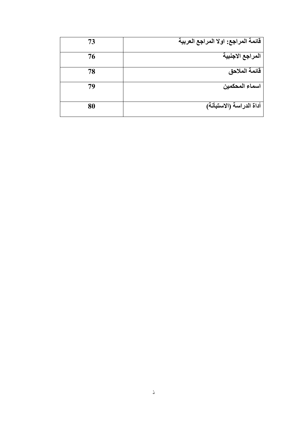| 73 | قائمة المراجع: اولا المراجع العربية |
|----|-------------------------------------|
| 76 | المراجع الاجنبية                    |
| 78 | قائمة الملاحق                       |
| 79 | اسماع المحكمين                      |
| 80 | أداة الدراسة (الاستبأنة)            |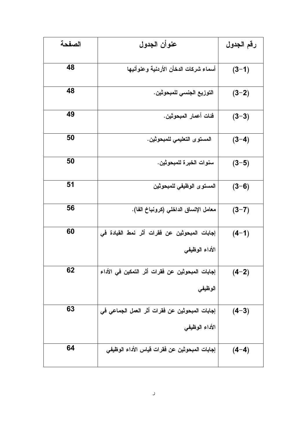| الصفحة | عنوأن الجدول                                                     | رقم الجدول |
|--------|------------------------------------------------------------------|------------|
| 48     | أسماء شركات الدخأن الأردنية وعنوأنيها                            | $(3-1)$    |
| 48     | التوزيع الجنسي للمبحوثين.                                        | $(3-2)$    |
| 49     | فئات أعمار المبحوثين.                                            | $(3-3)$    |
| 50     | المستوى التعليمي للمبحوثين.                                      | $(3-4)$    |
| 50     | سنوات الخبرة للمبحوثين.                                          | $(3-5)$    |
| 51     | المستوى الوظيفى للمبحوثين                                        | $(3-6)$    |
| 56     | معامل الإتساق الداخلي (كرونباخ الفا).                            | $(3-7)$    |
| 60     | إجابات المبحوثين عن فقرات أثر نمط القيادة في<br>الأداء الوظيفي   | $(4-1)$    |
| 62     | إجابات المبحوثين عن فقرات أثر التمكين في الأداء<br>الوظيفي       | $(4-2)$    |
| 63     | إجابات المبحوثين عن فقرات أثر العمل الجماعي في<br>الأداء الوظيفي | $(4-3)$    |
| 64     | إجابات المبحوثين عن فقرات قياس الأداء الوظيفي                    | $(4-4)$    |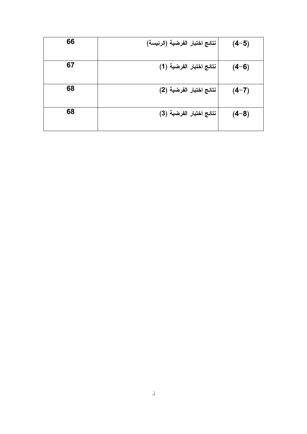| 66 | نتائج اختبار الفرضية (الرئيسة) | $(4-5)$ |
|----|--------------------------------|---------|
| 67 | نتائج اختبار الفرضية (1)       | $(4-6)$ |
| 68 | نتائج اختبار الفرضية (2)       | $(4-7)$ |
| 68 | نتائج اختبار الفرضية (3)       | $(4-8)$ |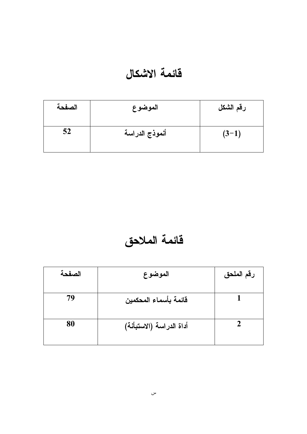فائمة الاشكال

| الصفحة | الموضوع        | رقم الشكل |
|--------|----------------|-----------|
| 52     | أنموذج الدراسة | $(3-1)$   |

فائمة الملاحق

| الصفحة | الموضوع                  | رقم الملحق |
|--------|--------------------------|------------|
| 79     | قائمة بأسماء المحكمين    |            |
| 80     | أداة الدراسة (الاستبأنة) |            |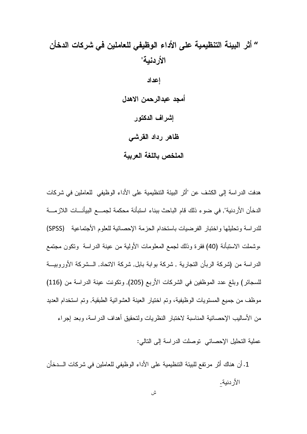# " أثر البيئة التنظيمية على الأداء الوظيفي للعاملين في شركات الدخأن الأردنية" اعداد أمجد عبدالرحمن الاهدل إشراف الدكتور ظاهر رداد القرشى الملخص باللغة العربية

هدفت الدراسة إلى الكشف عن "أثر البيئة التنظيمية على الأداء الوظيفي للعاملين في شركات الدخأن الأردنية", في ضوء ذلك قام الباحث ببناء استبأنة محكمة لجمـــع البيأنــــات اللازمــــة للدر اسة وتحليلها واختبار الفرضيات باستخدام الحزمة الإحصائية للعلوم الأجتماعية (SPSS) ،وشملت الاستبأنة (40) فقرة وذلك لجمع المعلومات الأولية من عينة الدراسة ۖ وتكون مجتمع الدراسة من (شركة الربأن التجارية , شركة بوابة بابل, شركة الاتحاد, الــشركة الأوروبيـــة للسجائر) وبلغ عدد الموظفين في الشركات الأربع (205), ونكونت عينة الدراسة من (116) موظف من جميع المستويات الوظيفية، وتم اختيار العينة العشوائية الطبقية, وتم استخدام العديد من الأساليب الإحصائية المناسبة لاختبار النظريات ولتحقيق أهداف الدراسة، وبعد إجراء

عملية التحليل الإحصائي توصلت الدراسة إلى التالي:

1. أن هناك أثر مرتفع للبيئة التنظيمية على الأداء الوظيفي للعاملين في شركات الـــدخأن الأر دنية.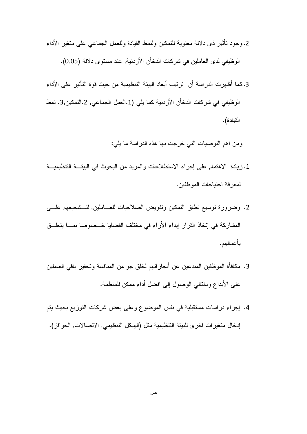- 2.وجود نأثير ذي دلالة معنوية للتمكين ولنمط القيادة وللعمل الجماعي على متغير الأداء الوظيفي لدى العاملين في شركات الدخأن الأردنية, عند مستوى دلالة (0.05).
- 3.كما أظهرت الدراسة أن ترتيب أبعاد البيئة التنظيمية من حيث قوة التأثير على الأداء الوظيفي في شركات الدخأن الأردنية كما يلي (1.العمل الجماعي, 2.التمكين,3. نمط القيادة).

ومن اهم التوصيات التي خرجت بها هذه الدراسة ما يلي:

- 1. زيادة الاهتمام على إجراء الاستطلاعات والمزيد من البحوث في البيئة التنظيميــة لمعر فة احتياجات الموظفين.
- 2. وضرورة نوسيع نطاق النمكين ونفويض الصلاحيات للعـــاملين, لتــشجيعهم علـــي المشاركة في إتخاذ القرار إبداء الأراء في مختلف القضايا خــصوصا بمـــا يتعلـــق بأعمالهم.
- 3. مكافأة الموظفين المبدعين عن أنجازاتهم لخلق جو من المنافسة وتحفيز باقي العاملين على الأبداع وبالتالي الوصول إلى افضل أداء ممكن للمنظمة.
- 4. إجراء دراسات مستقبلية في نفس الموضوع وعلى بعض شركات التوزيع بحيث يتم إدخال متغير ات اخر ي للبيئة التنظيمية مثل (الهيكل التنظيمي, الاتصالات, الحوافز).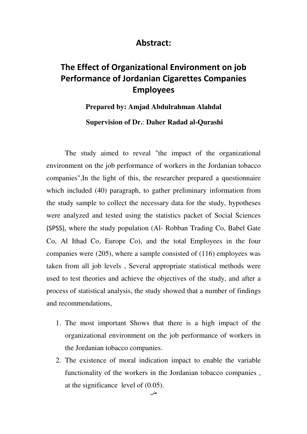### Abstract:

# The Effect of Organizational Environment on job Performance of Jordanian Cigarettes Companies Employees

#### **Prepared by: Amjad Abdulrahman Alahdal**

 **Supervision of Dr.**: **Daher Radad al-Qurashi** 

The study aimed to reveal "the impact of the organizational environment on the job performance of workers in the Jordanian tobacco companies",In the light of this, the researcher prepared a questionnaire which included (40) paragraph, to gather preliminary information from the study sample to collect the necessary data for the study, hypotheses were analyzed and tested using the statistics packet of Social Sciences (SPSS), where the study population (Al- Robban Trading Co, Babel Gate Co, Al Ithad Co, Europe Co), and the total Employees in the four companies were (205), where a sample consisted of (116) employees was taken from all job levels , Several appropriate statistical methods were used to test theories and achieve the objectives of the study, and after a process of statistical analysis, the study showed that a number of findings and recommendations,

- 1. The most important Shows that there is a high impact of the organizational environment on the job performance of workers in the Jordanian tobacco companies.
- 2. The existence of moral indication impact to enable the variable functionality of the workers in the Jordanian tobacco companies , at the significance level of (0.05).

ض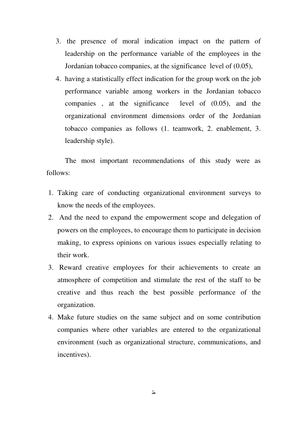- 3. the presence of moral indication impact on the pattern of leadership on the performance variable of the employees in the Jordanian tobacco companies, at the significance level of (0.05),
- 4. having a statistically effect indication for the group work on the job performance variable among workers in the Jordanian tobacco companies , at the significance level of (0.05), and the organizational environment dimensions order of the Jordanian tobacco companies as follows (1. teamwork, 2. enablement, 3. leadership style).

The most important recommendations of this study were as follows:

- 1. Taking care of conducting organizational environment surveys to know the needs of the employees.
- 2. And the need to expand the empowerment scope and delegation of powers on the employees, to encourage them to participate in decision making, to express opinions on various issues especially relating to their work.
- 3. Reward creative employees for their achievements to create an atmosphere of competition and stimulate the rest of the staff to be creative and thus reach the best possible performance of the organization.
- 4. Make future studies on the same subject and on some contribution companies where other variables are entered to the organizational environment (such as organizational structure, communications, and incentives).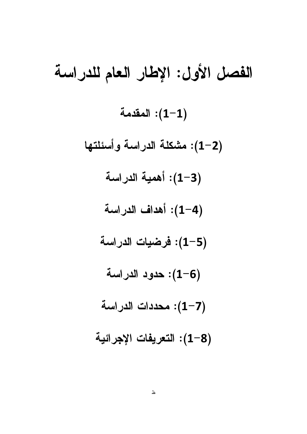# الفصل الأول: الإطار العام للدراسة المقدمة:  $(1-1)$ (2-1): مشكلة الدراسة وأسئلتها (3–1): أهمية الدراسة (4–1): أهداف الدراسة (5–1): فرضيات الدراسة (1–6): حدود الدراسة (2-7): محددات الدراسة (1-8): التعريفات الإجرائية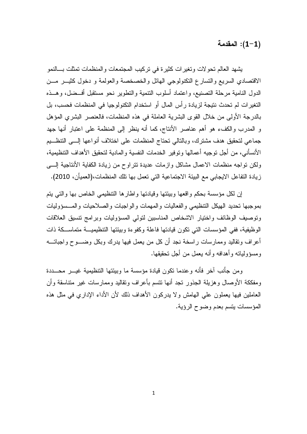المقدمة:  $(1-1)$ 

يشهد العالم تحولات وتغيرات كثيرة في تركيب المجتمعات والمنظمات تمثلت بسالنمو الاقتصادي السريع والتسارع التكنولوجي الهائل والخصخصة والعولمة و دخول كثيـــر مـــن الدول النامية مرحلة التصنيع، واعتماد أسلوب التنمية والتطوير نحو مستقبل أفسضل، وهسذه النَّغيرِ ات لم تحدث نتيجة لزيادة ر أس المال أو استخدام النِّكنولوجيا في المنظمات فحسب، بل بالدرجة الأولى من خلال القوى البشرية العاملة في هذه المنظمات، فالعنصر البشرى المؤهل و المدرب والكفء هو أهم عناصر الأنتاج، كما أنه ينظر إلى المنظمة على اعتبار أنها جهد جماعي لتحقيق هدف مشترك، وبالتالي تحتاج المنظمات على اختلاف أنواعها إلـــي التنظـــيم الأنسأني، من أجل توجيه أعمالها وتوفير الخدمات النفسية والمادية لتحقيق الأهداف التتظيمية، ولكن نواجه منظمات الاعمال مشاكل وازمات عديدة نتراوح من زيادة الكفاية الأنتاجية إلــــي زيادة النفاعل الإيجابي مع البيئة الاجتماعية التي تعمل بها تلك المنظمات،(العميأن، 2010).

إن لكل مؤسسة بحكم وإقعها وبيئتها وقيادتها وإطارها التنظيمي الخاص بها والتي يتم بموجبها تحديد الهيكل التنظيمي والفعاليات والمهمات والواجبات والصلاحيات والمسسؤوليات وتوصيف الوظائف واختيار الاشخاص المناسبين لتولى المسؤوليات وبرامج تتسيق العلاقات الوظيفية، ففي المؤسسات التي تكون قيادتها فاعلة وكفوءة وبيئتها التنظيميـــة متماســـكة ذات أعراف ونقاليد وممارسات راسخة نجد أن كل من يعمل فيها يدرك وبكل وضـــوح واجباتـــه ومسؤولياته وأهدافه وأنه يعمل من أجل تحقيقها.

ومن جأنب آخر فأنه و عندما نكون قبادة مؤسسة ما وببئتها التنظيمية غبــر محـــددة ومفككة الأوصال وهزيلة الجذور تجد أنها نتسم بأعراف ونقاليد وممارسات غير متناسقة وأن العاملين فيها يعملون على الهامش ولا يدركون الأهداف ذلك لأن الأداء الإداري في مثل هذه المؤسسات يتسم بعدم وضوح الرؤية.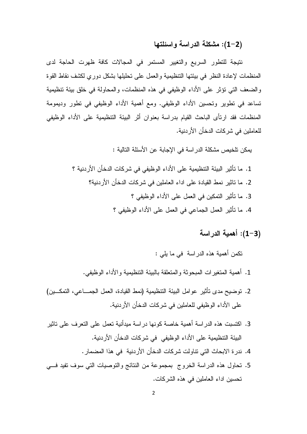## (2-1): مشكلة الدر اسة واسئلتها

نتيجة للتطور السريع والتغيير المستمر في المجالات كافة ظهرت الحاجة لدى المنظمات لإعادة النظر في بيئتها التنظيمية والعمل على تحليلها بشكل دوري لكشف نقاط القوة والضعف التي تؤثِّر على الأداء الوظيفي في هذه المنظمات، والمحاولة في خلق بيئة تنظيمية تساعد في تطوير وتحسين الأداء الوظيفي. ومع أهمية الأداء الوظيفي في تطور وديمومة المنظمات فقد ارتأى الباحث القيام بدراسة بعنوان أثر البيئة التنظيمية على الأداء الوظيفي للعاملين في شركات الدخأن الأردنية.

يمكن تلخيص مشكلة الدراسة في الإجابة عن الأسئلة التالية :

- 1. ما تأثير البيئة التنظيمية على الأداء الوظيفي في شركات الدخأن الأردنية ؟ 2. ما تاثير نمط القيادة على اداء العاملين في شركات الدخأن الأردنية؟ 3. ما تأثير التمكين في العمل على الأداء الوظيفي ؟ 4. ما تأثير العمل الجماعي في العمل على الأداء الوظيفي ؟
	- (3–1): أهمية الدراسة

نكمن أهمية هذه الدراسة ً في ما يلي :

- 1. أهمية المتغيرات المبحوثة والمتعلقة بالبيئة التنظيمية والأداء الوظيفي.
- 2. نوضيح مدى تأثير عوامل البيئة النتظيمية (نمط القيادة، العمل الجمـــاعي، النمكـــين) على الأداء الوظيفي للعاملين في شركات الدخأن الأردنية.
- 3. اكتسبت هذه الدر اسة أهمية خاصة كونها در اسة مبدأنية تعمل على التعر ف على تاثير البيئة التنظيمية على الأداء الوظيفي في شركات الدخأن الأردنية.
	- 4. ندر ة الإبحاث التي تناولت شركات الدخأن الأردنية في هذا المضمار .
- 5. نحاول هذه الدراسة الخروج بمجموعة من النتائج والتوصيات التي سوف نفيد في تحسين اداء العاملين في هذه الشركات.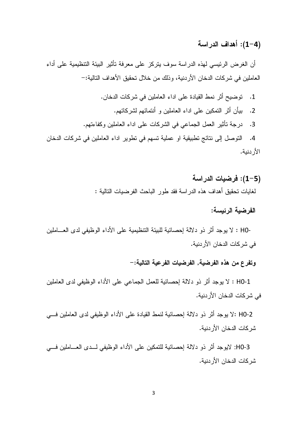# (4–1): أهداف الدراسة

أن الغرض الرئيسي لهذه الدراسة سوف يتركز على معرفة تأثير البيئة التنظيمية على أداء العاملين في شركات الدخان الأردنية، وذلك من خلال تحقيق الأهداف التالية:–

توضيح أثر نمط القيادة على اداء العاملين في شركات الدخان.  $\cdot$ 1 2. بيأن أثر التمكين على اداء العاملين و أنتمائهم لشركاتهم. 3. درجة تأثير العمل الجماعي في الشركات على اداء العاملين وكفاءتهم.

4. النوصل إلى نتائج تطبيقية او عملية تسهم في تطوير اداء العاملين في شركات الدخان الأر دنية.

> (5–1): فرضيات الدراسة لغايات تحقيق أهداف هذه الدراسة فقد طور الباحث الفرضيات التالية :

### الفرضية الرئيسة:

-H0 : لا يوجد أثر ذو دلالة إحصائية للبيئة النتظيمية على الأداء الوظيفي لدى العــــاملين في شركات الدخان الأردنية.

### وتفرع من هذه الفرضية, الفرضيات الفرعية التالية:–

H0-1 : لا يوجد أثر ذو دلالة إحصائية للعمل الجماعي على الأداء الوظيفي لدى العاملين في شر كات الدخان الأر دنبة.

2-H0 :لا بوجد أثر ذو دلالة إحصائية لنمط القيادة على الأداء الوظيفي لدى العاملين فـــي شر كات الدخان الأر دنبة.

H0-3: لايوجد أثر ذو دلالة إحصائية للتمكين على الأداء الوظيفي لـــدى العــــاملين فـــي شر كات الدخان الأر دنية.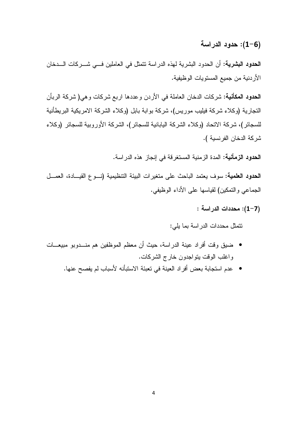(1-6): حدود الدراسة

**الحدود البشرية:** أن الحدود البشرية لهذه الدر اسة نتمثل في العاملين فـــي شـــركات الــــدخان الأردنية من جميع المستويات الوظيفية.

**الحدود المكأنية:** شركات الدخان العاملة في الأردن وعددها اربع شركات وهي( شركة الربأن النجارية (وكلاء شركة فيليب موريس)، شركة بوابة بابل (وكلاء الشركة الامريكية البريطأنية للسجائر )، شركة الاتحاد (وكلاء الشركة اليابانية للسجائر )، الشركة الأوروبية للسجائر (وكلاء شركة الدخان الفرنسية ).

**الحدود الزمأنية:** المدة الزمنية المستغرقة في إنجاز هذه الدر اسة.

**الحدود العلمية:** سوف يعتمد الباحث على متغيرات البيئة التنظيمية (نـــوع القيـــادة، العمـــل الجماعي والنمكين) لقياسها على الأداء الوظيفي.

(2-7): محددات الدراسة :

نتمثل محددات الدراسة بما يلي:

- ضيقٍ وقت أفراد عينة الدراسة، حيث أن معظم الموظفين هم منــدوبو مبيعـــات و اغلب الوقت بنو اجدون خارج الشركات.
	- عدم استجابة بعض أفراد العينة في تعبئة الاستبأنه لأسباب لم يفصح عنها.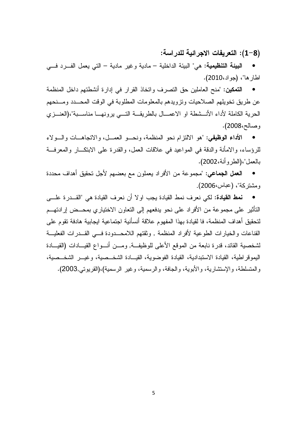(8–1): التعريفات الاجرائية للدراسة:

ا**لبيئة التنظيمية:** هي" البيئة الداخلية – مادية وغير مادية – التي يعمل الفـــرد فـــي اطار ها"، (جو اد،2010).

التمكين: "منح العاملين حق التصرف واتخاذ القرار في إدارة أنشطتهم داخل المنظمة عن طريق تخويلهم الصلاحيات ونزويدهم بالمعلومات المطلوبة في الوقت المحـــدد ومـــنحهم الحرية الكاملة لأداء الأنـــشطة او الاعمــــال بالطريقـــة النــــى برونهـــا مناســـبة"،(العنـــزي وصالح،2008).

الأداع الوظيفي: "هو الالتزام نحو المنظمة، ونحبو العمـــل، والاتجاهـــات والـــولاء للرؤساء، والامأنة والدقة في المواعيد في علاقات العمل، والقدرة على الابتكـــار والمعرفـــة بالعمل"،(الطروأنة،2002).

ا**لنَّعمل الجماعي:** "مجموعة من الأفراد يعملون مع بعضهم لأجل تحقيق أهداف محددة ومشتركة"، (عباس،2006).

نمط القيادة: لكي نعرف نمط القيادة يجب اولا أن نعرف القيادة هي "القــدرة علـــي التأثير على مجموعة من الأفراد على نحو يدفعهم إلى النعاون الاختياري بمحــض إرادتهــم لتحقيق أهداف المنظمة، فا لقيادة بهذا المفهوم علاقة أنسأنية اجتماعية ايجابية هادفة تقوم على القناعات والخيار ات الطو عية لأفر اد المنظمة , وثقتهم اللامحـــدودة فـــي القـــدر ات الفعليـــة لشخصية القائد، قدرة نابعة من الموقع الأعلى للوظيفة, ومـــن أنـــواع القيـــادات (القيـــادة اليموقر اطية، القيادة الاستبدادية، القيادة الفوضوية، القيـــادة الشخـــصية، وغيـــر الشخــصية، والمتسلطة، والإستشارية، والأبوية، والجافة، والرسمية، وغير الرسمية)،(القريوتي,2003).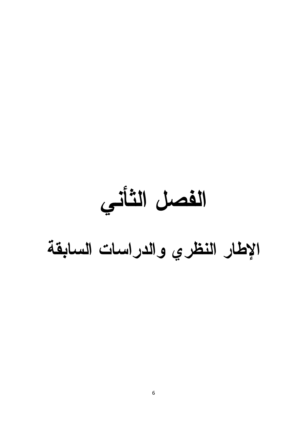الفصل الثأني الإطار النظري والدراسات السابقة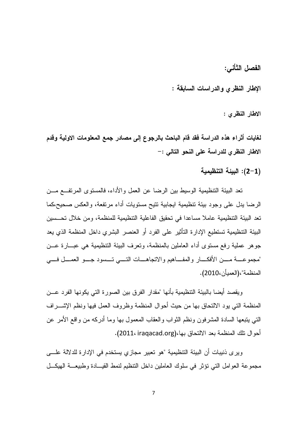الفصل الثأني:

الإطار النظرى والدراسات السابقة :

الاطار النظرى :

لغايات أثراء هذه الدراسة فقد قام الباحث بالرجوع إلى مصادر جمع المعلومات الاولية وقدم الاطار النظري للدراسة على النحو التالي :-

(1–2): البيئة التنظيمية

تعد البيئة التنظيمية الوسيط بين الرضا عن العمل والأداء، فالمستوى المرتفـــع مـــن الرضا بدل على وجود ببئة نتظيمية ايجابية نتيح مستويات أداء مرتفعة، والعكس صحيح،كما تعد البيئة التنظيمية عاملا مساعدا في تحقيق الفاعلية التنظيمية للمنظمة، ومن خلال تحسسين البيئة التنظيمية تستطيع الإدار ة التأثير ًعلى الفرد أو العنصر البشر ي داخل المنظمة الذي يعد جوهر عملية رفع مستوى أداء العاملين بالمنظمة، وتعرف البيئة التنظيمية هي عبـــارة عـــن "مجموعــــة مــــن الأفكــــار والمفــــاهيم والاتجاهــــات التــــى تــــسود جــــو العمــــل فــــى المنظمة"،(العمبأن،2010).

ويقصد أيضا بالببيئة التنظيمية بأنها "مقدار الفرق بين الصورة التي يكونها الفرد عـــن المنظمة التي بود الالتحاق بها من حيث أحوال المنظمة وظروف العمل فيها ونظم الإشــــراف التبي يتبعها السادة المشرفون ونظم الثواب والعقاب المعمول بها وما أدركه من واقع الأمر عن أحو ال تلك المنظمة بعد الالتحاق بها،(2011، iraqacad.org).

وير ِي ذنيبات أن البيئة التنظيمية "هو تعبير مجاز ِي يستخدم في الإدار ة للدلالة علــــي مجموعة العوامل التي نؤثر في سلوك العاملين داخل النتظيم لنمط القيــادة وطبيعـــة الهيكـــل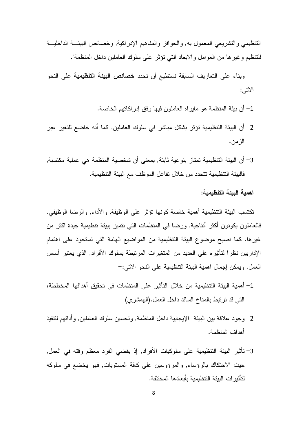التنظيمي والتشريعي المعمول به, والحوافز والمفاهيم الإدراكية, وخصائص البيئــــة الداخليـــة للتنظيم وغيرها من العوامل والابعاد النبي نؤثر على سلوك العاملين داخل المنظمة".

وبناء على التعاريف السابقة نستطيع أن نحدد **خصائص البيئة التنظيمية** على النحو الاتبي:

- 1– أن بيئة المنظمة هو مايراه العاملون فيها وفق إدراكاتهم الخاصة.
- 2– أن البيئة التنظيمية تؤثر بشكل مباشر في سلوك العاملين, كما أنه خاضع للتغير عبر الزمن.
- 3– أن البيئة التنظيمية تمتاز بنو عية ثابتة, بمعنى أن شخصية المنظمة هي عملية مكتسبة, فالبيئة التنظيمية تتحدد من خلال تفاعل الموظف مع البيئة التنظيمية.

اهمية البيئة التنظيمية:

تكتسب البيئة التنظيمية أهمية خاصة كونها تؤثر ً على الوظيفة, والأداء, والرضا الوظيفي. فالعاملون يكونون أكثر أنتاجية, ورضا في المنظمات التي نتميز ببيئة نتظيمية جيدة اكثر من غيرِها. كما اصبح موضوع البيئة التنظيمية من المواضيع الهامة التي تستحوذ على اهتمام الإداريين نظرا لتأثيره على العديد من المتغيرات المرتبطة بسلوك الأفراد, الذي يعتبر أساس العمل. ويمكن إجمال اهمية البيئة النتظيمية على النحو الاتبي:-

- 1– أهمية البيئة التنظيمية من خلال التأثير على المنظمات في تحقيق أهدافها المخططة، التبي قد نرتبط بالمناخ السائد داخل العمل.(الهمشري)
- 2– و جو د علاقة بين البيئة الإيجابية داخل المنظمة, و تحسين سلوك العاملين, و أدائهم لنتفيذ أهداف المنظمة.
- 3– تأثير البيئة التنظيمية على سلوكيات الأفراد, إذ يقضي الفرد معظم وقته في العمل, حيث الاحتكاك بالرؤساء, والمرؤوسين على كافة المستويات, فهو يخضع في سلوكه لتأثير ات البيئة التنظيمية بأبعادها المختلفة.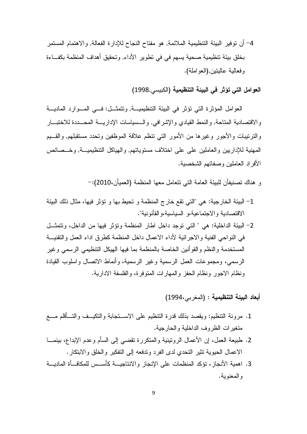4– أن توفير البيئة التنظيمية الملائمة, هو مفتاح النجاح للإدارة الفعالة, والاهتمام المستمر بخلق بيئة تنظيمية صحية يسهم في في تطوير الأداء, وتحقيق أهداف المنظمة بكفـــاءة وفعالية عاليتين,(العو املة).

العوامل التي تؤثر في البيئة التنظيمية (الكبيسي,1998)

العوامل المؤثرة التي نؤثر في البيئة النتظيميــة, وتتمثــل: فـــي المـــوارد الماديـــة والاقتصادية المتاحة, والنمط القيادي والإشرافي, والسسياسات الإداريـــة المحـــددة للاختبـــار والنزنيبات والأجور وغيرها من الأمور التي نتظم علاقة الموظفين وتحدد مستقبلهم, والقسيم المهنية للإداريين والعاملين على على اختلاف مستوياتهم, والهياكل النتظيميــة, وخــصائص الأفراد العاملين وصفاتهم الشخصية.

و هناك تصنيفأن للبيئة العامة التي تتعامل معها المنظمة (العميأن،2010):-

- 1– البيئة الخارجية: هي "التي تقع خارج المنظمة و تحيط بها و تؤثر فيها، مثال ذلك البيئة الاقتصادية والاجتماعية،و السياسية،والقأنونية".
- 2– البيئة الداخلية: هي " التي توجد داخل اطار المنظمة وتؤثر فيها من الداخل، وتتمثَّــل في النواحي الفنية والاجرائية لأداء الاعمال داخل المنظمة كطرق اداء العمل والنقنيـــة المستخدمة والنظم والقوأنين الخاصة بالمنظمة بما فيها الهيكل التنظيمي الرسمي وغير الرسمي، ومجموعات العمل الرسمية وغير الرسمية، وأنماط الاتصال واسلوب القيادة ونظام الإجور ونظام الحفز والمهارات المتوفرة، والفلسفة الإدارية.

أبعاد البيئة التنظيمية : (المغربي،1994)

- 1. مرونة التنظيم: ويقصد بذلك قدرة النتظيم على الاســـتجابة والنكيـــف والتـــأقلم مــــع متغير ات الظر وف الداخلية و الحار جية.
- 2. طبيعة العمل، إن الأعمال الرونينية والمنكررة نقضبي إلى السأم وعدم الإبداع، ببنمـــا الاعمال الحيوية نثير التحدي لدى الفرد وندفعه إلى النفكير والخلق والابتكار.
- 3. اهمية الأنجاز ، تؤكد المنظمات على الإنجاز والانتاجيـــة كأســـس للمكافـــأة الماديـــة و المعنو بـة.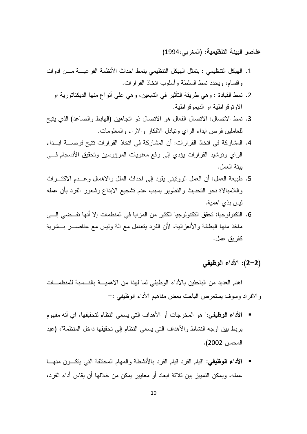عناصر البيئة التنظيمية: (المغربي،1994)

- 1. الهيكل النتظيمي : يتمثِّل الهيكل التنظيمي بنمط احداث الأنظمة الفر عيسة مسن ادو ات و اقسام، ويحدد نمط السلطة و أسلوب انتخاذ القرارات.
	- 2. نمط القيادة : وهي طريقة التأثير في التابعين، وهي على أنواع منها الديكتاتورية او الاونوقراطية او الديموقراطية.
- 3. نمط الاتصال: الاتصال الفعال هو الاتصال ذو اتجاهين (الهابط والصاعد) الذي يتيح للعاملين فرص ابداء الراي ونبادل الافكار والاراء والمعلومات.
- 4. المشاركة في اتخاذ القرارات: أن المشاركة في اتخاذ القرارات تتيح فرصــــة ابـــداء الراي وترشيد القرارات يؤدي إلى رفع معنويات المرؤوسين وتحقيق الأنسجام فسي بيئة العمل.
- 5. طبيعة العمل: أن العمل الروتيني يقود إلى احداث الملل والاهمال وعـــدم الاكتـــراث واللامبالاة نحو النحديث والنطوير بسبب عدم نشجيع الابداع وشعور الفرد بأن عمله ليس بذي اهمية.
- 6. التكنولوجيا: تحقق التكنولوجيا الكثير من المزايا في المنظمات إلا أنها تفــضـي إلـــي ماخذ منها البطالة والأنعزالية، لأن الفرد يتعامل مع الة وليس مع عناصــــر بـــشرية كفر بق عمل.

## (2-2): الأداء الوظيفي

اهتم العديد من الباحثين بالأداء الوظيفي لما لهذا من الاهميــــة بالنــــسبة للمنظمــــات و الإفر اد وسوف يستعر ض الباحث بعض مفاهيم الأداء الوظيفي :–

- الأداع الوظيفي:" هو المخرجات أو الأهداف التي يسعى النظام لتحقيقها، اي أنه مفهوم يربط بين اوجه النشاط والأهداف التي يسعى النظام إلى تحقيقها داخل المنظمة"، (عبد المحسن 2002).
- الأداء الوظيفي: "قيام الفرد قيام الفرد بالأنشطة والمهام المختلفة التبي يتكـون منهــا عمله، ويمكن التمبيز بين ثلاثة ابعاد أو معايير يمكن من خلالها أن يقاس أداء الفرد،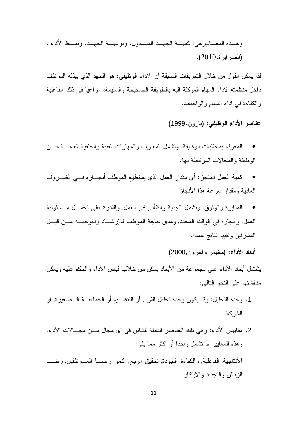وهــذه المعـــابيرهي: كميـــة الجهــد المبـــذول، ونوعيـــة الجهــد، ونمـــط الأداء"، (الصر ابر ة،2010).

لذا بمكن القول من خلال النعر بفات السابقة أن الأداء الوظبفي: هو الجهد الذي ببذله الموظف داخل منظمته لاداء المهام الموكلة اليه بالطريقة الصحيحة والسليمة، مراعيا في ذلك الفاعلية والكفاءة في اداء المهام والواجبات.

عناصر الأداء الوظيفي: (بارون.1999)

- المعرفة بمنطلبات الوظيفة: ونشمل المعارف والمهارات الفنية والخلفية العامــــة عـــن الوظيفة والمجالات المر تبطة بها.
- كمية العمل المنجز : أي مقدار العمل الذي يستطيع الموظف أنجــــاز ه فــــى الظـــــر و ف  $\bullet$ العادية ومقدار سرعة هذا الأنجاز .
- المثابرة والوثوق: ونتنمل الجدية والنفأني في العمل, والقدرة على نحمــل مـــسئولية  $\bullet$ العمل, وأنجازه في الوقت المحدد, ومدى حاجة الموظف للإرشـــاد والنوجيـــه مـــن قبـــل المشرفين ونقييم نتائج عملة.

أبعاد الأداء: (مخيمر واخرون,2000)

يشتمل أبعاد الأداء على مجموعة من الأبعاد بمكن من خلالها قياس الأداء والحكم عليه ويمكن مناقشتها على النحو التالي:

- 1. وحدة التحليل: وقد يكون وحدة تحليل الفرد, أو النتظـــيم أو الجماعـــة الـــصغيرة, او الشر كة.
- 2. مقاييس الأداء: و هي تلك العناصر القابلة للقياس في اي مجال مـــن مجــــالات الأداء, وهذه المعايير قد نشمل واحدا أو اكثر مما يلبي: الأنتاجية, الفاعلية, والكفاءة, الجودة, تحقيق الربح, النمو, رضــــا المـــوظفين, رضــــا الز بائن و النجديد و الابتكار .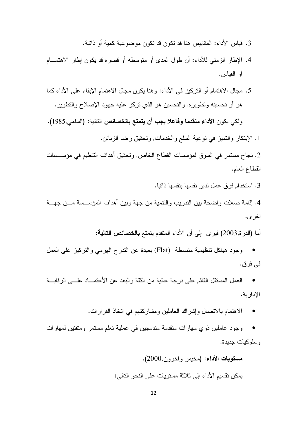- 3. قياس الأداء: المقاييس هنا قد نكون قد نكون موضوعية كمية أو ذانية.
- 4. الإطار الزمني للأداء: أن طول المدى أو متوسطه أو قصر ه قد يكون إطار الاهتمـــام أو القياس.
- 5. مجال الاهتمام أو النركيز في الأداء: وهنا يكون مجال الاهتمام الإبقاء على الأداء كما هو أو تحسينه وتطويره, والتحسين هو الذي نركز عليه جهود الإصلاح والتطوير.

ولكي يكون الأداء م**تقدما وفاعلا يجب أن يتمتع بالخصائص** التالية: (السل*مي,*1985).

1. الإبتكار والنميز في نوعية السلع والخدمات, وتحقيق رضا الزبائن.

2. نجاح مستمر ٍ في السو ق لمؤسسات القطاع الخاص, وتحقيق أهداف التنظيم في مؤســسات القطاع العام.

3. استخدام فرق عمل تدير نفسها بنفسها ذاتيا.

4. إقامة صلات واضحة بين الندريب والنتمية من جهة وبين أهداف المؤســسة مـــن جهـــة اخر ی.

أما (الدر ة,2003) فير ي إلى أن الأداء المنقدم يتمتع **بالخصائص التالية:** 

وجود هياكل تنظيمية منبسطة (Flat) بعيدة عن الندرج الهرمي والنركيز على العمل في فرق.

العمل المسنقل القائم على درجة عالية من النقة والبعد عن الأعتمـــاد علـــي الرفابـــة الإدارية.

> الاهتمام بالاتصال وإشراك العاملين ومشاركتهم في اتخاذ القرارات.  $\bullet$

وجود عاملين ذوي مهارات منقدمة مندمجين في عملية تعلم مستمر ومتقنين لمهارات  $\bullet$ و سلو کيات جديدة.

> مستويات الأداء: (مخيمر واخرون,2000). بِمكن نقسبِم الأداء إلى ثلاثة مسنويات على النحو التالي: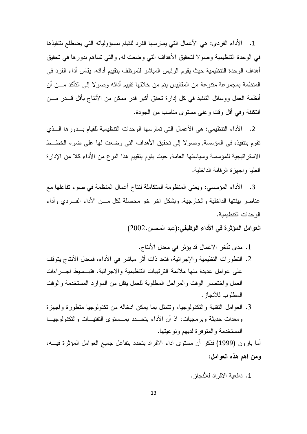1. الأداء الفردي: هي الأعمال التي يمارسها الفرد للقيام بمسؤولياته التي يضطلع بتنفيذها في الوحدة التنظيمية وصو لا لتحقيق الأهداف التي وضعت له, والتي تساهم بدور ها في تحقيق أهداف الوحدة التنظيمية حيث يقوم الرئيس المباشر للموظف بتقييم أدائه. يقاس أداء الفرد في المنظمة بمجموعة منتوعة من المقابيس بتم من خلالها نقيبم أدائه وصولا إلى التأكد مـــن أن أنظمة العمل ووسائل التنفيذ في كل إدارة تحقق أكبر قدر ممكن من الأنتاج بأقل قـــدر مـــن النكلفة وفي أقل وقت وعلى مستوى مناسب من الجودة.

2. الأداء التنظيمي: هي الأعمال التي تمارسها الوحدات التنظيمية للقيام بـــدورها الـــذي تقوم بتنفيذه في المؤسسة, وصولا إلى تحقيق الأهداف التي وضعت لها على ضوء الخطــط الاسترانتيجية للمؤسسة وسياستها العامة, حيث يقوم بتقييم هذا النوع من الأداء كلا من الإدارة العلبا واجهز ة الر قابة الداخلية.

3. الأداء المؤسسي: ويعني المنظومة المتكاملة لنتاج أعمال المنظمة في ضوء تفاعلها مع عناصر بيئتها الداخلية والخارجية. وبشكل اخر خو محصلة لكل مـــن الأداء الفـــردى وأداء الوحدات التتظيمية.

العوامل المؤثِّرة في الأداء الوظيفي:(عبد المحسن،2002)

- 1. مدى تأخر الاعمال قد يؤثر في معدل الأنتاج.
- 2. التطورات التظيمية والإجرائية، فتعد ذات أثر مباشر في الأداء، فمعدل الأنتاج بتوقف على عوامل عديدة منها ملائمة الترنيبات التنظيمية والاجرائية، فتبـــسيط اجــــراءات العمل واختصار الوقت والمراحل المطلوبة للعمل يقلل من الموارد المستخدمة والوقت المطلوب للأنجاز .
- 3. العوامل النقنية والنكنولوجيا، ونتمثل بما يمكن ادخاله من نكنولوجيا منطورة واجهزة ومعدات حدبثة وبر مجبات، اذ أن الأداء بتحـــدد بمــستو ي التقنبـــات و التكنولوجيـــا المستخدمة والمتوفر ة لدبهم ونو عبتها.

أما بارون (1999) فذكر أن مستوى اداء الافراد يتحدد بتفاعل جميع العوامل المؤثرة فيسه، ومن اهم هذه العوامل:

1. دافعية الإفر اد للأنجاز .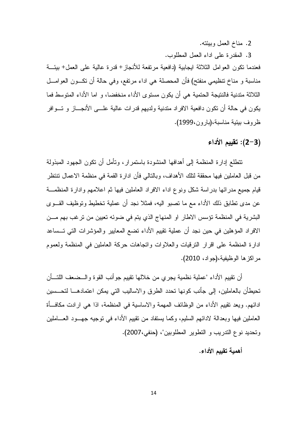2. مناخ العمل وبيئته.

3. المقدر ة على اداء العمل المطلوب.

فعندما نكون العوامل الثلاثة ابجابية (دافعية مرتفعة للأنجاز+ قدرة عالية على العمل+ بيئــة مناسبة و مناخ نتظيمي منفتح) فأن المحصلة هي اداء مرتفع، وفي حالة أن نكـــون العوامـــل الثلاثة متدنية فالنتيجة الحتمية هي أن يكون مستوى الأداء منخفضا، و اما الأداء المتوسط فما يكون في حالة أن نكون دافعية الافراد مندنية ولديهم قدرات عالية علـــي الأنجـــاز و تـــوافر ظر وف بيئية مناسبة،(بارون،1999).

# (3–2): تقييم الأداء

تتطلع إدارة المنظمة إلى أهدافها المنشودة باستمرار، وتأمل أن تكون الجهود المبذولة من قبل العاملين فيها محققة لنلك الأهداف، وبالنالي فأن ادارة القمة في منظمة الاعمال تنتظر قيام جميع مدر ائها بدر اسة شكل ونوع اداء الافر اد العاملين فيها ثم اعلامهم وادارة المنظمـــة عن مدى نطابق ذلك الأداء مع ما نصبو اليه، فمثلا نجد أن عملية تخطيط وتوظيف القـــوى البشرية في المنظمة نؤسس الاطار او المنهاج الذي يتم في ضوئه تعيين من نرغب بهم مـــن الافراد المؤهلين في حين نجد أن عملية نقييم الأداء تضم المعايير والمؤشرات التي تـــساعد ادار ۃ المنظمة علے اقر ار التر قيات و العلاو ات و اتجاهات حرکة العاملين في المنظمة ولعمو م مر اكز ها الوظيفية، (جو اد، 2010).

أن نقييم الأداء "عملية نظمية يجرى من خلالها نقييم جوأنب القوة والـــضعف اللتـــأن تحيطأن بالعاملين، إلى جأنب كونها تحدد الطرق والاساليب التي يمكن اعتمادهـــا لتحـــسين ادائهم. ويعد نقيبِم الأداء من الوظائف المهمة والاساسية في المنظمة، اذا هي ارادت مكافـــأة العاملين فيها وبعدالة لادائهم السليم، وكما يستفاد من نقييم الأداء في نوجيه جهـــود العــــاملين وتحديد نوع التدريب و التطوير المطلوبين"، (حنفي،2007).

أهمية تقييم الأداء.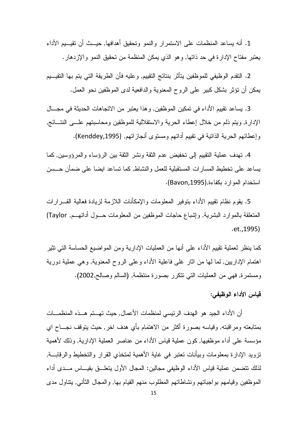1. أنه يساعد المنظمات على الاستمر ار والنمو وتحقيق أهدافها, حيــث أن تقيــيم الأداء يعتبر مفتاح الإدارة في حد ذاتها, وهو الذي يمكن المنظمة من تحقيق النمو والإزدهار .

2. النقدم الوظيفي للموظفين بتأثر بنتائج النقيبم, و عليه فأن الطر بقة التي بتم بها النقيـــبم يمكن أن نؤثر بشكل كبير على الروح المعنوية والدافعية لدى الموظفين نحو العمل.

3. يساعد نقييم الأداء في تمكين الموظفين, و هذا يعتبر ٍ من الاتجاهات الحديثة في مجـــال الإدارة, ويتم ذلم من خلال إعطاء الحرية والاستقلالية للموظقين ومحاسبتهم علـــي النتـــائج, وإعطائهم الحرية الذاتية في تقييم أدائهم ومستوى أنجاز اتهم, (Kenddey,1995).

4. تهدف عملية التقييم إلى تخفيض عدم الثقة ونشر الثقة بين الرؤساء والمرؤوسين, كما يساعد على تخطيط المسارات المستقبلية للعمل والنشاط, كما نساعد ايضا على ضمأن حـــسن استخدام الموارد بكفاءة,(Bavon,1995).

5. يقوم نظام نقييم الأداء بنوفير المعلومات والإمكأنات اللازمة لزيادة فعالية القـــرار ات المتعلقة بالموارد البشرية, وإشباع حاجات الموظفين من المعلومات حـــول أدائهـــم, Taylor) .et.,1995)

كما ينظر لعملية تقييم الأداء على أنها من العمليات الإدارية ومن المواضيع الحساسة التي تثير اهتمام الإداريين, لما لها من اثار غلي فاعلية الأداء وعلى الروح المعنوية, وهي عملية دورية ومستمرة, فهي من العمليات التي نتكرر بصورة منتظمة, (السالم وصالح,2002).

### فياس الأداء الوظيفي:

أن الأداء الجيد هو الهدف الرئيسي لمنظمات الأعمال, حيث تهـــنم هـــذه المنظمـــات بمتابعته ومراقبته, وقياسه بصورة أكثر من الاهتمام بأي هدف اخر, حيث بتوقف نجـــاح اي مؤسسة على أداء موظفيها, كون عملية قياس الأداء من عناصر العملية الإدارية, وذلك لأهمية نزويد الإدارة بمعلومات وبيأنات تعتبر في غاية الأهمية لمتخذى القرار والتخطيط والرقابسة, لذلك نتضمن عملية قياس الأداء الوظيفي مجالين: المجال الأول يتعلَّــق بقيـــاس مـــدى أداء الموظفين وقيامهم بواجباتهم ونشاطاتهم المطلوب منهم القيام بها, والمجال الثأنبي, بنتاول مدى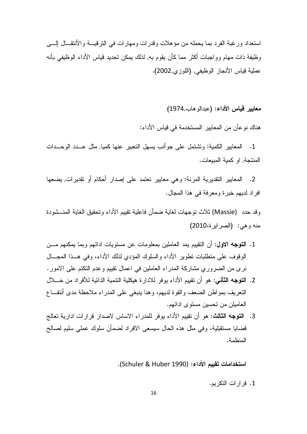استعداد ورغبة الفرد بما يحمله من مؤهلات وقدرات ومهارات في الترقيـــة والأنتقـــال الِــــي وظيفة ذات مهام وواجبات أكثر مما كأن يقوم به, لذلك يمكن تحديد قياس الأداء الوظيفي بأنه عملية قياس الأنجاز الوظيفي, (اللوزي,2002).

معايير قياس الأداء: (عبدالو هاب,1974)

هناك نوعأن من المعايير المستخدمة في قياس الأداء:

1. المعابير الكمية: وتشتمل على جو أنب يسهل التعبير عنها كميا, مثل عـــدد الوحـــدات المنتجة, او كمبة المببعات.

2. المعايير النقديرية المرنة: وهي معايير نعتمد على إصدار أحكام أو نقديرات, يضعها افراد لديهم خبرة ومعرفة في هذا المجال.

وقد حدد (Massie) ثلاث توجهات لغاية ضمأن فاعلية تقييم الأداء و تحقيق الغاية المنـــشودة منه وهي: (الصر اير ة،2010)

- 1. التوجه الاول: أن التقييم يمد العاملين بمعلومات عن مستويات ادائهم وبما يمكنهم مـــن الوقوف على منطلبات نطوير الأداء والسلوك المؤدي لذلك الأداء، وفي هــذا المجـــال نرى من الضروري مشاركة المدراء العاملين في اعمال نقيبم وعدم النكتم على الامور.
- 2. ا**لتوجه الثأني**: هو أن تقييم الأداء يوفر للادارة هيكلية التتمية الذاتية للأفراد من خــــلل النعريف بمواطن الضعف والقوة لديهم، وهنا ينبغي على المدراء ملاحظة مدى أنتفاع العاميلن من تحسين مستوى ادائهم.
- 3. التوجه الثالث: هو أن نقييم الأداء يوفر للمدراء الاساس لاصدار قرارات ادارية تعالج قضبايا مستقبلية، وفي مثل هذه الحال سيسعى الافراد لضمأن سلوك عملي سليم لصبالح المنظمة.

استخدامات تقييم الأداء: (Schuler & Huber 1990).

1. قرارات النكريم.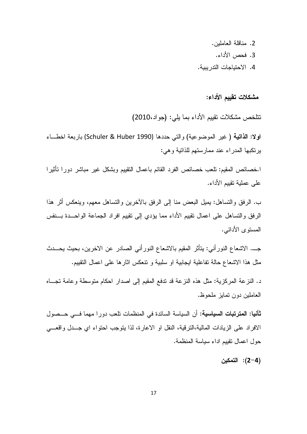- 2. مناقلة العاملين.
- 3. فحص الأداء.
- 4. الاحتياجات التدر ببية.

مشكلات تقييم الأداء:

نتلخص مشكلات نقييم الأداء بما يلي: (جواد،2010)

اولا: الذاتية ( غير الموضوعية) والتي حددها (Schuler & Huber 1990) باربعة اخطَّــاء ير تكبها المدر اء عند ممار ستهم للذاتية و هي:

ا.خصائص المقيم: نلعب خصائص الفرد القائم باعمال النقييم وبشكل غير مباشر دورا نأنثيرا على عملية تقبيم الأداء.

ب. الرفق والتساهل: يميل البعض منا إلى الرفق بالأخرين والتساهل معهم، وينعكس أثر هذا الرفق والتساهل على اعمال نقييم الأداء مما يؤدي إلى نقييم افراد الجماعة الواحــدة بــنفس المستوى الأدائي.

جـــ. الاشعاع النورأنـي: يتأثَّر المقيم بالاشعاع النورأنـي الصـادر عن الاخرين، بحيث يحـــدث مثل هذا الاشعاع حالة تفاعلية ايجابية او سلبية و تتعكس اثارها على اعمال التقييم.

د. النزعة المركزية: مثل هذه النزعة قد ندفع المقيم إلى اصدار احكام متوسطة وعامة تجــاه العاملين دون تمايز ملحوظ.

**ثأنيا: المترتبات السياسية:** أن السياسة السائدة في المنظمات تلعب دورا مهما فـــي حــصول الافراد على الزيادات المالية،النرفية، النقل او الاعارة، لذا يتوجب احتواء اي جلدل واقعـــي حول اعمال نقييم اداء سياسة المنظمة.

(4–2): التمكين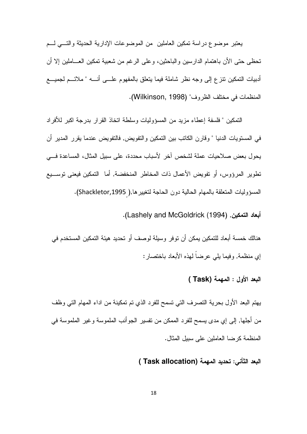يعتبر موضوع دراسة تمكين العاملين ًمن الموضوعات الإدارية الحديثة والتسى لسم تحظي حتى الأن باهتمام الدارسين والباحثين، وعلى الرغم من شعبية تمكين العـــاملين إلا أن أدبيات التمكين نتزع إلى وجه نظر شاملة فيما يتعلق بالمفهوم علـــي أنــــه " ملائـــم لجميــــع المنظمات في مختلف الظروف" (Wilkinson, 1998).

التمكين " فلسفة إعطاء مزيد من المسؤوليات وسلطة اتخاذ القرار بدرجة اكبر للأفراد في المستويات الدنيا " وقار ن الكاتب بين التمكين والنفويض, فالتفويض عندما يقرر المدير أن يحول بعض صلاحيات عملة لشخص آخر الأسباب محددة، على سبيل المثال، المساعدة فسى تطوير المروِّوس، أو تفويض الأعمال ذات المخاطر المنخفضة, أما التمكين فيعني توســـيع المسؤوليات المتعلقة بالمهام الحالية دون الحاجة لتغيير ها,( Shackletor,1995).

أبعاد التمكين, (Lashely and McGoldrick (1994).

هنالك خمسة أبعاد للتمكين يمكن أن توفر وسيلة لوصف أو تحديد هيئة التمكين المستخدم في إي منظمة, وفيما يلي عرضاً لهذه الأبعاد باختصار :

البعد الأول : المهمة (Task )

يهتم البعد الأول بحرية النصرف النبي نسمح للفرد الذي نم تمكينة من اداء المهام النبي وظف من أجلها, إلى إي مدى يسمح للفرد الممكن من نفسير الجوأنب الملموسة وغير الملموسة في المنظمة كر ضبا العاملين على سبيل المثال.

البعد الثأني: تحديد المهمة (Task allocation )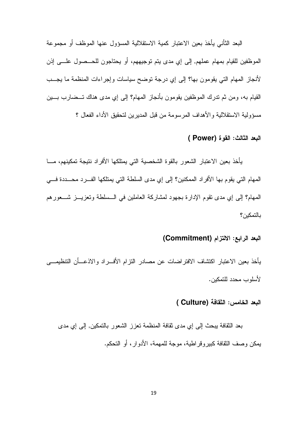البعد الثأني يأخذ بعين الاعتبار كمية الاستقلالية المسؤول عنها الموظف أو مجموعة الموظفين للقيام بمهام عملهم, إلى إي مدى يتم توجيههم، أو يحتاجون للحـــصـول علــــي إذن لأنجاز المهام التي يقومون بها؟ إلى إي درجة توضح سياسات وإجراءات المنظمة ما يجــب القيام به، ومن ثم ندرك الموظفين يقومون بأنجاز المهام؟ إلى إي مدى هناك تــضارب بـــين مسؤولية الاستقلالية والأهداف المرسومة من قبل المديرين لتحقيق الأداء الفعال ؟

#### البعد الثالث: القو ة ( Power )

يأخذ بعين الاعتبار الشعور بالقوة الشخصية التي يمتلكها الأفراد نتيجة تمكينهم، مسا المهام التي يقوم بها الأفراد الممكنين؟ إلى إي مدى السلطة التي يمتلكها الفـــرد محــــددة فــــي المهام؟ إلى إي مدى نقوم الإدارة بجهود لمشاركة العاملين في الــسلطة وتعزيـــز شـــعورهم بالتمكين؟

### البعد الرابع: الالتزام (Commitment)

يأخذ بعين الاعتبار اكتشاف الافتر اضات عن مصادر التزام الأفسراد والاذعسأن التنظيمــــى لأسلوب محدد للتمكين.

### البعد الخامس: الثقافة (Culture )

بعد الثقافة ببحث إلى إي مدى ثقافة المنظمة تعزز الشعور بالتمكين, إلى إي مدى يمكن وصف الثقافة كبير وقر اطية، موجة للمهمة، الأدوار ، أو التحكم.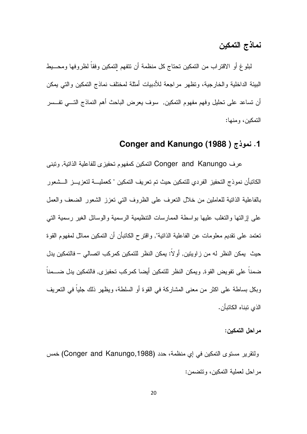# نماذج التمكين

لبلوغ أو الاقتراب من التمكين تحتاج كل منظمة أن تتفهم التمكين وفقاً لظروفها ومحـــبط البيئة الداخلية والخارجية، وتظهر مراجعة للأدبيات أمثلة لمختلف نماذج التمكين والتي يمكن أن نساعد على نحليل وفهم مفهوم النمكين, سوف يعرض الباحث أهم النماذج النسبي نفـــسر التمكين، و منها:

### 1. نموذج ( Conger and Kanungo (1988)

عرف Conger and Kanungo التمكين كمفهوم تحفيزي للفاعلية الذاتية, وتبنى الكاتبأن نموذج التحفيز الفردي للتمكين حيث تم تعريف التمكين " كعمليـــة لتعزيـــز الـــشعور بالفاعلية الذانية للعاملين من خلال النعر ف على الظروف التي نعزز الشعور الضعف والعمل على إزالتها والتغلب عليها بواسطة الممارسات التنظيمية الرسمية والوسائل الغير رسمية التبي تعتمد على تقديم معلومات عن الفاعلية الذاتية", واقترح الكاتبأن أن التمكين مماثل لمفهوم القوة حيث بِمكن النظر له من ز او يتين, أو لاً: بِمكن النظر للتمكين كمر كب اتصـالي — فالتمكين يدل ضمناً على تفويض القوة, ويمكن النظر للتمكين أيضا كمركب تحفيزي, فالتمكين يدل ضـــمناً وبكل بساطة على اكثر من معنى المشاركة في القوة أو السلطة، ويظهر ذلك جلياً في التعريف الذي تبناه الكاتبأن.

#### مر احل التمكين:

ولنقرير مستوى التمكين في إي منظمة، حدد (Conger and Kanungo,1988) خمس مراحل لعملية التمكين، وتتضمن: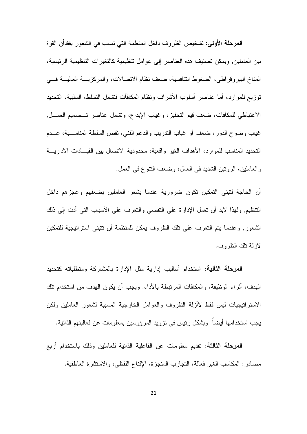**المرحلة الأولى:** تشخيص الظروف داخل المنظمة التي تسبب في الشعور بفقدأن القوة بين العاملين, ويمكن تصنيف هذه العناصر إلى عوامل نتظيمية كالتغيرات التنظيمية الرئيسية، المناخ البيروقراطي، الضغوط التنافسية، ضعف نظام الاتصالات، والمركزيــــة العاليــــة فــــي نوزيع للموارد، أما عناصر أسلوب الأشراف ونظام المكافآت فتشمل النسلط، السلبية، التحديد الاعتباطي للمكأفات، ضعف قيم التحفيز، وغياب الإبداع، ونشمل عناصر تـــصميم العمــــل, غياب وضوح الدور، ضعف أو غياب الندريب والدعم الفني، نقص السلطة المناســـبة، عـــدم التحديد المناسب للموارد، الأهداف الغير واقعية، محدودية الاتصال بين القيسادات الاداريسة والعاملين، الرونين الشديد في العمل، وضعف النتوع في العمل.

أن الحاجة لتبني التمكين نكون ضرورية عندما يشعر العاملين بضعفهم وعجزهم داخل التنظيم, ولهذا لابد أن نعمل الإدارة على النقصبي والنعرف على الأسباب النبي أدت إلى ذلك الشعور, وعندما يتم التعرف على نلك الظروف يمكن للمنظمة أن نتبنى استراتيجية للتمكين لازلة نلك الظروف.

**المرحلة الثأنية:** استخدام أساليب إدارية مثل الإدارة بالمشاركة ومتطلباته كتحديد الهدف، أثراء الوظيفة، والمكافات المرتبطة بالأداء, ويجب أن يكون الهدف من استخدام تلك الاستراتيجيات ليس فقط لاأزلة الظروف والعوامل الخارجية المسببة لشعور العاملين ولكن يجب استخدامها أيضاً وبشكل رئيس في نزويد المرؤوسين بمعلومات عن فعاليتهم الذاتية.

**المرحلة الثالثة:** تقديم معلومات عن الفاعلية الذاتية للعاملين وذلك باستخدام أربع مصادر: المكاسب الغير فعالة، النجارب المنجزة، الإقناع اللفظي، والاستثارة العاطفية.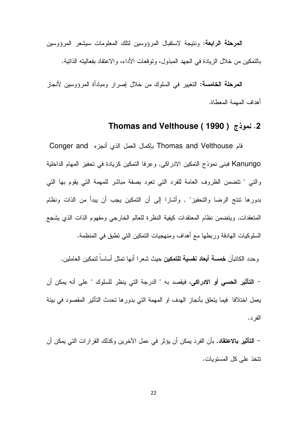**المرحلة الرابعة:** ونتيجة لاستقبال المرؤوسين لتلك المعلومات سيشعر المرؤوسين بالتمكين من خلال الزيادة في الجهد المبذول، وتوقعات الأداء، والاعتقاد بفعاليته الذاتية.

**المرحلة الخامسة:** التغيير في السلوك من خلال إصرار ومبادأة المرؤوسين لأنجاز أهداف المهمة المعطاة.

# 2. نموذج ( Thomas and Velthouse ( 1990 )

قام Thomas and Velthouse بإكمال العمل الذي أنجزه Conger and Kanungo فبني نموذج التمكين الادراكي, وعرفا التمكين كزيادة في تحفيز المهام الداخلية والتبي " نتضمن الظروف العامة للفرد التبي نعود بصفة مباشر للمهمة التبي بقوم بها التبي بدورها نتنج الرضا والنحفيز" , وأشارا إلى أن النمكين يجب أن يبدأ من الذات ونظام المتعقدات, ويتضمن نظام المعتقدات كيفية النظرة للعالم الخارجي ومفهوم الذات الذي يشجع السلوكيات الهادفة وربطها مع أهداف ومنهجيات التمكين التي تطبق في المنظمة.

وحدد الكاتبأن **خمسة أبعاد نفسية للتمكين** حيث شعر ا أنها تمثل أساساً لتمكين العاملين.

– ا**لتأثير الحسى أو الادراكي، في**قصد به " الدرجة التي ينظر للسلوك " على أنه يمكن أن يعمل اختلافا فيما يتعلق بأنجاز الهدف او المهمة التي بدور ها تحدث التأثير المقصود في بيئة الفر د .

– **التأثير بالاعتقاد**, بأن الفرد يمكن أن يؤثر في عمل الآخرين وكذلك القرارات التي يمكن أن نتخذ على كل المستويات.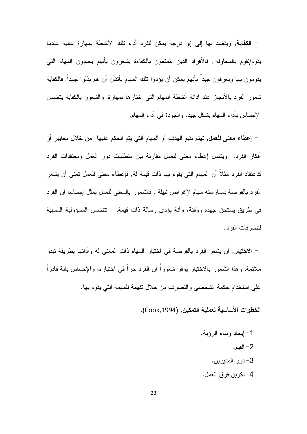– ا**لكفاية**, ويقصد بها إلى إي درجة يمكن للفرد أداء نلك الأنشطة بمهارة عالية عندما يقوم/نقوم بالمحاولة", فالأفراد الذين يتمتعون بالكفاءة يشعرون بأنهم يجيدون المهام التي يقومون بها ويعرفون جيداً بأنهم يمكن أن يؤدوا نلك المهام بأنقأن أن هم بذلوا جهداً, فالكفاية شعور الفرد بالأنجاز عند ادائة أنشطة المهام التبي اختارها بمهارة, والشعور بالكفاية يتضمن الإحساس بأداء المهام بشكل جيد، و الجودة في أداء المهام.

– إ**عطاء معنى للعمل**, تهتم بقيم الهدف أو المهام التي يتم الحكم عليها ٍ من خلال معايير أو أفكار الفرد, ويشمل إعطاء معنى للعمل مقارنة بين منطلبات دور العمل ومعتقدات الفرد كاعتقاد الفرد مثلاً أن المهام النبي يقوم بها ذات قيمة لـة, فإعطاء معنىي للعمل تعنـى أن يشعر الفرد بالفرصة بممارسته مهام لإغراض نبيلة , فالشعور بالمعنى للعمل بمثل إحساسا أن الفرد في طريق بستحق جهده ووقتة، وأنة يؤدى رسالة ذات قيمة, تتضمن المسؤولية المسببة لتصر فات الفر د.

– الا**ختيار** , أن يشعر الفرد بالفرصة في اختيار المهام ذات المعنى له و أدائها بطريقة تبدو ملائمة, و هذا الشعور بالاختيار يوفر شعور اُ أن الفر د حر اً في اختيار ه، و الإحساس بأنة قادر اً على استخدام حكمة الشخصبي والنصرف من خلال تفهمة للمهمة التي بقوم بها.

الخطوات الأساسية لعملية التمكين, (Cook,1994).

1- ابجاد وبناء الرؤبة. 2– القيم. 3– دور المديرين. 4– تكوين فر ق العمل.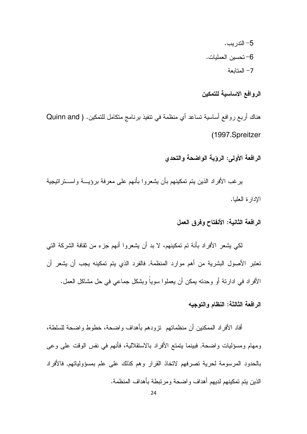5– التدر يب. 6– تحسين العمليات. 7- المتابعة

الروافع الاساسية للتمكين

هناك أربع روافع أساسية تساعد أي منظمة في نتفيذ برنامج متكامل للتمكين. ( Quinn and (1997, Spreitzer

الرافعة الأولى: الرؤية الواضحة والتحدى

برغب الأفراد الذين يتم تمكينهم بأن يشعروا بأنهم على معرفة برؤيــــة واســـتراتيجية الإدار ة العلبا.

# الرافعة الثانية: الأنفتاح وفرق العمل

لكي يشعر الأفراد بأنة تم تمكينهم، لا بد أن يشعروا أنهم جزء من ثقافة الشركة التي تعتبر الأصول البشرية من أهم موارد المنظمة, فالفرد الذي يتم تمكينه يجب أن يشعر أن الأفر اد في ادار نة أو و حدته بمكن أن يعملو ا سوياً و بشكل جماعي في حل مشاكل العمل.

#### الرافعة الثالثة: النظام والتوجيه

أفاد الأفراد الممكنين أن منظماتهم تزودهم بأهداف واضحة، خطوط واضحة للسلطة، ومهام ومسؤليات واضحة, فبينما يتمتع الأفراد بالاستقلالية، فأنهم في نفس الوقت على وعي بالحدود المرسومة لحرية نصرفهم لاتخاذ القرار وهم كذلك على علم بمسؤولياتهم, فالأفراد الذين يتم تمكينهم لديهم أهداف واضحة ومرتبطة بأهداف المنظمة.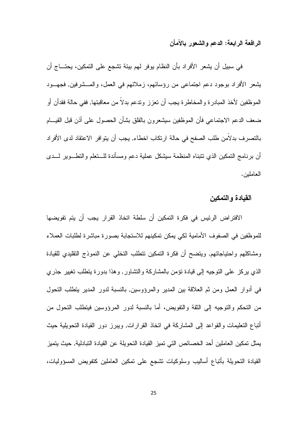الرافعة الرابعة: الدعم والشعور بالآمأن

في سبيل أن يشعر الأفراد بأن النظام يوفر لمهم بيئة تشجع على التمكين، يحتـــاج أن يشعر الأفراد بوجود دعم اجتماعي من رؤسائهم، زملائهم في العمل، والمـــشرفين, فجهـــود الموظفين لأخذ المبادرة والمخاطرة يجب أن تعزز وندعم بدلا من معاقبتها, ففي حالة فقدأن أو ضعف الدعم الاجتماعي فأن الموظفين سيشعرون بالقلق بشأن الحصول على أذن قبل القيـــام بالنصر ف بدلامن طلب الصفح في حالة ارتكاب اخطاء, يجب أن يتو افر الاعتقاد لدى الأفر اد أن بر نامج التمكين الذي نتبناه المنظمة سيشكل عملية دعم ومسأندة للـــتعلم والتطـــوير لـــدى العاملين.

#### القيادة والتمكين

الافتراض الرئيس في فكرة التمكين أن سلطة اتخاذ القرار يجب أن يتم تفويضها للموظفين في الصفوف الأمامية لكي يمكن تمكينهم للاستجابة بصورة مباشرة لطلبات العملاء ومشاكلهم واحتياجاتهم, ويتضح أن فكرة التمكين نتطلب التخلي عن النموذج التقليدي للقيادة الذي يركز على النوجيه إلى قيادة نؤمن بالمشاركة والنشاور, وهذا بدورة ينطلب نغيير جذري في أدوار العمل ومن ثم العلاقة بين المدير والمرؤوسين, بالنسبة لدور المدير يتطلب التحول من النحكم والنوجيه إلى الثقة والتفويض، أما بالنسبة لدور المرؤوسين فيتطلب النحول من أتباع التعليمات والقواعد إلى المشاركة في اتخاذ القرارات, ويبرز دور القيادة التحويلية حيث يمثل تمكين العاملين أحد الخصائص التي تميز القيادة التحويلة عن القيادة التبادلية, حيث يتميز القيادة النحويلة بأتباع أساليب وسلوكيات نشجع علىي تمكين العاملين كتفويض المسؤوليات،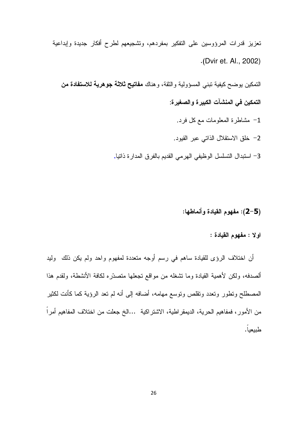تعزيز قدرات المرؤوسين على التفكير بمفردهم، وتشجيعهم لطرح أفكار جديدة وإبداعية .(Dvir et. Al., 2002)

التمكين يوضح كيفية تبني المسؤولية والثقة، وهناك **مفاتيح ثلاثة جوهرية للاستفادة من** التمكين في المنشآت الكبير ة و الصغير ة: 1- مشاطرة المعلومات مع كل فرد.

- 2– خلق الاستقلال الذاتي عبر القيود.
- 3– استبدال التسلسل الوظيفي الهرمي القديم بالفرق المدارة ذاتيا.

(5–2): مفهوم القيادة وأنماطها:

اولا : مفهوم القيادة :

أن اختلاف الرؤى للقيادة ساهم في رسم أوجه متعددة لمفهوم واحد ولم يكن ذلك وليد ألصدفه، ولكن لأهمية القيادة وما نشغله من مواقع نجعلها منصدَّره لكافة الأنشطة، ولقدم هذا المصطلح ونطور ونعدد ونقلص ونوسع مهامه، أضافه إلى أنه لم نعد الرؤية كما كأنت لكثير من الأمور ، فمفاهيم الحرية، الديمقراطية، الاشتراكية …الخ جعلت من اختلاف المفاهيم أمرا طليعيا.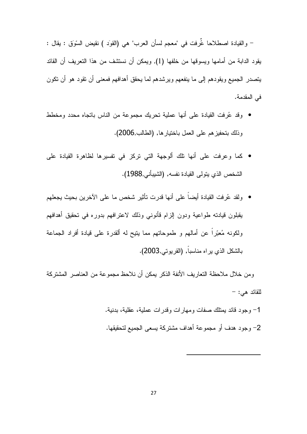– والقيادة اصطلاحا عُرفت في "معجم لسأن العرب" هي (القوَد ) نقيض السَّوَق : يقال : يقود الدابة من أمامها ويسوقها من خلفها (1), ويمكن أن نستشف من هذا التعريف أن القائد يتصدر الجميع ويقودهم إلىي ما ينفعهم ويرشدهم لما يحقق أهدافهم فمعنى أن تقود هو أن تكون في المقدمة.

- وقد عُرفت القيادة على أنها عملية تحريك مجموعة من الناس باتجاه محدد ومخطط وذلك بتحفيز هم على العمل باختيار ها, (الطالب,2006).
- كما وعرفت على أنها تلك ألوجهة التي تركز في تفسيرها لظاهرة القيادة على الشخص الذي يتولى القيادة نفسه, (الشيبأني,1988).
- ولقد عُرفت القيادة أيضـاً على أنها قدرت تأثير شخص ما على الآخرين بحيث يجعلهم يقبلون قيادته طواعية ودون إلزام قأنوني وذلك لاعترافهم بدوره في تحقيق أهدافهم ولكونه مُعبَّرٍا عن أمالهم و طموحاتهم مما ينيح له ألقدرة على قيادة أفراد الجماعة بالشكل الذي يراه مناسبا, (القريوتي,2003).

ومن خلال ملاحظة التعاريف الأنفة الذكر يمكن أن نلاحظ مجموعة من العناصر المشتركة  $-$  المقائد هي

- 1- وجود قائد بمثلك صفات ومهارات وقدرات عملية، عقلية، بدنية.
- 2- وجود هدف أو مجموعة أهداف مشتركة يسعى الجميع لتحقيقها.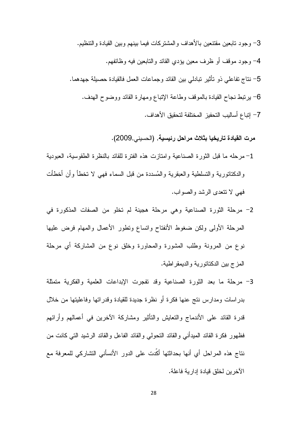3– وجود نابعين مقتنعين بالأهداف والمشتركات فيما بينهم وببن القيادة والتنظيم. 4– وجود موقف أو ظرف معين يؤدي القائد والتابعين فيه وظائفهم. 5– نتاج تفاعلي ذو تأثير تبادلي بين القائد وجماعات العمل فالقيادة حصبلة جهدهما. 6– برنبط نجاح القيادة بالموقف وطاعة الإتباع ومهارة القائد ووضوح الهدف. 7– إنباع أساليب التحفيز المختلفة لتحقيق الأهداف.

مرت القيادة تاريخيا بثلاث مراحل رئيسية, (الحسيني,2009).

- 1– مرحله ما قبل الثور ة الصناعية وامتازت هذه الفتر ة للقائد بالنظر ة الطقوسية، العبودية و الدكتاتور بــة و التسلطـيـة و الـعبقر بـة و المُسددة من قبل السمـاء فـهـي لا تـخطـأ و أن أخطـأت فهي لا نتعدى الرشد والصواب.
- 2– مرحلة الثورة الصناعية وهي مرحلة هجينة لم تخلو من الصفات المذكورة في المرحلة الأولمي ولكن ضغوط الأنفتاح وانساع ونطور الأعمال والمهام فرض عليها نوع من المرونة وطلب المشورة والمحاورة وخلق نوع من المشاركة أي مرحلة المزج بين الدكتاتورية والديمقراطية.
- 3- مرحلة ما بعد الثورة الصناعية وقد نفجرت الإبداعات العلمية والفكرية متمثلة بدراسات ومدارس نتج عنها فكرة أو نظرة جديدة للقيادة وقدراتها وفاعليتها من خلال قدرة القائد على الأندماج والنعايش والنأنير ومشاركة الآخرين في أعمالهم وأرائهم فظهور فكرة القائد الميدأني والقائد النحولي والقائد الفاعل والقائد الرشيد التي كانت من نتاج هذه المراحل أي أنها بحداثتها أكَّدت على الدور الأنسأني التشاركي للمعرفة مع الآخر بن لخلق قبادة إدار بة فاعلة.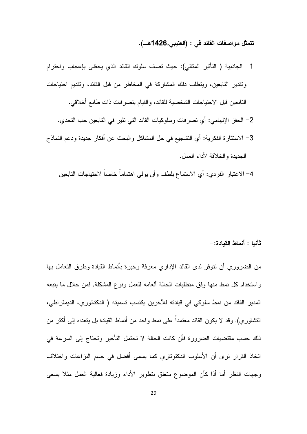تتمثل مواصفات القائد في : (العتيبي,1426هــ).

- 1– الجاذبية ( النأثير المثالي): حيث نصف سلوك القائد الذي يحظى بإعجاب واحترام ونقدير التابعين، ويتطلب ذلك المشاركة في المخاطر من قبل القائد، وتقديم احتياجات التابعين قبل الاحتياجات الشخصية للقائد، والقيام بتصرفات ذات طابع أخلاقي.
	- 2– الحفز الإلهامي: أي نصرفات وسلوكيات القائد التي تثير في التابعين حب النحدي.
- 3– الاستثارة الفكرية: أي التشجيع في حل المشاكل والبحث عن أفكار جديدة ودعم النماذج الجديدة والخلاقة لأداء العمل.
	- 4– الاعتبار الفردي: أي الاستماع بلطف وأن يولى اهتماماً خاصاً لاحتياجات التابعين

ثأنبا : أنماط القبادة:–

من الضروري أن نتوفر لدى القائد الإداري معرفة وخبرة بأنماط القيادة وطرق النعامل بها واستخدام كل نمط منها وفق متطلبات الحالة ألعامه للعمل ونوع المشكلة, فمن خلال ما بِتبعه المدير القائد من نمط سلوكي في قيادته للآخرين يكتسب تسميته ( الدكتاتوري، الديمقراطي، التشاوري), وقد لا يكون القائد معتمداً على نمط واحد من أنماط القيادة بل بنعداه إلى أكثر من ذلك حسب مقتضيات الضرورة فأن كانت الحالة لا تحتمل التأخير وتحتاج إلى السرعة في اتخاذ القرار نرى أن الأسلوب الدكتوتاري كما يسمى أفضل في حسم النزاعات واختلاف وجهات النظر أما أذا كأن الموضوع متعلق بتطوير الأداء وزيادة فعالية العمل مثلا يسعى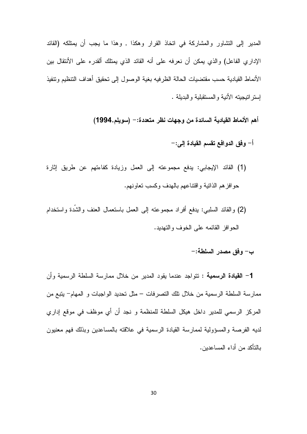المدير إلى التشاور والمشاركة في اتخاذ القرار وهكذا , وهذا ما يجب أن يمتلكه (القائد الإداري الفاعل) والذي يمكن أن نعرفه على أنه القائد الذي يمثلك ألقدره على الأنتقال بين الأنماط القيادية حسب مقتضيات الحالة الظرفيه بغية الوصول إلى تحقيق أهداف التنظيم وتتفيذ إستر اتيجيته الأنية والمستقبلية والبديلة .

أهم الأنماط القيادية السائدة من وجهات نظر متعددة:– (سويلم,1994)

- أ– وفق الدوافع تقسم القيادة إلى:–
- (1) القائد الإيجابي: يدفع مجموعته إلى العمل وزيادة كفاءتهم عن طريق إثارة حو افز هم الذاتية و افتناعهم بالهدف وكسب تعاونهم.
- (2) والقائد السلبي: يدفع أفراد مجموعته إلى العمل باستعمال العنف والشدة واستخدام الحوافز القائمه على الخوف والتهديد.

# ب– وفق مصدر السلطة:–

1- القيادة الرسمية : نتواجد عندما يقود المدير من خلال ممارسة السلطة الرسمية وأن ممارسة السلطة الرسمية من خلال تلك التصرفات – مثل تحديد الواجبات و المهام– يتبع من المركز الرسمي للمدير داخل هيكل السلطة للمنظمة و نجد أن أي موظف في موقع إداري لديه الفرصة والمسؤولية لممارسة القيادة الرسمية في علاقته بالمساعدين وبذلك فهم معنيون بالتأكد من أداء المساعدين.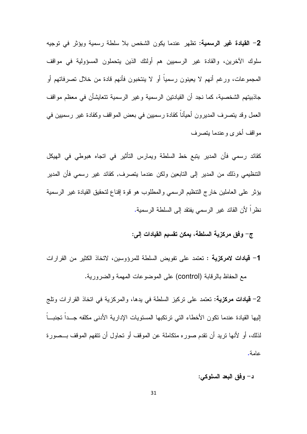2– القيادة غير الرسمية: تظهر عندما يكون الشخص بلا سلطة رسمية ويؤثر في توجيه سلوك الآخرين، والقادة غير الرسميين هم أولئك الذين يتحملون المسؤولية في مواقف المجموعات، ورغم أنهم لا يعينون رسمياً أو لا ينتخبون فأنهم قادة من خلال نصرفاتهم أو جاذبيتهم الشخصية، كما نجد أن القيادتين الرسمية وغير الرسمية تتعايشأن في معظم مواقف العمل وقد يتصرف المديرون أحيأناً كقادة رسميين في بعض المواقف وكقادة غير رسميين في مو اقف أخر ي و عندما بنصر ف

كقائد رسمي فأن المدير يتبع خط السلطة ويمارس التأثير في اتجاه هبوطي في الهيكل التنظيمي وذلك من المدير إلى التابعين ولكن عندما يتصرف, كقائد غير رسمي فأن المدير يؤثر على العاملين خارج التنظيم الرسمي والمطلوب هو قوة إقناع لتحقيق القيادة غير الرسمية نظراً لأن القائد غير الرسمي يفتقد إلى السلطة الرسمية.

ج– وفق مركزية السلطة، يمكن تقسيم القيادات إلى:

1– **قيادات لامركزية :** تعتمد على تفويض السلطة للمرؤوسين، لاتخاذ الكثير من القرارات مع الحفاظ بالرقابة (control) على الموضوعات المهمة والضرورية.

2– **قيادات مركزية:** تعتمد على نركيز السلطة في يدها، والمركزية في اتخاذ القرارات وتلج إليها القيادة عندما تكون الأخطاء التي ترتكبها المستويات الإدارية الأدنى مكلفه جــدا تجنبـــا لذلك، أو لأنها نريد أن نقدم صوره متكاملة عن الموقف أو نحاول أن نتفهم الموقف بـــصورة عامة.

د– وفق البعد السلوكي: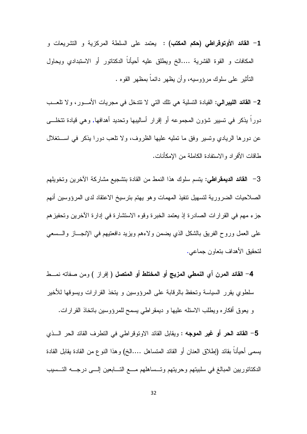1- القائد الأوتوقراطي (حكم المكتب) : يعتمد على السلطة المركزية و التشريعات و المكافات و القوة القشرية ....الخ ويطلق عليه أحيأناً الدكتاتور أو الاستبدادي ويحاول النَّاثِيرِ على سلوك مرؤوسيه، وأن يظهر دائما بمظهر القوه .

2– القائد الليبرالي: القيادة التسلية هي تلك التي لا تتدخل في مجريات الأمـــور، ولا تلعــب دورًا يذكر في تسبير شؤون المجموعه أو إقرار أساليبها وتحديد أهدافها, وهي قيادة تتخلَّـــي عن دورها الريادي وتسير وفق ما تمليه عليها الظروف، ولا نلعب دورًا يذكر في اســـنغلال طاقات الأفر اد و الاستفادة الكاملة من الإمكأنات.

3− القائد الديمقراطي: يتسم سلوك هذا النمط من القادة بتشجيع مشاركة الآخرين وتخويلهم الصلاحيات الضرورية لتسهيل نتفيذ المهمات وهو يهتم بترسيخ الاعتقاد لدى المرؤوسين أنهم جزء مهم في القرارات الصادرة إذ يعتمد الخبرة وقوه الاستشارة في إدارة الأخرين وتحفيزهم علَّمي العمل وروح الفريق بالشكل الذي يضمن ولاءهم ويزيد دافعتيهم في الإنجـــاز والـــسعى لتحقيق الأهداف بتعاون جماعي.

4– القائد المرن أي النمطي المزيج أو المختلط أو المتصل ( إفراز ) ومن صفاته نمــط سلطوى يقرر السياسة وتحفظ بالرقابة على المرؤوسين و يتخذ القرارات ويسوقها للأخير و يعوق أفكاره ويطلب الاسئله عليها و ديمقراطي يسمح للمرؤوسين باتخاذ القرارات.

5– القائد الحر أو غير الموجه : ويقابل القائد الاوتوقراطي في التطرف القائد الحر الـــذي يسمى أحيأناً بقائد (إطلاق العنان أو القائد المتساهل ….الخ) وهذا النوع من القادة يقابل القادة الدكتانوريين المبالغ في سلبيتهم وحريتهم وتـــساهلهم مــــع التــــابعين إلــــي درجــــه التـــسيب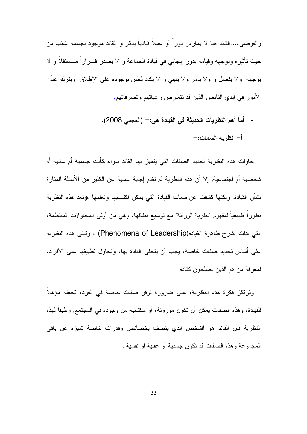والفوضبي....القائد هنا لا يمارس دور اً أو عملاً قيادياً يذكر و القائد موجود بجسمه غائب من حيث تأثيره وتوجهه وقيامه بدور إيجابي في قيادة الجماعة و لا يصدر قـــراراً مـــستقلاً و لا بوجهه ولا يفصل و ولا يأمر ولا ينهي و لا يكاد يُحَس بوجوده على الإطلاق ويترك عنأن الأمور في أيدي التابعين الذين قد نتعارض رغباتهم وتصرفاتهم.

> - أما أهم النظريات الحديثة في القيادة هي: – (العجمي,2008). أ– نظرية السمات:–

حاولت هذه النظرية تحديد الصفات التي يتميز بها القائد سواء كأنت جسمية أم عقلية أم شخصية أم اجتماعية, إلا أن هذه النظرية لم تقدم إجابة عملية عن الكثير من الأسئلة المثارة بشأن القيادة, ولكنها كشفت عن سمات القيادة التي يمكن اكتسابها وتعلمها ،وتعد هذه النظرية تطورًا طبيعيا لمفهوم "نظرية الوراثة" مع نوسيع نطاقها. وهي من أولى المحاولات المنتظمة، التي بذلت لشرح ظاهرة القيادة(Phenomena of Leadership) ، وتبنى هذه النظرية على أساس تحديد صفات خاصة، يجب أن يتحلى القادة بها، وتحاول نطبيقها على الأفراد، لمعر فة من هم الذين بصلحون كقادة .

وترتكز فكرة هذه النظرية، على ضرورة توفر صفات خاصة في الفرد، تجعله مؤهلاً للقيادة، وهذه الصفات بمكن أن نكون موروثة، أو مكتسبة من وجوده في المجتمع, وطبقا لهذه النظرية فأن القائد هو الشخص الذي يتصف بخصائص وقدرات خاصة تميزه عن باقي المجموعة وهذه الصفات قد نكون جسدية أو عقلية أو نفسية .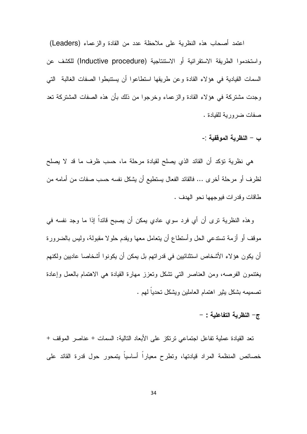اعتمد أصحاب هذه النظرية على ملاحظة عدد من القادة والزعماء (Leaders) واستخدموا الطريقة الاستقرائية أو الاستتتاجية (Inductive procedure) للكشف عن السمات القيادية في هؤلاء القادة وعن طريقها استطاعوا أن يستتبطوا الصفات الغالبة التي وجدت مشتركة في هؤلاء القادة والزعماء وخرجوا من ذلك بأن هذه الصفات المشتركة تعد صفات ضرورية للقيادة .

ب – النظرية الموقفية :-

هي نظرية تؤكد أن القائد الذي يصلح لقيادة مرحلة ما، حسب ظرف ما قد لا يصلح لظرف أو مرحلة أخرى ... فالقائد الفعال يستطيع أن يشكل نفسه حسب صفات من أمامه من طاقات وقدرات فيوجهها نحو الهدف .

وهذه النظرية نرى أن أي فرد سوي عادي يمكن أن يصبح قائداً إذا ما وجد نفسه في موقف أو أزمة تستدعى الحل وأستطاع أن يتعامل معها ويقدم حلولا مقبولة، وليس بالضرورة أن يكون هؤلاء الأشخاص استثنائيين في قدراتهم بل يمكن أن يكونوا أشخاصا عاديين ولكنهم يغتنمون الفرصه، ومن العناصر التبي نشكل وتعزز مهارة القيادة هي الاهتمام بالعمل وإعادة نصميمه بشكل يثير اهتمام العاملين ويشكل تحدياً لمهم .

#### ج- النظرية التفاعلية : -

تعد القيادة عملية تفاعل اجتماعي ترتكز على الأبعاد النالية: السمات + عناصر الموقف + خصائص المنظمة المراد قيادتها، ونطرح معياراً أساسياً يتمحور حول قدرة القائد على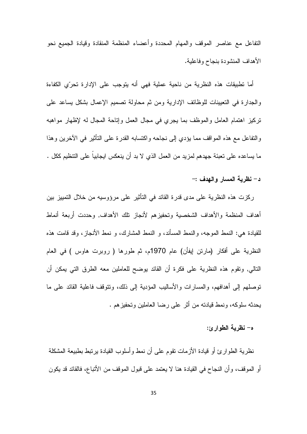التفاعل مع عناصر الموقف والمهام المحددة وأعضاء المنظمة المنقادة وقيادة الجميع نحو الأهداف المنشودة بنجاح وفاعلبة.

أما تطبيقات هذه النظرية من ناحية عملية فهي أنه يتوجب على الإدارة تحرّي الكفاءة والجدارة في النعيينات للوظائف الإدارية ومن ثم محاولة نصميم الإعمال بشكل بساعد على تركيز اهتمام العامل والموظف بما يجرى في مجال العمل وإتاحة المجال له لإظهار مواهبه و النفاعل مع هذه المو افف مما يؤدي إلى نجاحه واكتسابه القدرة على التأثير في الآخرين و هذا ما يساعده على تعبئة جهدهم لمزيد من العمل الذي لا بد أن ينعكس ايجابيا على التنظيم ككل .

د- نظرية المسار والهدف :-

ركزت هذه النظرية على مدى قدرة القائد في التأثير على مرؤوسيه من خلال التمييز بين أهداف المنظمة والأهداف الشخصية وتحفيزهم لأنجاز نلك الأهداف, وحددت أربعة أنماط للقيادة هي: النمط الموجه، والنمط المسأند، و النمط المشارك، و نمط الأنجاز، وقد قامت هذه النظرية على أفكار (مارتن إيفأن) عام 1970م، ثم طورها ( روبرت هاوس ) في العام التالبي, ونقوم هذه النظرية على فكرة أن القائد يوضح للعاملين معه الطرق التي يمكن أن توصلهم إلى أهدافهم، والمسارات والأساليب المؤدية إلى ذلك، ونتوقف فاعلية القائد على ما يحدثه سلوكه، ونمط قيادته من أثر على رضا العاملين وتحفيزهم .

#### ه- نظرية الطوارئ:

نظرية الطوارئ أو قيادة الأزمات نقوم على أن نمط وأسلوب القيادة برنبط بطبيعة المشكلة أو الموقف، وأن النجاح في القيادة هنا لا يعتمد على قبول الموقف من الأتباع، فالقائد قد يكون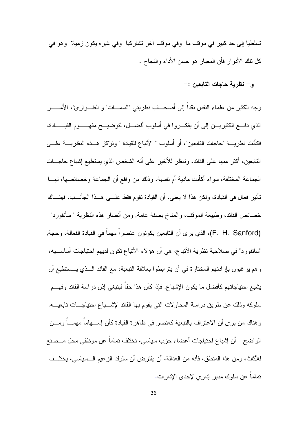تسلطیا اِلی حد کبیر فی موقف ما وفی موقف آخر نشارکیا وفی غیرہ بکون زمیلا وهو فی كل تلك الأدوار فأن المعبار هو حسن الأداء والنجاح .

#### و – نظرية حاجات التابعين : –

وجه الكثير من علماء النفس نقداً إلى أصحـــاب نظريتي "السمـــات" و"الطـــوارئ"، الأمــــــــر الذي دفـــع الكثيريــــن إلىي أن يفكـــروا في أسلوب أفضــــل، لتوضيـــح مفهــــــوم القيـــــــادة، فكأنت نظر بِــــة "حاجات التابعين"، أو أسلوب " الأتباع للقيادة " و تر ّكز هـــذه النظر بِـــة علــــى النابعين، أكثر منها على القائد، ونتظر للأخير على أنه الشخص الذي يستطيع إشباع حاجـــات الجماعة المختلفة، سواء أكأنت مادية أم نفسية. وذلك من واقع أن الجماعة وخصائصها، لهـــا تأثير فعال في القيادة، ولكن هذا لا يعني، أن القيادة تقوم فقط علـــي هـــذا الجأنـــب، فهنــــاك خصائص القائد، وطبيعة الموقف، والمناخ بصفة عامة, ومن أنصار هذه النظرية " سأنفورد" (F. H. Sanford)، الذي يرى أن النابعين يكونون عنصرا مهما في القيادة الفعالة، وحجة, "سأنفورد" في صلاحية نظرية الأتباع، هي أن هؤلاء الأتباع تكون لديهم احتياجات أساســـيه، وهم يرغبون بإرادتهم المختارة في أن يترابطوا بعلاقة التبعية، مع القائد الــذي يــستطيع أن يشبع احتياجاتهم كأفضل ما يكون الإشباع. فإذا كأن هذا حقاً فينبغي إذن دراسة القائد وفهـــم سلوكه وذلك عن طريق دراسة المحاولات التي يقوم بها القائد لإشــباع احتياجــات تابعيـــه. وهناك من برى أن الاعتراف بالتبعية كعنصر في ظاهرة القيادة كأن إســـهاماً مهمـــاً ومـــن الواضح \_ أن إشباع احتياجات أعضاء حزب سياسي، تختلف تماما عن موظفي محل مـــصنع للأثاث، ومن هذا المنطق، فأنه من العدالة، أن يفترض أن سلوك الزعيم الـــسياسي، يختلـــف تماماً عن سلوك مدبر ادار ي لإحدى الإدار ات.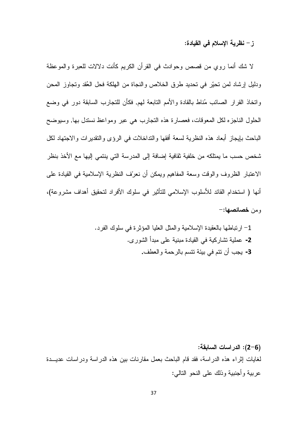#### ز – نظرية الإسلام في القيادة:

لا شك أنما روى من قصص وحوادث في القرأن الكريم كأنت دلالات للعبرة والموعظة ودليل إرشاد لمن تحيَّر في تحديد طرق الخلاص والنجاة من الهلكة فحل العُقد وتجاوز المحن واتخاذ القرار الصائب مُناط بالقادة والأمم النابعة لمهم, فكأن للتجارب السابقة دور في وضع الحلول الناجزه لكل المعوفات، فعصارة هذه النجارب هي عبر ومواعظ نستدل بها, وسيوضح الباحث بإيجاز أبعاد هذه النظرية لسعة أفقها والنداخلات في الرؤى والنقديرات والاجتهاد لكل شخص حسب ما يمتلكه من خلفية ثقافية إضافة إلى المدرسة التي ينتمي إليها مع الأخذ بنظر الاعتبار الظروف والوقت وسعة المفاهيم ويمكن أن نعرّف النظرية الإسلامية في القيادة على أنها ( استخدام القائد للأسلوب الإسلامي للتأثير في سلوك الأفراد لتحقيق أهداف مشروعة)، ومن خصائصها:-

(6–2): الدراسات السابقة: لغايات إثر اء هذه الدر اسة، فقد قام الباحث بعمل مقار نات بين هذه الدر اسة ودر اسات عديـــدة عربية وأجنبية وذلك على النحو التالي: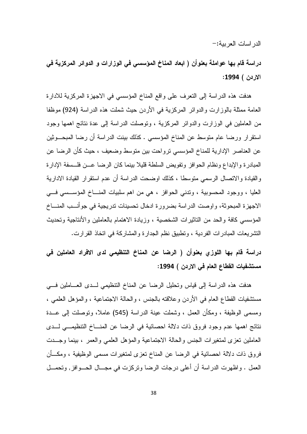الدر اسات العربية:-

دراسة قام بها عواملة بعنوأن ( ابعاد المناخ المؤسسى في الوزارات و الدوائر المركزية في الاردن ) 1994:

هدفت هذه الدراسة إلى التعرف على واقع المناخ المؤسسي في الاجهزة المركزية للادارة العامة ممثلة بالوز ارت و الدو ائر المركز ية في الأر دن حيث شملت هذه الدر اسة (924) موظفا من العاملين في الوزارت والدوائر المركزية ، وتوصلت الدراسة إلى عدة نتائج اهمها وجود استقرار ورضا عام متوسط عن المناخ المؤسسي . كذلك بينت الدراسة أن رضا المبحــوثين عن العناصر الإدارية للمناخ المؤسسي نرواحت بين منوسط وضعيف ، حيث كأن الرضا عن المبادرة والإبداع ونظام الحوافز ونفويض السلطة قليلا بينما كان الرضا عــن فلــسفة الإدارة والقيادة والاتصال الرسمي متوسطا ، كذلك اوضحت الدراسة أن عدم استقرار القيادة الادارية العليا ، ووجود المحسوبية ، وندنى الحوافز ، هي من اهم سلبيات المنـــاخ المؤســسي فـــي الاجهز ة المبحوثة، و او صت الدر اسة بضر و ر ة ادخال تحسينات تدر يجية في جو أنـــب المنــــاخ المؤسسي كافة والحد من الناثيرات الشخصية ، وزيادة الاهتمام بالعاملين والأنتاجية وتحديث التشريعات المبادرات الفردية ، ونطبيق نظم الجدارة والمشاركة في اتخاذ القرارت.

دراسة قام بها اللوزي بعنوأن ( الرضا عن المناخ التنظيمي لدى الافراد العاملين في مستشفيات القطاع العام في الاردن ) 1994:

هدفت هذه الدراسة إلى قياس ونحليل الرضا عن المناخ النتظيمي لـدى العــاملين فـــي مستشفيات القطاع العام في الأردن وعلاقته بالجنس ، والحالة الاجتماعية ، والمؤهل العلمي ، ومسمى الوظيفة ، ومكأن العمل ، وشملت عينة الدر اسة (545) عاملا، وتوصلت إلى عــدة نتائج اهمها عدم وجود فروق ذات دلالة احصائية في الرضا عن المنــاخ التنظيمـــي لـــدى العاملين نعزى لمتغيرات الجنس والحالة الاجتماعية والمؤهل العلمى والعمر ، بينما وجــدت فروق ذات دلالة احصائية في الرضا عن المناخ نعزى لمتغيرات مسمى الوظيفية ، ومكـــأن العمل . واظهرت الدراسة أن أعلى درجات الرضا ونركزت في مجـــال الحـــوافز, ونحمـــل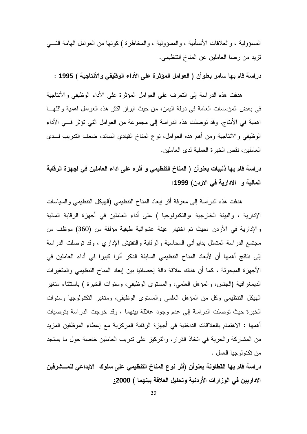المسؤولية ، و العلاقات الأنسأنية ، و المسؤولية ، و المخاطر ة ) كونها من العو امل الهامة التـــى نزيد من رضا العاملين عن المناخ التنظيمي.

در اسة قام بها سامر بعنو أن ( العوامل المؤثر ة على الأداء الوظيفي و الأنتاجية ) 1995 :

هدفت هذه الدراسة إلى النعرف على العوامل المؤثرة على الأداء الوظيفي والأنناجية في بعض المؤسسات العامة في دولة اليمن، من حيث ابراز اكثر هذه العوامل اهمية واقلهـــا اهمية في الأنتاج، وقد توصلت هذه الدراسة إلى مجموعة من العوامل التي تؤثر فسي الأداء الوظيفي والانتاجية ومن أهم هذه العوامل، نوع المناخ القيادي السائد، ضعف التدريب لـــدى العاملين، نقص الخبر ة العملية لدى العاملين.

دراسة قام بها ذنيبات بعنوأن ( المناخ التنظيمي و أثره على اداء العاملين في اجهزة الرقابة المالية و الادارية في الاردن) 1999:

هدفت هذه الدراسة إلى معرفة أثر إبعاد المناخ النتظيمي (الهيكل النتظيمي والسياسات الإدارية ، والبيئة الخارجية ،والتكنولوجيا ) على أداء العاملين في أجهزة الرقابة المالية والإدارية في الأردن ،حيث تم اختيار عينة عشوائية طبقية مؤلفة من (360) موظف من مجتمع الدراسة المتمثل بدايوأني المحاسبة والرقابة والتفتيش الإداري ، وقد توصلت الدراسة إلى نتائج أهمها أن لأبعاد المناخ التنظيمي السابقة الذكر أثرا كبيرا في أداء العاملين في الأجهز ة المبحوثة ، كما أن هناك علاقة دالة إحصائيا بين إبعاد المناخ التنظيمي والمتغيرات الديمغرافية (الجنس، والمؤهل العلمي، والمستوى الوظيفي، وسنوات الخبرة ) باستثناء متغير الهيكل التنظيمي وكل من المؤهل العلمي والمستوى الوظيفي، ومتغير التكنولوجيا وسنوات الخبر ة حيث توصلت الدر اسة إلى عدم وجود علاقة بينهما ، وقد خرجت الدر اسة بتوصيات أهمها : الاهتمام بالعلاقات الداخلية في أجهزة الرقابة المركزية مع إعطاء الموظفين المزيد من المشاركة والحرية في اتخاذ القرار، والنركيز على ندريب العاملين خاصة حول ما يستجد من نكنولوجيا العمل .

دراسة قام بها القطاونة بعنوأن (أثر نوع المناخ التنظيمي على سلوك الابداعي للمـــشرفين الاداريين في الوزارات الأردنية وتحليل العلاقة بينهما ) 2000: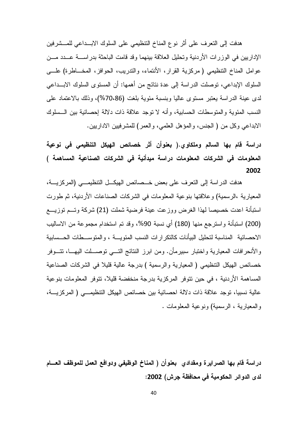هدفت إلى النعرف على أثر نوع المناخ التنظيمي على السلوك الابــداعي للمـــشرفين الإداريين في الوزرات الأردنية وتحليل العلاقة بينهما وقد قامت الباحثة بدراســـة عـــدد مـــن عوامل المناخ التنظيمي ( مركزية القرار ، الأنتماء، والندريب، الحوافز ، المخـــاطرة) علـــي السلوك الإبداعي، توصلت الدراسة إلى عدة نتائج من أهمها: أن المستوى السلوك الابـــداعي لدى عينة الدر اسة بعتبر مستوى عاليا وبنسبة مئوية بلغت (70،86%)، وذلك بالاعتماد على النسب المئوية والمنوسطات الحسابية، وأنه لا نوجد علاقة ذات دلالة إحصائية بين الــسلوك الإبداعي وكل من ( الجنس، والمؤهل العلمي، والعمر) للمشرفيين الاداريين.

در اسة قام بـها السالم وملكاو.ي.( بعنوأن أثر خصائص الـهيكل التنظيمي في نوعية المعلومات فى الشركات المعلومات دراسة ميدأنية في الشركات الصناعية المساهمة ) 2002

هدفت الدر اسة إلى التعرف على بعض خـــصـائص الهيكـــل التنظيمــــى (المركزيــــة، المعيار بة ،الر سمية) و علاقتها بنو عية المعلومات في الشركات الصناعات الأر دنية، ثم طور ت استبأنة اعدت خصيصا لهذا الغرض ووزعت عينة فرضية شملت (21) شركة وتسم توزيسع (200) استبأنة واسترجع منها (180) أي نسبة 90%، وقد تم استخدام مجموعة من الاساليب الاحصائية المناسبة لتحليل البيأنات كالتكر ار ات النسب المئويســة ، و المنوســـطات الـــــسابية والأنحرافات المعيارية واختبار سبيرمأن. ومن ابرز النتائج التـــي توصــــلت البهـــا، تتـــوفر خصائص الهيكل النتظيمي ( المعيارية والرسمية ) بدرجة عالية قليلا في الشركات الصناعية المساهمة الأر دنية ، في حين نتوفر المركز بة بدر جة منخفضة قلبلا، نتوفر المعلومات بنو عبة عالية نسبيا، نوجد علاقة ذات دلالة احصائية بين خصائص الهيكل التنظيمـــي ( المر كز يــــة، والمعبارية ، الرسمية) ونوعية المعلومات .

دراسة قام بها الصرايرة ومقدادي بعنوأن ( المناخ الوظيفي ودوافع العمل للموظف العسام لدى الدوائر الحكومية في محافظة جرش) 2002: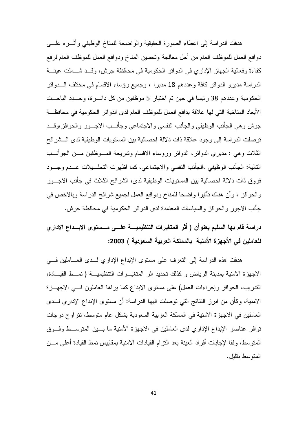هدفت الدر اسة إلى اعطاء الصورة الحقيقية والواضحة للمناخ الوظيفي وأثسر م علسى دوافع العمل للموظف العام من أجل معالجة وتحسين المناخ ودوافع العمل للموظف العام لرفع كفاءة وفعالية الجهاز الإداري في الدوائر الحكومية في محافظة جرش، وقــد شـــملت عينـــة الدراسة مديرو الدوائر كافة وعددهم 18 مديرا ، وجميع رؤساء الاقسام في مختلف السدوائر الحكومية وعددهم 38 رئيسا في حين تم اختيار 5 موظفين من كل دائـــرة، وحـــدد الباحـــث الأبعاد المناخية التي لها علاقة بدافع العمل للموظف العام لدى الدوائر الحكومية في محافظة جرش وهي الجأنب الوظيفي والجأنب النفسي والاجتماعي وجأنسب الاجسور والحوافز وقسد توصلت الدراسة إلى وجود علاقة ذات دلالة احصائية بين المستويات الوظيفية لدى الـــشرائح الثلاث وهي : مديري الدوائر ، الدوائر وروساء الاقسام وشريحة المسوظفين مسن الجوأنسب التالية: الجأنب الوظيفي ،الجأنب النفسي والاجتماعي، كما اظهرت التحلُّــيلات عــدم وجــود فروق ذات دلالة احصائية بين المستويات الوظيفية لدى، الشرائح الثلاث في جأنب الاجـــور والحوافز ، وأن هناك نأثيرًا واضحا للمناخ ودوافع العمل لجميع شرائح الدراسة وبالاخص في جأنب الاجور والحوافز والسياسات المعتمدة لدى الدوائر الحكومية في محافظة جرش.

دراسة قام بها السليم بعنوأن ( أثر المتغيرات التنظيميــــة علــــى مــــستو ى الابـــداع الادار ي للعاملين في الأجهزة الأمنية بالمملكة العربية السعودية ) 2003:

هدفت هذه الدراسة إلى النعرف على مستوى الإبداع الإدارى لـــدى العــــاملين فــــى الاجهزة الامنية بمدينة الرياض و كذلك تحديد اثر المتغيـــرات التنظيميــــة ( نمـــط القيــــادة، الندريب، الحوافز وإجراءات العمل) على مستوى الابداع كما براها العاملون فسى الاجهـــزة الامنية، وكأن من ابرز النتائج التي توصلت اليها الدراسة: أن مستوى الإبداع الإداري لـــدي العاملين في الاجهزة الامنية في المملكة العربية السعودية بشكل عام متوسط، تتراوح درجات توافر عناصر الإبداع الإداري لدى العاملين في الاجهزة الأمنية ما بـــين المتوســـط وفـــوق المنوسط، وفقا لإجابات أفراد العينة يعد النزام القيادات الامنية بمقاييس نمط القيادة أعلى مـــن المتوسط بقليل.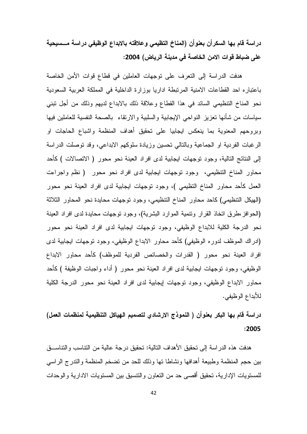دراسة قام بها السكرأن بعنوأن (المناخ التظيمي وعلاقته بالابداع الوظيفي دراسة مـــسيحية على ضباط قوات الامن الخاصة في مدينة الرياض) 2004:

هدفت الدر اسة إلى التعرف على توجهات العاملين في قطاع قوات الأمن الخاصة باعتبارِ ه احد القطاعات الامنية المرتبطة اداريا بوزارة الداخلية في المملكة العربية السعودية نحو المناخ التنظيمي السائد في هذا القطاع وعلاقة ذلك بالابداع لديهم وذلك من أجل تبني سياسات من شأنها تعزيز النواحى الإيجابية والسلبية والارنقاء بالصحة النفسية للعاملين فيها وبروحهم المعنوية بما ينعكس ايجابيا على تحقيق أهداف المنظمة واشباع الحاجات او الرغبات الفردية او الجماعية وبالنالي نحسين وزيادة سلوكهم الابداعي، وقد نوصلت الدراسة إلى النتائج التالية، وجود توجهات ايجابية لدى افراد العينة نحو محور ( الاتصالات ) كأحد محاور المناخ التنظيمي، وجود توجهات ايجابية لدى افراد نحو محور (نظم واجراءت العمل كأحد محاور المناخ النظيمي )، وجود نوجهات ايجابية لدى افراد العينة نحو محور (الهيكل التنظيمي) كاحد محاور المناخ التنظيمي، وجود نوجهات محايدة نحو المحاور الثلاثة (الحوافز ،طرق انخاذ القرار ونتمية الموارد البشرية)، وجود نوجهات محايدة لدى افراد العينة نحو الدرجة الكلية للابداع الوظيفي، وجود نوجهات ايجابية لدى افراد العينة نحو محور (ادراك الموظف لدوره الوظيفي) كأحد محاور الابداع الوظيفي، وجود توجهات ايجابية لدى افراد العينة نحو محور ( القدرات والخصائص الفردية للموظف) كأحد محاور الابداع الوظيفي، وجود توجهات ايجابية لدى افراد العينة نحو محور ( أداء واجبات الوظيفة ) كأحد محاور الابداع الوظيفي، وجود نوجهات إيجابية لدى افراد العينة نحو محور الدرجة الكلية للأبداع الوظيفي.

دراسة قام بها البكر بعنوأن ( النموذج الارشادي لتصميم الهياكل التنظيمية لمنظمات العمل) :2005

هدفت هذه الدراسة إلى تحقيق الأهداف النالية: تحقيق درجة عالية من النتاسب والنتاســـق بين حجم المنظمة وطبيعة أهدافها ونشاطا تها وذلك للحد من تضخم المنظمة والندرج الراسي للمستويات الإدارية، تحقيق أقصبي حد من التعاون والتتسيق بين المستويات الادارية والوحدات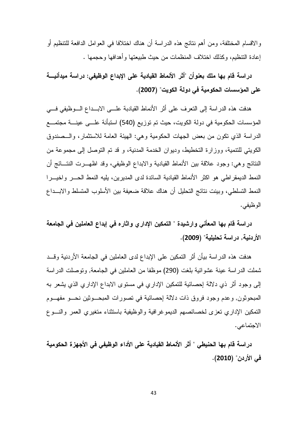والاقسام المختلفة، ومن أهم نتائج هذه الدراسة أن هناك اختلافا في العوامل الدافعة للتنظيم أو إعادة التنظيم، وكذلك اختلاف المنظمات من حيث طبيعتها وأهدافها وحجمها .

در إسة قام بـها ملك بعنو أن "أثر. الأنماط القيادية على الإبداع الوظيفي: در إسة ميدأنيـــة على المؤسسات الحكومية في دولة الكويت" (2007).

هدفت هذه الدراسة إلى التعرف على أثر الأنماط القيادبة علـــى الابـــداع الـــوظيفي فـــي المؤسسات الحكومية في دولة الكويت، حيث تم توزيع (540) استبأنة علـــي عينـــة مجتمـــع الدراسة الذي نكون من بعض الجهات الحكومية وهي: الهيئة العامة للاستثمار، والـــصندوق الكويتي للتنمية، ووز ار ة التخطيط، وديو ان الخدمة المدنية، و قد تم التوصل إلى مجموعة من النتائج وهي: وجود علاقة بين الأنماط القيادية والابداع الوظيفي، وقد اظهـــرت النتـــائج أن النمط الدبمقر اطے ٍ هو اكثر الأنماط القبادبة السائدة لدى المدبر بن، بلبه النمط الحـــر و اخبـــر ا النمط التسلطي، وبينت نتائج التحليل أن هناك علاقة ضعيفة بين الأسلوب المتسلط والابـــداع الوظيفي.

دراسة قام بـها المعأني وارشيدة " التمكين الإداري واثاره في إبداع العاملين في الجامعة الأردنية, دراسة تحليلية" (2009).

هدفت هذه الدر اسة بيأن أثر التمكين على الإبداع لدى العاملين في الجامعة الأردنية وقــد شملت الدراسة عينة عشوائية بلغت (290) موظفا من العاملين في الجامعة, ونوصلت الدراسة إلى وجود أثر ذي دلالة إحصائية للتمكين الإداري في مستوى الابداع الإداري الذي يشعر به المبحوثون, وعدم وجود فروق ذات دلالة إحصائية في تصورات المبحـــوثين نحـــو مفهـــوم التمكين الإداري نعزى لخصائصهم الديموغرافية والوظيفية باستثناء متغيري العمر والنسوع الاجتماعي.

دراسة قام بها الحنيطى " أثر الأنماط القيادية على الأداء الوظيفي في الأجهز ة الحكومية في الأردن" (2010).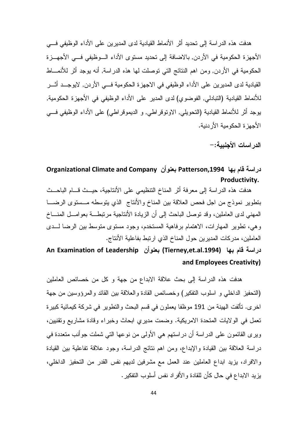هدفت هذه الدراسة إلى تحديد أثر الأنماط القيادية لدى المديرين على الأداء الوظيفي فـــي الأجهزة الحكومية في الأردن, بالاضافة إلى تحديد مستوى الأداء الــوظيفي فـــي الأجهـــزة الحكومية في الأردن, ومن اهم النتائج التي توصلت لها هذه الدراسة, أنه بوجد أثر للأنمـــاط القيادية لدى المديرين على الأداء الوظيفي في الاجهزة الحكومية فـــي الأردن٬ لايوجــد أثـــر للأنماط القيادية (التبادلي, الفوضوي) لدى المدير على الأداء الوظيفي في الأجهزة الحكومية, يوجد أثر للأنماط القيادية (التحويلي, الاوتوقراطي, و الديموقراطي) على الأداء الوظيفي فـــي الأحهز ة الحكومية الأر دنية.

الدر اسات الأحنيية: –

## دراسة قام بها Patterson,1994 بعنوأن Organizational Climate and Company Productivity.

هدفت هذه الدراسة إلى معرفة أثر المناخ التنظيمي على الأنتاجية، حيــث قـــام الباحــث بتطوير نموذج من اجل فحص العلاقة بين المناخ والأنتاج الذي يتوسطه مــستوى الرضـــا المهنى لدى العاملين، وقد توصل الباحث إلى أن الزيادة الأنتاجية مرتبطة بعوامـــل المنــــاخ وهي، تطوير المهارات، الاهتمام برفاهية المستخدم، وجود مستوى متوسط بين الرضا لـــدى العاملين، مدركات المديرين حول المناخ الذي ارتبط بفاعلية الأنتاج.

# دراسة قام بها (Tierney,et.al.1994) بعنوأن An Examination of Leadership and Employees Creativity)

هدفت هذه الدراسة إلى بحث علاقة الابداع من جهة و كل من خصائص العاملين (التحفيز الداخلي و اسلوب التفكير) وخصائص القادة والعلاقة بين القائد والمرؤوسين من جهة اخر ي. تألفت الـهينة من 191 موظفا يعملون في قسم البحث و النطوير في شر كة كيمائية كبير ة تعمل في الو لايات المتحدة الامريكية. وضمت مديري ابحاث وخبر اء وقادة مشاريع وتقنيين، وير ى القائمون على الدراسة أن دراستهم هي الأولى من نوعها التي شملت جوأنب متعددة في دراسة العلاقة بين القيادة والإبداع، ومن اهم نتائج الدراسة، وجود علاقة تفاعلية بين القيادة والافراد، يزيد ابداع العاملين عند العمل مع مشرفين لديهم نفس القدر من التحفيز الداخلي، يزيد الابداع في حال كأن للقادة و الأفر اد نفس أسلوب التفكير .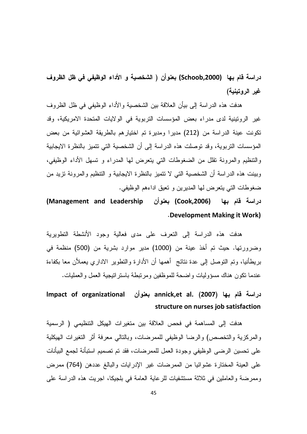در اسة قام بها (Schoob,2000) بعنو أن ( الشخصية و الأداء الوظيفي في ظل الظروف غير الروتينية)

هدفت هذه الدراسة إلى بيأن العلاقة بين الشخصية والأداء الوظيفي في ظل الظروف غير الرونينية لدى مدراء بعض المؤسسات النربوية في الولايات المتحدة الامريكية، وقد تكونت عينة الدراسة من (212) مديرا ومديرة تم اختيارهم بالطريقة العشوائية من بعض المؤسسات النربوية، وقد توصلت هذه الدراسة إلى أن الشخصية التي نتميز بالنظرة الايجابية و التنظيم و المر ونة تقلَّل من الضغوطات التي بتعرض لها المدر اء و تسهل الأداء الوظيفي، وبينت هذه الدراسة أن الشخصية التي لا نتميز بالنظرة الايجابية و التنظيم والمرونة نزيد من ضغوطات التي يتعرض لها المديرين و تعيق اداءهم الوظيفي.

دراسة قام بـها (Cook,2006) بعنوأن Management and Leadership) .Development Making it Work)

هدفت هذه الدراسة إلى النعرف على مدى فعالية وجود الأنشطة النطويرية وضرورتها. حيث تم أخذ عينة من (1000) مدير موارد بشرية من (500) منظمة في بريطأنيا، وتم النوصل إلى عدة نتائج أهمها أن الأدارة والنطوير الادارى يعملأن معا بكفاءة عندما نكون هناك مسؤوليات واضحة للموظفين ومرنبطة باستر اتيجية العمل والعمليات.

Impact of organizational در اسة قام بيها (2007) .annick,et al structure on nurses job satisfaction

هدفت إلى المساهمة في فحص العلاقة بين متغيرات الهيكل التنظيمي ( الرسمية والمركزية والتخصص) والرضا الوظيفي للممرضات، وبالتالي معرفة أثر التغيرات الهيكلية على تحسين الرضبي الوظيفي وجودة العمل للممرضات، فقد تم تصميم استبأنة لجمع البيأنات على العينة المختارة عشوائيا من الممرضات غير الإدرايات والبالغ عددهن (764) ممرض وممرضة والعاملين في ثلاثة مستشفيات للرعاية العامة في بلجيكا، اجريت هذه الدراسة على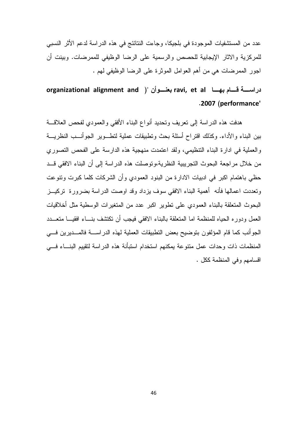عدد من المستشفيات الموجودة في بلجيكا، وجاءت النتائئج في هذه الدراسة لدعم الأثر النسبي للمركزية والاثار الإيجابية للحصص والرسمية على الرضا الوظيفي للممرضات. وبينت أن اجور الممرضات هي من أهم العوامل الموثرة على الرضا الوظيفي لهم .

# دراســــة قسـام بهــــا ravi, et al بعنــــوأن "( organizational alignment and .2007 (performance'

هدفت هذه الدر اسة إلى تعريف وتحديد أنواع البناء الأفقى والعمودي لفحص العلاقسة بين البناء والأداء. وكذلك اقتراح أسئلة بحث وتطبيقات عملية لتطــوير الجوأنــب النظريـــة والعملية في ادار ة البناء التنظيمي، ولقد اعتمدت منهجية هذه الدارسة على الفحص التصور ي من خلال مراجعة البحوث النجريبية النظرية،وتوصلت هذه الدراسة إلى أن البناء الافقى قــد حظى باهتمام اكبر في ادبيات الادارة من البنود العمودي وأن الشركات كلما كبرت وتنوعت ونعددت اعمالها فأنه أهمية البناء الافقى سوف يزداد وقد اوصت الدراسة بضرورة تركيــز البحوث المتعلقة بالبناء العمودي على نطوير اكبر عدد من المتغيرات الوسطية مثل أخلاقيات العمل ودوره الحياه للمنظمة اما المتعلقة بالبناء الافقى فيجب أن نكتشف بنساء افقيسا متعسدد الجوأنب كما قام المؤلفون بتوضيح بعض التطبيقات العملية لهذه الدراســـة فالمـــديرين فـــي المنظمات ذات وحدات عمل متنوعة بمكنهم استخدام استبأنة هذه الدراسة لتقييم البنساء فسى اقسامهم وفي المنظمة ككل .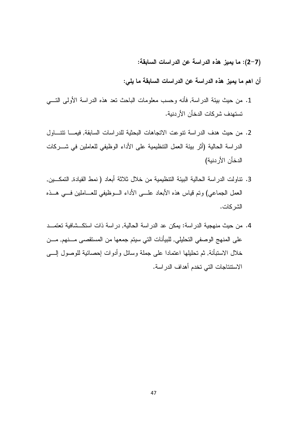(2–7): ما يميز هذه الدراسة عن الدراسات السابقة:

أن اهم ما يميز. هذه الدراسة عن الدراسات السابقة ما يلي:

- 1. من حيث بيئة الدراسة, فأنه وحسب معلومات الباحث تعد هذه الدراسة الأولى التسى تستهدف شر كات الدخأن الأر دنبة.
- 2. من حيث هدف الدراسة نتوعت الاتجاهات البحثية للدراسات السابقة, فيمـــا نتتــــاول الدراسة الحالية (أثر بيئة العمل النتظيمية على الأداء الوظيفي للعاملين في شــــركات الدخأن الأر دنبة)
- 3. تناولت الدراسة الحالية البيئة التنظيمية من خلال ثلاثة أبعاد ( نمط القيادة, التمكـــين, العمل الجماعي) وتم قياس هذه الأبعاد علـــي الأداء الـــوظيفي للعــــاملين فـــي هـــذه الشركات.
- 4. من حيث منهجية الدراسة: يمكن عد الدراسة الحالية, دراسة ذات استكـــشافية تعتمـــد على المنهج الوصفي التحليلي, للبيأنات التي سيتم جمعها من المستقصبي مـــنهم, مـــن خلال الاستبأنة, ثم تحليلها اعتمادا على جملة وسائل وأدوات إحصائية للوصول إلــــى الاستتتاجات التي تخدم أهداف الدراسة.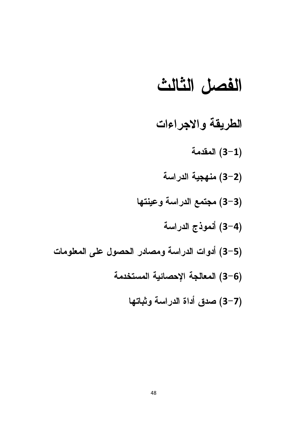# الفصل الثالث

# الطريقة والاجراءات

- (1–3) المقدمة
- (2–3) منهجية الدراسة
- (3-3) مجتمع الدراسة وعينتها
	- (4–3) أنموذج الدراسة
- (5–3) أدوات الدراسة ومصادر الحصول على المعلومات
	- (6–3) المعالجة الإحصائية المستخدمة
		- (7–3) صدق أداة الدراسة وثباتها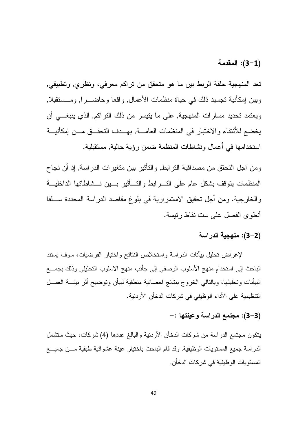#### (1–3): المقدمة

تعد المنهجية حلقة الربط بين ما هو متحقق من تراكم معرفي، ونظري, وتطبيقي, وبين إمكأنية تجسيد ذلك في حياة منظمات الأعمال, و اقعا و حاضــــر ا, و مـــستقبلا, ويعتمد تحديد مسارات المنهجية, على ما ينيسر ٍ من ذلك التراكم, الذي ينبغــــى أن يخضع للأننقاء و الاختبار في المنظمات العامـــة, بهــدف التحقــق مـــن إمكأنيـــة استخدامها في أعمال ونشاطات المنظمة ضمن رؤية حالية, مستقبلية.

ومن اجل النحقق من مصداقية الترابط, والنأثير بين متغيرات الدراسة, إذ أن نجاح المنظمات يتوقف بشكل عام على التسر ابط والتسأثير بسين نسشاطاتها الداخليسة والخارجية. ومن أجل تحقيق الاستمرارية في بلوغ مقاصد الدراسة المحددة سلفا أنطوى الفصل على ست نقاط رئيسة.

# (2–3): منهجية الدراسة

لإغراض تحليل بيأنات الدراسة واستخلاص النتائج واختبار الفرضيات، سوف يستند الباحث إلى استخدام منهج الأسلوب الوصفى إلى جأنب منهج الاسلوب التحليلي وذلك بجمـــع البيأنات وتحليلها، وبالتالي الخروج بنتائج احصائية منطقية لبيأن ونوضيح أثر بيئـــة العمـــل التنظيمية على الأداء الوظيفي في شركات الدخأن الأردنية.

## (3-3): مجتمع الدراسة وعينتها :-

يتكون مجتمع الدراسة من شركات الدخأن الأردنية والبالغ عددها (4) شركات، حيث ستشمل الدر اسة جميع المستويات الوظيفية, وقد قام الباحث باختيار عينة عشوائية طبقية مـــن جميـــع المستويات الوظيفية في شركات الدخأن,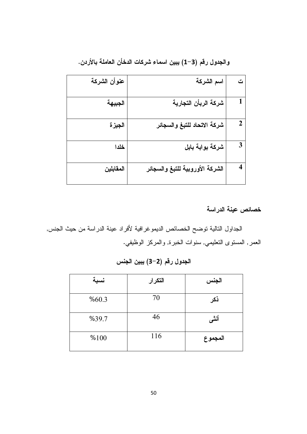|             | اسم الشركة                      | عنوأن الشركة |
|-------------|---------------------------------|--------------|
|             | شركة الربأن التجارية            | الجبيهة      |
| $\mathbf 2$ | شركة الاتحاد للتبغ والسجائر     | الجيزة       |
| 3           | شركة بوابة بابل                 | خلدا         |
|             | الشركة الأوروبية للتبغ والسجائر | المقابلين    |

والجدول رقم (3–1) يبين اسماء شركات الدخأن العاملة بالأردن.

خصائص عينة الدراسة

الجداول التالية توضح الخصائص الديموغرافية لأفراد عينة الدراسة من حيث الجنس, العمر, المستوى التعليمي, سنوات الخبرة, والمركز الوظيفي.

| نسبة  | التكرار | الجنس   |
|-------|---------|---------|
| %60.3 | 70      | ذكر     |
| %39.7 | 46      | أنشى    |
| %100  | 116     | المجموع |

الجدول رقم (2–3) يبين الجنس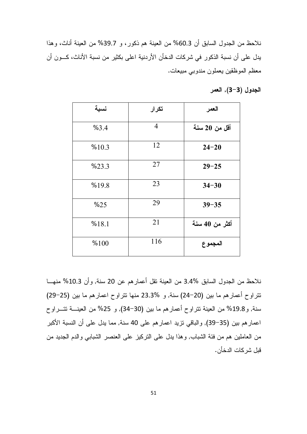نلاحظ من الجدول السابق أن 60.3% من العينة هم ذكور، و 39.7% من العينة أناث، وهذا يدل على أن نسبة الذكور في شركات الدخأن الأردنية اعلى بكثير من نسبة الأناث، كــون أن معظم الموظقين يعملون مندوبي مبيعات.

الجدول (3-3), العمر

| نسبة  | تكرار | العمر          |
|-------|-------|----------------|
| %3.4  | 4     | أقل من 20 سنة  |
| %10.3 | 12    | $24 - 20$      |
| %23.3 | 27    | $29 - 25$      |
| %19.8 | 23    | $34 - 30$      |
| %25   | 29    | $39 - 35$      |
| %18.1 | 21    | أكثر من 40 سنة |
| %100  | 116   | المجموع        |

نلاحظ من الجدول السابق %3.4 من العينة نقل أعمار هم عن 20 سنة, وأن 10.3% منهــا نتراوح أعمارهم ما بين (20−24) سنة, و %23.3 منها نتراوح اعمارهم ما بين (25−29) سنة, و19.8% من العينة نتراوح أعمارهم ما بين (30-34), و 25% من العينــــة نتــــراوح اعمار هم بين (35–39), والباقي نزيد اعمار هم على 40 سنة, مما يدل على أن النسبة الأكبر من العاملين هم من فئة الشباب, وهذا يدل على النركيز على العنصر الشبابي والدم الجديد من قبل شر كات الدخأن.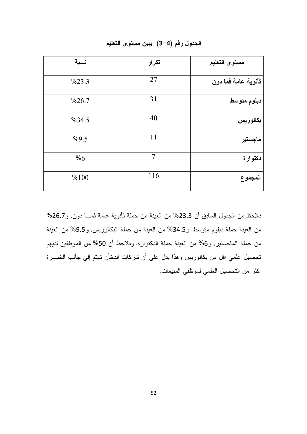| نسبة  | تكرار | مستوى التعليم       |
|-------|-------|---------------------|
| %23.3 | 27    | ثأنوية عامة فما دون |
| %26.7 | 31    | دبلوم متوسط         |
| %34.5 | 40    | بكالوريس            |
| %9.5  | 11    | ماجستير             |
| %6%   | 7     | دكتوارة             |
| %100  | 116   | المجموع             |

الجدول رقم (4–3) يبين مستوى التعليم

نلاحظ من الجدول السابق أن 23.3% من العينة من حملة ثأنوية عامة فمـــا دون, و26.7% من العينة حملة دبلوم منوسط, و34.5% من العينة من حملة البكالوريس, و9.5% من العينة من حملة الماجستير, و6% من العينة حملة الدكتوارة, ونلاحظ أن 50% من الموظفين لديهم تحصيل علمي اقل من بكالوريس وهذا يدل على أن شركات الدخأن تهتم إلى جأنب الخبـــرة اكثر من التحصيل العلمي لموظفي المبيعات.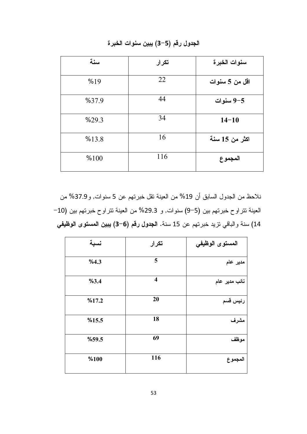الجدول رقم (5–3) يبين سنوات الخبرة

| سنة   | تكرار | سنوات الخبرة   |
|-------|-------|----------------|
| %19   | 22    | اقل من 5 سنوات |
| %37.9 | 44    | 9-5 سنوات      |
| %29.3 | 34    | $14 - 10$      |
| %13.8 | 16    | اكثر من 15 سنة |
| %100  | 116   | المجموع        |

نلاحظ من الجدول السابق أن 19% من العينة نقل خبرتهم عن 5 سنوات, و37.9% من العينة نتراوح خبرتهم بين (5–9) سنوات, و 29.3% من العينة نتراوح خبرتهم بين (10– 14) سنة والباقي تزيد خبرتهم عن 15 سنة. ا**لجدول رقم (6−3) يبين المستوى الوظيفي** 

| نسبة  | تكرار                   | المستوى الوظيفى |
|-------|-------------------------|-----------------|
| %4.3  | 5                       | مدیر عام        |
| %3.4  | $\overline{\mathbf{4}}$ | نائب مدير عام   |
| %17.2 | 20                      | رئيس قسم        |
| %15.5 | 18                      | مشرف            |
| %59.5 | 69                      | موظف            |
| %100  | 116                     | المجموع         |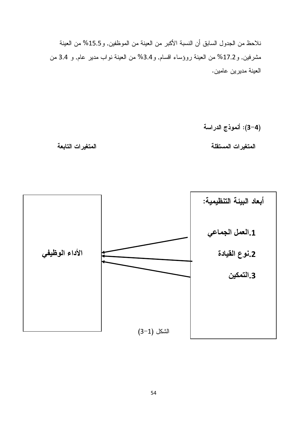نلاحظ من الجدول السابق أن النسبة الأكبر من العينة من الموظفين, و15.5% من العينة مشرفين, و17.2% من العينة روؤساء افسام, و3.4% من العينة نواب مدير عام, و 3.4 من العينة مديرين عامين.

(4–3): أنموذج الدراسة

المتغيرات التابعة

المتغيرات المستقلة

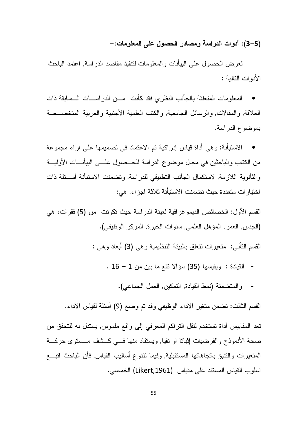(5–3): أدوات الدراسة ومصادر الحصول على المعلومات:–

لغرض الحصول على البيأنات والمعلومات لنتفيذ مقاصد الدراسة, اعتمد الباحث الأدوات النالبة :

المعلومات المتعلقة بالجأنب النظرى فقد كأنت مسن الدراسسات السسابقة ذات العلاقة, و المقالات, و الر سائل الجامعية, و الكتب العلمية الأجنبية و العربية المتخصــصـة بموضوع الدر اسة.

الاستبأنة: و هي أداة قياس إدر اكية تم الاعتماد في تصميمها على اراء مجموعة من الكتاب والباحثين في مجال موضوع الدراسة للحــصول علـــي البيأنــــات الأوليــــة والثأنوية اللازمة, لاستكمال الجأنب التطبيقي للدراسة, وتضمنت الاستبأنة أســئلة ذات اختيار ات متعددة حيث تضمنت الاستبأنة ثلاثة اجز اء, هي:

القسم الأول: الخصبائص الديمو غر افية لعبنة الدر اسة حيث تكونت من (5) فقر ات، هي (الجنس, العمر, المؤهل العلمي, سنوات الخبرة, المركز الوظيفي).

القسم الثَّانـي: متغيرات نتعلَّق بالبيئة التنظيمية و هي (3) أبعاد و هي :

- القيادة : ويقيسها (35) سؤالا نقع ما بين من 1 16 .
	- والمتضمنة (نمط القيادة, التمكين, العمل الجماعي).  $\sim$   $\sim$

القسم الثالث: نضمن منغير الأداء الوظيفي وقد نم وضع (9) أسئلة لقياس الأداء.

تعد المقاييس أداة تستخدم لنقل النراكم المعرفي إلى واقع ملموس, يستدل به للتحقق من صحة الأنموذج والفرضيات إثباتا او نفيا, ويستفاد منها فسي كسثف مـــستوى حركـــة المتغيرات والتنبؤ باتجاهاتها المستقبلية, وفيما تتنوع أساليب القياس, فأن الباحث اتبـــع اسلوب القياس المستند على مقياس (Likert,1961) الخماسي.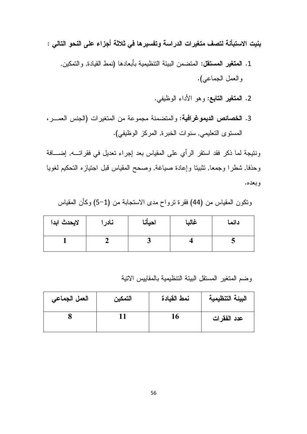بنيت الاستبأنــة لتصف متغيرات الدراسـة وتفسير ها فـي ثلاثـة أجزاء علـي النحو التالـي :

- 1. المتغير المستقل: المتضمن البيئة التنظيمية بأبعادها (نمط القيادة, والتمكين, والعمل الجماعي).
	- 2. المتغير التابع: وهو الأداء الوظيفي.
- 3. الخصائص الديموغرافية: والمتضمنة مجموعة من المتغيرات (الجنس العمـــر)، المستوى التعليمي, سنوات الخبرة, المركز الوظيفي).

ونتيجة لما ذكر فقد استقر الرأي على المقياس بعد إجراء تعديل في فقراتسه, إضـــافة وحذفا, شطرا وجمعا, تثبيتا وإعادة صياغة, وصحح المقياس قبل اجتيازه التحكيم لغويا وبعده.

ونكون المقياس من (44) فقرة نزواح مدى الاستجابة من (1–5) وكأن المقياس

| لايحدث ابدا | نادر | احيأنا | غالبا | دائما |
|-------------|------|--------|-------|-------|
|             |      |        |       | ັ     |

وضم المتغير المستقل البيئة التنظيمية بالمقاييس الاتية

| العمل الجماعي | التمكين | نمط القيادة | البيئة التنظيمية |
|---------------|---------|-------------|------------------|
|               |         | 16          | عدد الفقرات      |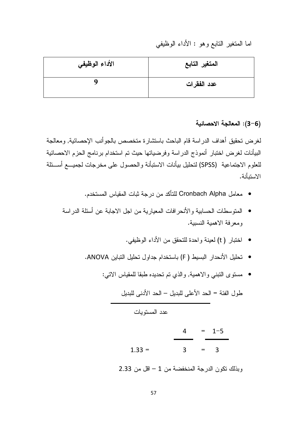#### اما المتغير التابع وهو : الأداء الوظيفي

| الأداء الوظيفي | المتغير التابع |
|----------------|----------------|
| q              | عدد الفقرات    |

#### (6–3): المعالجة الاحصائية

لغرض تحقيق أهداف الدراسة قام الباحث باستثنارة متخصص بالجوأنب الإحصائية, ومعالجة البيأنات لغرض اختبار أنموذج الدراسة وفرضياتها حيث تم استخدام برنامج الحزم الاحصائية للعلوم الاجتماعية (SPSS) لتحليل بيأنات الاستبأنة والحصول على مخرجات لجميـــع أســـئلة الاستيأنة.

- معامل Cronbach Alpha للتأكد من درجة ثبات المقياس المستخدم.
- المتوسطات الحسابية و الأنحر افات المعيار ية من اجل الاجابة عن أسئلة الدر اسة ومعرفة الاهمية النسبية.
	- اختبار ( t) لعينة واحدة للتحقق من الأداء الوظيفي.
	- تحليل الأنحدار البسيط ( F) باستخدام جداول تحليل التباين ANOVA.
		- مستوى التبني والاهمية, والذي تم تحديده طبقا للمقياس الاتبي:

طول الفئة = الحد الأعلى للبديل – الحد الأدنى للبديل

| عدد المستويات                                 |           |  |
|-----------------------------------------------|-----------|--|
|                                               | $4 = 1-5$ |  |
| $1.33 =$                                      | $3 = 3$   |  |
| وبذلك نكون الدرجة المنخفضة من 1 – اقل من 2.33 |           |  |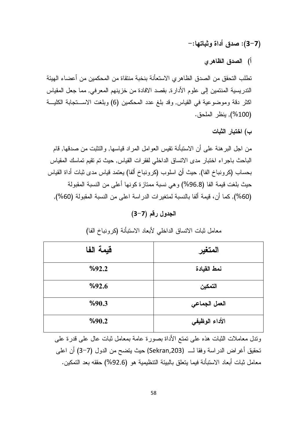#### (7–3): صدق أداة وثباتها:–

أ) الصدق الظاهر ي

تطلب التحقق من الصدق الظاهر ي الاستعأنة بنخبة منتقاة من المحكمين من أعضاء الهيئة الندريسية المنتمين إلى علوم الأدارة, بقصد الافادة من خزينهم المعرفي, مما جعل المقياس اكثر دقة وموضوعية في القياس, وقد بلغ عدد المحكمين (6) وبلغت الاستجابة الكليسة (100%), ينظر الملحق.

ب) اختبار الثبات

من اجل البر هنة على أن الاستبأنة تقيس العو امل المر اد قياسها, و النّثبت من صدقها, قام الباحث باجر اء اختبار مدى الاتساق الداخلي لفقر ات القياس, حيث تم تقيم تماسك المقياس بحساب (كرونباخ الفا), حيث أن اسلوب (كرونباخ ألفا) يعتمد قياس مدى ثبات أداة القياس حبث بلغت قبمة الفا (96.8%) و هي نسبة ممتاز ة كونها أعلى من النسبة المقبولة (60%), كما أن، قيمة ألفا بالنسبة لمتغيرات الدراسة اعلى من النسبة المقبولة (60%),

#### الجدول رقم (7–3)

| قيمة الفا | المتغير        |
|-----------|----------------|
| %92.2     | نمط القيادة    |
| %92.6     | التمكين        |
| %90.3     | العمل الجماعي  |
| %90.2     | الأداء الوظيفي |

معامل ثبات الاتساق الداخلي لأبعاد الاستبأنة (كرونباخ الفا)

وتدل معاملات الثبات هذه على تمتع الأداة بصورة عامة بمعامل ثبات عال على قدرة على تحقيق أغراض الدراسة وفقا لــــ (Sekran,203) حيث يتضح من الدول (7–3) أن اعلى معامل ثبات أبعاد الاستبأنة فيما يتعلق بالبيئة التنظيمية هو (92.6%) حققه بعد التمكين.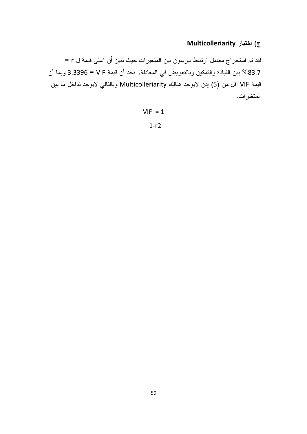### ج) اختبار Multicolleriarity

لقد تم استخراج معامل ارتباط بيرسون بين المتغيرات حيث تبين أن اعلى قيمة ل r = 83.7% بين القيادة والتمكين وبالتعويض في المعادلة, نجد أن قيمة VIF = 3.3396 وبما أن قيمة VIF اقل من (5) إذن لايوجد هنالك Multicolleriarity وبالنالي لايوجد نداخل ما بين المتغير ات.

> $VIF = 1$  $1-r2$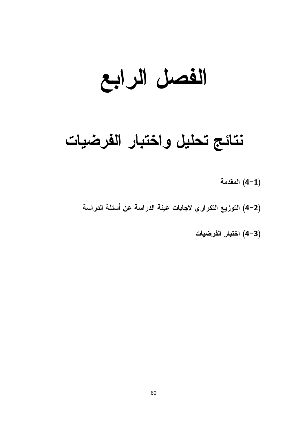# الفصل الرابع

## نتائج تحليل واختبار الفرضيات

- (1-4) المقدمة
- (2–4) التوزيع التكراري لاجابات عينة الدراسة عن أسئلة الدراسة
	- (3–4) اختبار الفرضيات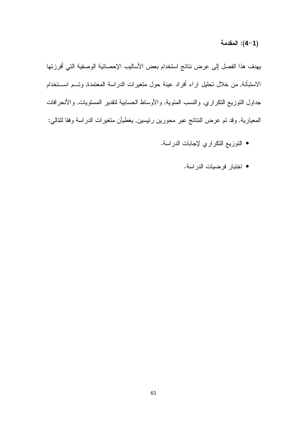(1-4): المقدمة

يهدف هذا الفصل إلى عرض نتائج استخدام بعض الأساليب الإحصائية الوصفية التي أفرزتها الاستبأنة, من خلال تحليل اراء أفراد عينة حول متغيرات الدراسة المعتمدة, وتــم اســتخدام جداول النوزيع النكراري, والنسب المئوية, والأوساط الحسابية لنقدير المستويات, والأنحرافات المعيارية, وقد تم عرض النتائج عبر محورين رئيسين, يغطيأن متغيرات الدراسة وفقا للتالي:

- النوزيع النكراري لإجابات الدراسة.
	- اختبار فرضيات الدراسة.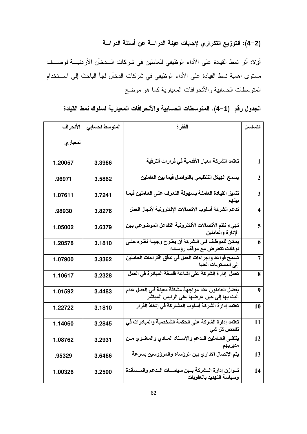(2–4): التوزيع التكراري لإجابات عينة الدراسة عن أسئلة الدراسة

أولا: أثر نمط القيادة على الأداء الوظيفي للعاملين في شركات الـــدخأن الأردنيـــة لوصـــف مستوى اهمية نمط القيادة على الأداء الوظيفي في شركات الدخأن لجأ الباحث إلى اســـتخدام المنوسطات الحسابية والأنحرافات المعيارية كما هو موضح

الجدول رقم (1–4). المتوسطات الحسابية والأنحرافات المعيارية لسلوك نمط القيادة

| الأنحراف | المتوسط لحسابى | الفقر ة                                                                                          | التسلسل                 |
|----------|----------------|--------------------------------------------------------------------------------------------------|-------------------------|
| لمعيار ي |                |                                                                                                  |                         |
| 1.20057  | 3.3966         | تعتمد الشَّركة معيار الأقدمية في قرارات ألترقية                                                  | 1                       |
| .96971   | 3.5862         | يسمح الهيكل التنظيمي بالتواصل فيما بين العاملين                                                  | $\overline{2}$          |
| 1.07611  | 3.7241         | تتميز القيادة العاملة بسهولة التعرف على العاملين فيما                                            | $\overline{\mathbf{3}}$ |
| .98930   | 3.8276         | تدعم الشركة أسلوب الاتصالات الإلكترونية لأنجاز العمل                                             | 4                       |
| 1.05002  | 3.6379         | تهىء نظم الأتصالات الألكترونية التفاعل الموضوعي بين<br>الإدارة والعاملين                         | 5                       |
| 1.20578  | 3.1810         | يمكن للموظف فـى الـشركة أن يطرح وجهـة نظره حتـى<br>لوكأنت تتعارض مع موقف رؤسائه                  | 6                       |
| 1.07900  | 3.3362         | تسمح قواعد وإجراءات العمل في تدفق اقتراحات العاملين<br>إلى المستويات العليا                      | $\overline{7}$          |
| 1.10617  | 3.2328         | تعمل  إدارة الشّركة على إشاعة فلسفة المبادرة في العمل                                            | 8                       |
| 1.01592  | 3.4483         | يفضل العاملون عند مواجهة مشكلة معينة في العمل عدم<br>البت بـها إلى حين عرضـها على الرئيس المباشر | 9                       |
| 1.22722  | 3.1810         | تعتمد إدارة الشركة أسلوب المشاركة في إتخاذ القرار                                                | 10                      |
| 1.14060  | 3.2845         | تعتمد إدارة الشركة على الحكمة الشخصية والمبادرات في<br>تفحص كل ش <i>ي</i>                        | 11                      |
| 1.08762  | 3.2931         | يتلقى العـاملين الـدعم والإسـنـاد المـادي والمعنـوي مـن<br>مديريهم                               | 12                      |
| .95329   | 3.6466         | يتم الإتصال الاداري بين الرؤساء والمرووسين بسرعة                                                 | 13                      |
| 1.00326  | 3.2500         | تــوازن إدارة الـــشركة بـــين سياســـات الــدعم والمـــسأندة<br>وسياسة التهديد بالعقوبات        | 14                      |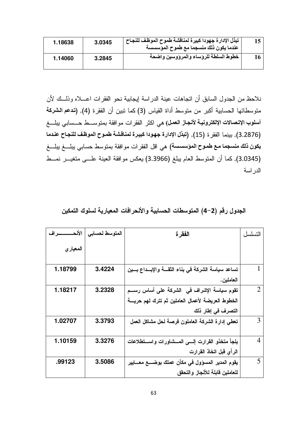| 1.18638 | 3.0345 | ً تبذل الإدارة جهودا كبيرة لمناقشة طموح الموظف للنجاح .<br>عندما يكون ذلك منسجما مع طموح الموسسسية |    |
|---------|--------|----------------------------------------------------------------------------------------------------|----|
| 1.14060 | 3.2845 | خطوط السلطة للروساء والمرووسين واضحة                                                               | 16 |

نلاحظ من الجدول السابق أن انجاهات عينة الدراسة إيجابية نحو الفقرات اعـــلاه وذلـــك لأن متوسطاتها الحسابية أكبر من متوسط أداة القياس (3) كما نبين أن الفقرة (4), (تدعم الشركة أسلوب الإتصالات الإلكترونيــة لأنجــاز الـعمـل) هي اكثر الفقرات موافقة بمتوســــط حــــسابي يبلــــغ (3.2876), بينما الفقر ة (15), (تبذل الإدارة جهودا كبيرة لمناقشة طموح الموظف للنجاح عندما يكون ذلك منسجما مـع طمـوح المؤسسـسة) هي اقل الفقر ات موافقة بمنوسط حسابـي يبلــــغ يبلــــغ (3.0345), كما أن المتوسط العام يبلغ (3.3966) يعكس موافقة العينة علـــي متغيـــر نمــط الدر اسة

|          | المتوسط لحسابى | الفقر ة                                                | التسلسل        |
|----------|----------------|--------------------------------------------------------|----------------|
| المعياري |                |                                                        |                |
| 1.18799  | 3.4224         | تساعد سياسة الشركة في بناء الثقـــة والإبـــداع بـــين |                |
|          |                | العاملين .                                             |                |
| 1.18217  | 3.2328         | تقوم سياسة الإشراف في  الشركة على أساس رســم           | 2              |
|          |                | الخطوط العريضة لأعمال العاملين ثم تترك لهم حريسة       |                |
|          |                | التصرف في إطار ذلك                                     |                |
| 1.02707  | 3.3793         | تعطى إدارة الشركة العاملون فرصة لحل مشاكل العمل        | 3              |
|          |                |                                                        |                |
| 1.10159  | 3.3276         | يلجأ متخذو القرارت إلسي المسشاورات واستظلاعات          | $\overline{4}$ |
|          |                | الرأي قبل اتخاذ القرارت                                |                |
| .99123   | 3.5086         | يقوم المدير المسؤول في مكأن عملك بوضــــع معــــايير   | 5              |
|          |                | للعاملين قابلة للأنجاز والتحقق                         |                |

الجدول رقم (2–4) المتوسطات الحسابية والأنحرافات المعيارية لسلوك التمكين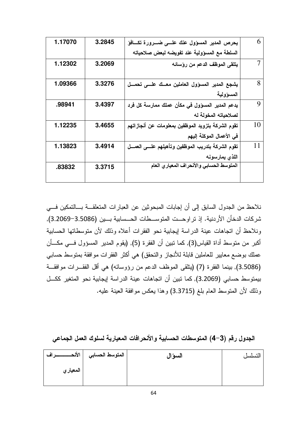| 1.17070 | 3.2845 | يحرص المدير المسؤول عنك علـــى ضـــرورة تكـــافؤ  | 6  |
|---------|--------|---------------------------------------------------|----|
|         |        | السلطة مع المسؤولية عند تفويضه لبعض صلاحياته      |    |
| 1.12302 | 3.2069 | يتلقى الموظف الدعم من رؤسائه                      |    |
|         |        |                                                   |    |
| 1.09366 | 3.3276 | يشجع المدير المسؤول العاملين معسك علسى تحمسل      | 8  |
|         |        | المسؤولية                                         |    |
| .98941  | 3.4397 | يدعم المدير المسؤول في مكأن عملك ممارسة كل فرد    | 9  |
|         |        | لصلاحياته المخولة له                              |    |
| 1.12235 | 3.4655 | تقوم الشركة بتزويد الموظفين بمعلومات عن أنجازاتهم | 10 |
|         |        | في الأعمال الموكلة إليهم                          |    |
| 1.13823 | 3.4914 | تقوم الشركة بتدريب الموظفين وتأهيلهم علسى العمسل  | 11 |
|         |        | اللذي يمارسونه                                    |    |
| .83832  | 3.3715 | المتوسط الحسابي والأنحراف المعياري العام          |    |
|         |        |                                                   |    |

نلاحظ من الجدول السابق إلى أن إجابات المبحوثين عن العبارات المتعلقــة بــالتمكين فـــى شركات الدخأن الأردنية. إذ تراوحــت المتوســطات الحــسابية بـــين (3.5086–3.2069), ونلاحظ أن اتجاهات عينة الدراسة إيجابية نحو الفقرات أعلاه وذلك لأن متوسطاتها الحسابية أكبر من منوسط أداة القياس(3), كما نبين أن الفقرة (5), (يقوم المدير المسؤول فـــي مكـــأن عملك بوضع معايير للعاملين قابلة للأنجاز والتحقق) هي أكثر الفقرات موافقة بمتوسط حسابي (3.5086), بينما الفقرة (7) (يتلقى الموظف الدعم من رؤوسائه) هي أقل الفقـــرات موافقـــة بيمتوسط حسابي (3.2069), كما نبين أن اتجاهات عينة الدراسة إيجابية نحو المتغير ككــل وذلك لأن المنوسط العام بلغ (3.3715) وهذا يعكس موافقة العينة عليه.

الجدول رقم (3–4) المتوسطات الحسابية والأنحرافات المعيارية لسلوك العمل الجماعي

| الأند<br>- (ف | المتوسط الحسابي | السؤال | التسلسل |
|---------------|-----------------|--------|---------|
| المعيار ي     |                 |        |         |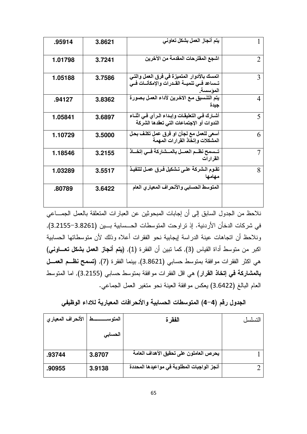| .95914  | 3.8621 | يتم أنجاز العمل بشكل تعاونى                                                                                  |   |
|---------|--------|--------------------------------------------------------------------------------------------------------------|---|
| 1.01798 | 3.7241 | اشجع المفترحات المقدمة من الآخرين                                                                            | 2 |
| 1.05188 | 3.7586 | اتمسك بالأدوار المتميزة في فرق العمل والتي<br>تــساعد فــي تنميـــة القــدرات والإمكأنـــات فــي<br>المؤسسة. |   |
| .94127  | 3.8362 | يتم التنسيق مع الاخرين لأداء العمل بصورة                                                                     | 4 |
| 1.05841 | 3.6897 | أشـارك فـى التعليقـات وإبـداء الـرأي فـى اثنــاء<br>الندوات أو الإجتماعات التى تعقدها الشركة                 | 5 |
| 1.10729 | 3.5000 | أسعى للعمل مع لجأن او فرق عمل تكلف بحل<br>المشكلات وإتخاذ القرارات المهمة                                    | 6 |
| 1.18546 | 3.2155 | تـــسمح نظـــم الـعمـــل بـالمـــشاركـة فـــى إتخـــاذ<br>القرارات                                           |   |
| 1.03289 | 3.5517 | تقـوم الـشركة علـى تـشكيل فـرق عمـل لتنفيـذ                                                                  | 8 |
| .80789  | 3.6422 | المتوسط الحسابي والأنحراف المعياري العام                                                                     |   |

.<br>نلاحظ من الجدول السابق إلى أن إجابات المبحوثين عن العبارات المتعلقة بالعمل الجمـــاعي في شركات الدخأن الأردنية. إذ تراوحت المتوسطات الحــسابية بـــين (3.8261–3.2155), ونلاحظ أن انجاهات عينة الدراسة إيجابية نحو الفقرات أعلاه وذلك لأن متوسطاتها الحسابية اكبر من متوسط أداة القياس (3), كما تبين أن الفقرة (1), (يتم أنجاز العمل بشكل تعـــاوني) هي اكثر الفقرات موافقة بمنوسط حسابي (3.8621), بينما الفقرة (7), (تسمح نظم العصـل بالمشاركة في إتخاذ القرار) هي اقل الفقرات موافقة بمنوسط حسابي (3.2155), اما المنوسط العام البالغ (3.6422) يعكس موافقة العينة نحو متغير العمل الجماعي.

| الأنحراف المعياري | المتوسد | الفقر ة                                    | التسلسل |
|-------------------|---------|--------------------------------------------|---------|
|                   | التسابى |                                            |         |
| .93744            | 3.8707  | يحرص العاملون على تحقيق الأهداف العامة     |         |
| .90955            | 3.9138  | أنجز الواجبات المطلوبة في مواعيدها المحددة |         |

الجدول رقم (4–4) المتوسطات الحسابية والأنحرافات المعيارية للاداء الوظيفي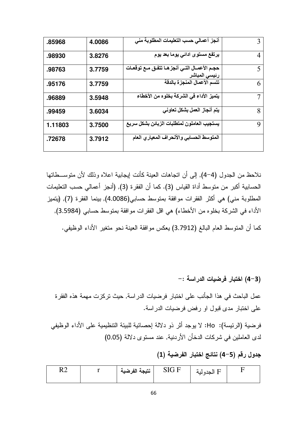| .85968  | 4.0086 | أنجز أعمالى حسب التعليمات المطلوبة منى                              |   |
|---------|--------|---------------------------------------------------------------------|---|
| .98930  | 3.8276 | يرتفع مستوى ادائ <i>ى</i> يوما بعد يوم                              |   |
| .98763  | 3.7759 | حجم الأعمــال التــى أنجز هــا تتفـق مــع توقعــات<br>رئيسى المباشر |   |
| .95176  | 3.7759 | تتسم الأعمال المنجزة بالدقة                                         | 6 |
| .96889  | 3.5948 | يتميز الأداء في الشركة بخلوه من الأخطاء                             |   |
| .99459  | 3.6034 | يتم أنجاز العمل بشكل تعاوني                                         | 8 |
| 1.11803 | 3.7500 | يستجيب العاملون لمتطلبات الزبائن بشكل سريع                          | Q |
| .72678  | 3.7912 | المتوسط الحسابي والأنحراف المعياري العام                            |   |

نلاحظ من الجدول (4–4), إلى أن انجاهات العينة كأنت إيجابية اعلاه وذلك لأن متوســـطاتها الحسابية أكبر من متوسط أداة القياس (3). كما أن الفقرة (3), (أنجز أعمالي حسب التعليمات المطلوبة مني) هي أكثر الفقرات موافقة بمتوسط حسابي(4.0086), بينما الفقرة (7), (يتميز الأداء في الشركة بخلوء من الأخطاء) هي اقل الفقرات موافقة بمتوسط حسابي (3.5984),

كما أن المنوسط العام البالغ (3.7912) يعكس موافقة العينة نحو منغير الأداء الوظيفي.

(3–4) اختبار فرضيات الدراسة :–

عمل الباحث في هذا الجأنب على اختبار فرضيات الدراسة, حيث تركزت مهمة هذه الفقرة على اختبار مدى قبول او رفض فرضيات الدراسة.

فرضية (الرئيسة): Ho: لا يوجد أثر ذو دلالة إحصائية للبيئة التنظيمية على الأداء الوظيفي لدى العاملين في شركات الدخأن الأردنية, عند مستوى دلالة (0.05)

#### جدول رقم (5–4) نتائج اختبار الفرضية (1)

| R2 | نتيجة الفرضية | <b>SIGF</b> | حده سه |  |
|----|---------------|-------------|--------|--|
|    |               |             |        |  |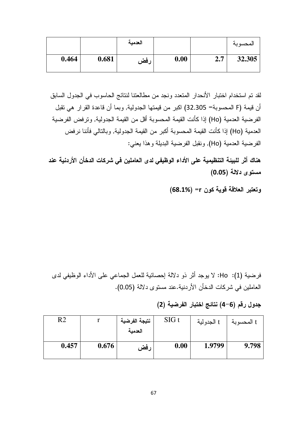|       |       | العدمية |      |     | المحسوبة |
|-------|-------|---------|------|-----|----------|
| 0.464 | 0.681 | رفض     | 0.00 | 2.7 | 32.305   |

لقد تم استخدام اختبار الأنحدار المتعدد ونجد من مطالعتنا لنتائج الحاسوب في الجدول السابق أن فيمة (F المحسوبة= 32.305) اكبر من فيمتها الجدولية, وبما أن فاعدة القرار هي نقبل الفرضية العدمية (Ho) إذا كأنت القيمة المحسوبة أقل من القيمة الجدولية, وترفض الفرضية العدمية (Ho) إذا كأنت القيمة المحسوبة أكبر من القيمة الجدولية, وبالنالي فأننا نرفض الفر ضبية العدمية (Ho), ونقبل الفر ضبية البديلة و هذا يعني:

هناك أثر للبيئة التنظيمية على الأداء الوظيفي لدى العاملين في شركات الدخأن الأردنية عند مستوى دلالة (0.05)

 $(68.1\%) = r$ وتعتبر العلاقة قوية كون r= (68.1%)

فرضية (1): Ho: لا يوجد أثر ذو دلالة إحصائية للعمل الجماعي على الأداء الوظيفي لدى العاملين في شركات الدخأن الأردنية.عند مستوى دلالة (0.05).

جدول رقم (6–4) نتائج اختبار الفرضية (2)

| R2    |       | نتيجة الفرضية<br>العدمبة | SIGt | t الجدولية | t المحسوبة |
|-------|-------|--------------------------|------|------------|------------|
| 0.457 | 0.676 | رفض                      | 0.00 | 1.9799     | 9.798      |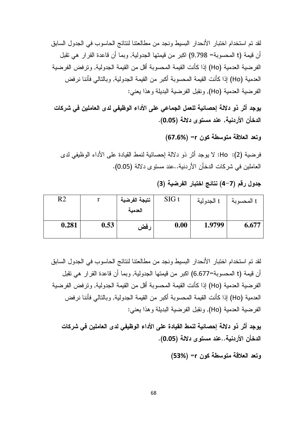لقد تم استخدام اختبار الأنحدار البسيط ونجد من مطالعتنا لنتائج الحاسوب في الجدول السابق أن قيمة (t المحسوبة= 9.798) اكبر من قيمتها الجدولية, وبما أن قاعدة القر ار هي تقبل الفر ضبية العدمية (Ho) إذا كأنت القيمة المحسوبة أقل من القيمة الجدولية, و تر فض الفر ضبية العدمية (Ho) إذا كأنت القيمة المحسوبة أكبر من القيمة الجدولية, وبالتالي فأننا نرفض الفرضية العدمية (Ho), ونقبل الفرضية البديلة وهذا يعني:

يوجد أثر ذو دلالة إحصائية للعمل الجماعى على الأداء الوظيفي لدى العاملين في شركات الدخأن الأردنية, عند مستوى دلالة (0.05).

وتعد العلاقة متوسطة كون r = (67.6%)

فرضية (2): Ho: لا يوجد أثر ذو دلالة إحصائية لنمط القيادة على الأداء الوظيفي لدى العاملين في شر كات الدخأن الأر دنية..عند مستو ي دلالة (0.05).

جدول رقم (7–4) نتائج اختبار الفرضية (3)

| R2    |      | نتيجة الفرضية | SIG t | t الجدولية | t المحسوبة |
|-------|------|---------------|-------|------------|------------|
|       |      | العدمية       |       |            |            |
| 0.281 | 0.53 | رفض           | 0.00  | 1.9799     | 6.677      |
|       |      |               |       |            |            |

لقد تم استخدام اختبار الأنحدار البسيط ونجد من مطالعتنا لنتائج الحاسوب في الجدول السابق أن قيمة (t المحسوبة=6.677) اكبر من قيمتها الجدولية, وبما أن قاعدة القرار هي تقبل الفرضية العدمية (Ho) إذا كأنت القيمة المحسوبة أقل من القيمة الجدولية, وترفض الفرضية العدمية (Ho) إذا كأنت القيمة المحسوبة أكبر من القيمة الجدولية, وبالنالي فأننا نرفض الفرضية العدمية (Ho), ونقبل الفرضية البديلة وهذا يعنى:

يوجِد أثر ذو دلالة إحصائية لنمط القيادة على الأداء الوظيفي لدى العاملين في شركات الدخأن الأردنية..عند مستوى دلالة (0.05).

وتعد العلاقة متوسطة كون r = (53%)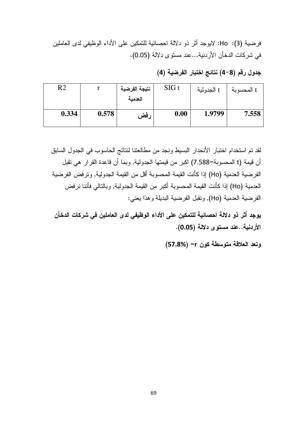فرضية (3): Ho: لايوجد أثر ذو دلالة احصائية للتمكين على الأداء الوظيفي لدى العاملين في شركات الدخأن الأردنية...عند مستوى دلالة (0.05).

جدول رقم (8–4) نتائج اختبار الفرضية (4)

| R2    |       | نتيجة الفرضية<br>العدمية | SIGt | t الجدولية | t المحسوبة |
|-------|-------|--------------------------|------|------------|------------|
| 0.334 | 0.578 | رفض                      | 0.00 | 1.9799     | 7.558      |

لقد تم استخدام اختبار الأنحدار البسيط ونجد من مطالعتنا لنتائج الحاسوب في الجدول السابق أن قيمة (t المحسوبة=7.588) اكبر من قيمتها الجدولية, وبما أن قاعدة القرار هي تقبل الفرضية العدمية (Ho) إذا كأنت القيمة المحسوبة أقل من القيمة الجدولية, وترفض الفرضية العدمية (Ho) إذا كأنت القيمة المحسوبة أكبر من القيمة الجدولية, وبالنالي فأننا نرفض الفرضية العدمية (Ho), ونقبل الفرضية البديلة وهذا يعني:

يوجد أثر ذو دلالة احصائية للتمكين على الأداء الوظيفي لدى العاملين في شركات الدخأن الأردنية..عند مستوى دلالة (0.05).

وتعد العلاقة متوسطة كون r = (57.8%)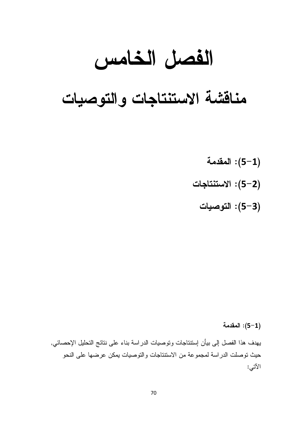## الفصل الخامس

## مناقشة الاستنتاجات والتوصيات

(1–5): المقدمة (2–5): الاستنتاجات (3–5): التوصيات

(1–5): المقدمة

يهدف هذا الفصل إلىي بيأن إستنتاجات ونوصيات الدراسة بناء على نتائج التحليل الإحصائي, حيث توصلت الدراسة لمجموعة من الاستتناجات والتوصيات يمكن عرضها على النحو الآتي: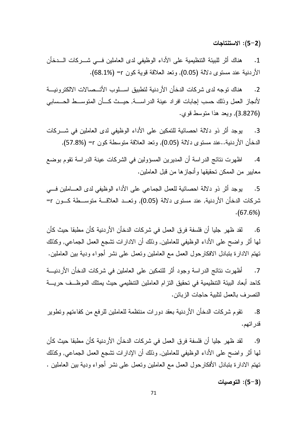(2–5): الاستنتاجات

هناك أثر للبيئة التنظيمية على الأداء الوظيفي لدى العاملين فـــي شـــر كات الـــدخأن  $\cdot$ 1 الأردنية عند مستوى دلالة (0.05), وتعد العلاقة قوية كون r= (68.1%).

هناك نوجه لدى شركات الدخأن الأردنية لتطبيق اســـلوب الأتـــصـالات الالكتر ونيــــة  $\cdot$ .2 لأنجاز العمل وذلك حسب إجابات افراد عينة الدراســـة, حيــث كـــأن المتوســط الحـــسابـي (3.8276), ويعد هذا متوسط قوي.

بوجد أثر ذو دلالة احصائية للتمكين على الأداء الوظيفي لدى العاملين في شــــركات  $\cdot$ 3 الدخأن الأردنية..عند مسنوى دلالة (0.05), ونعد العلاقة منوسطة كون r= (57.8%),

اظهرت نتائج الدراسة أن المديرين المسؤولين في الشركات عينة الدراسة تقوم بوضع  $\cdot$ .4 معايير من الممكن تحقيقها وأنجازها من قبل العاملين.

بوجد أثر ذو دلالة احصائية للعمل الجماعي على الأداء الوظيفي لدى العـــاملين فـــي  $.5$ شركات الدخأن الأردنية, عند مستوى دلالة (0.05), وتعــد العلاقـــة متوســـطة كـــون r=  $(67.6%)$ 

لقد ظهر جلبا أن فلسفة فر ق العمل في شر كات الدخأن الأر دنبة كأن مطبقا حبث كأن  $.6$ لمها أثر واضح على الأداء الوظيفي للعاملين, وذلك أن الادارات تشجع العمل الجماعي, وكذلك تهتم الادارة بنبادل الافكارحول العمل مع العاملين وتعمل على نشر أجواء ودية بين العاملين.

أظهرت نتائج الدراسة وجود أثر للتمكين على العاملين في شركات الدخأن الأردنيـــة  $\cdot$ .7 كاحد أبعاد البيئة التنظيمية في تحقيق التزام العاملين التنظيمي حيث يمتلك الموظــف حريــــة التصرف بالعمل لتلبية حاجات الزبائن.

نقوم شركات الدخأن الأردنية بعقد دورات منتظمة للعاملين للرفع من كفاءتهم وتطوير  $.8$ قدر اتهم.

لقد ظهر جليا أن فلسفة فر ق العمل في شر كات الدخأن الأر دنية كأن مطبقا حيث كأن .9 لمها أثر واضح على الأداء الوظيفي للعاملين, وذلك أن الإدارات نشجع العمل الجماعي, وكذلك نهتم الادارة بنبادل الأفكارحول العمل مع العاملين ونعمل على نشر أجواء ودية بين العاملين .

(3–5): التوصيات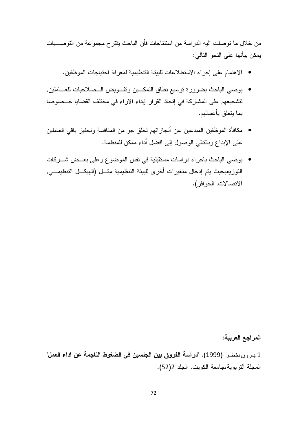من خلال ما توصلت اليه الدراسة من استنتاجات فأن الباحث يقتر ح مجموعة من التوصــــيات يمكن بيأنها على النحو التالي:

- الاهتمام على إجراء الاستطلاعات للبيئة التنظيمية لمعرفة احتياجات الموظفين.
- يوصى الباحث بضرورة توسيع نطاق التمكــين وتفــويض الــصلاحيات للعـــاملين, لتشجيعهم على المشاركة في إتخاذ القرار إبداء الاراء في مختلف القضايا خــصوصا بما بتعلق بأعمالهم.
- مكافأة الموظفين المبدعين عن أنجاز اتهم لخلق جو من المنافسة وتحفيز باقى العاملين على الإبداع وبالتالي الوصول إلى افضل أداء ممكن للمنظمة.
- يوصبي الباحث باجراء دراسات مستقبلية في نفس الموضوع وعلى بعــض شـــركات التوزيعبحيث يتم إدخال متغيرات أخرى للبيئة التنظيمية مثـــل (الهيكـــل التنظيمــــي, الاتصالات, الحو افز ).

#### المراجع العربية:

1.بارون،خضر (1999). "دراسة الفروق بين الجنسين في الضغوط الناجمة عن اداء العمل" المجلة التربوية،جامعة الكويت. الجلد 2(52).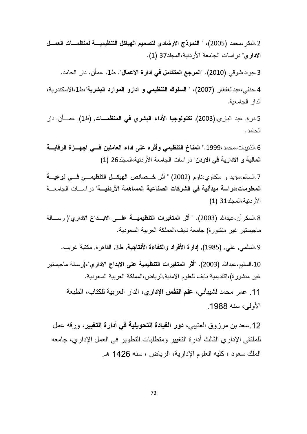2.البكر ،محمد (2005)، " النموذج الارشادي لتصميم الهيائل التنظيميــــة لمنظمــــات العمـــل الإدار ي" در اسات الجامعة الأر دنية،المجلد37 (1).

3.جو اد،شوقي (2010). "ا**لمرجع المتكامل في ادارة الاعمال**". ط1. عمأن. دار الحامد.

4.حنفي،عبدالغفغار (2007)، " السلوك التنظيمي و ادارو الموارد البشرية"،ط1،الاسكندرية، الدار الجامعية.

5.در ة, عبد الباري,(2003), **تكنولوجيا الأداء البشري في المنظمـــات**, (ط1), عمـــأن, دار الحامد.

6.الذنيبات،محمد،1999." المناخ التنظيمي وأثره على اداء العاملين فسي اجهـــزة الرقابـــة المالية و الادارية في الاردن" در اسات الجامعة الأردنية،المجلد26 (1)

7.السالم،مؤيد و ملكاوى،ناوم (2002) " أثر خـــصائص الـهيكـــل التنظيمــــي فــــي نوعيـــة المعلومات،دراسة ميدأنية في الشركات الصناعية المساهمة الأردنيـــة" دراســـات الجامعـــة الأر دنية،المجلد31 (1)

8.السكر أن،عبدالله (2003). " أثر المتغيرات التنظيميــــة علــــى الابـــداع الاداري"( رســــالـة ماجيستير غير منشورة) جامعة نايف،المملكة العربية السعودية.

9.السلمي, علي, (1985), إ**دارة الأفراد والكفاءة الأنتاجية**, ط3, القاهرة, مكتبة غريب.

10 السليم،عبدالله (2003). "أ**ثر المتغيرات التنظيمية على الابداع الادار ي**"،(رسالة ماجيستير غير منشورة)،اكاديمية نايف للعلوم الامنية,الرياض،المملكة العربية السعودية.

11. عمر محمد لشيبأني، علم النفس الإداري، الدار العربية للكتاب، الطبعة الأولى، سنه 1988.

12 سعد بن مرزوق العتيبي، دور القيادة التحويلية في أدارة التغيير، ورقه عمل للملتقى الإداري الثالث أدارة التغيير ومنطلبات التطوير في العمل الإداري، جامعه الملك سعود ، كليه العلوم الإدارية، الرياض ، سنه 1426 هـ.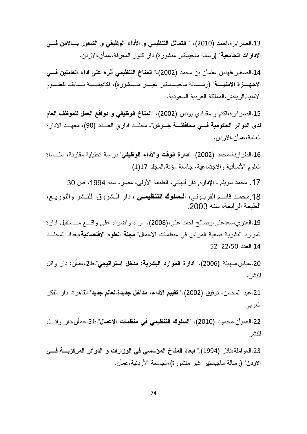13.الصر ايرة،احمد (2010)، " التماثل التنظيمي و الأداء الوظيفي و الشعور بسالامن فسي الادارات الجامعية" (رسالة ماجيستير منشورة) دار كنوز المعرفة،عمأن،الاردن.

14.الصغير ،فهدبن عثمأن بن محمد (2002)،" المناخ التنظيمي أثره على اداء العاملين فـــي الاجهـــزة الامنيــــة" (رســــالة ماجيــــستير غيــــر منـــشورة)، اكاديميــــة نــــايف للعلــــوم الامنية,الر باض، المملكة العربية السعودية.

15.الصر اير ة،اكتم و مقدادي يونس (2002)، "**المناخ الوظيفي و دوافع العمل للموظف العام** ل**دى الدوائر الحكومية فـــي محافظــــة جـــرش**"، مجلـــد ادار ي العــــدد (90)، معهـــد الادار ة العامة،عمأن،الاردن.

16.الطر اونة،محمد (2002). "ا**دارة الوقت والأداء الوظيفي**" در اسة تحليلية مقارنة، سلــساة العلوم الأنسأنية والاجتماعية، جامعة مؤنة المجلد 17(1).

17. محمد سويلم ، الإدارة, دار ألهأني، الطبعة الأولى، مصر ، سنه 1994، ص 30 18 محمد قاسم القريـوتي، الـمعلوك التنظيمـي ، دار الـشروق للنـشر والتوزيـع، الطبعة الر ابعة، سنه 2003.

19.العنزي،سعدعلي،وصالح احمد علي،(2008). "اراء واضواء على واقـــع مــستقبل ادارة الموارد البشرية صعبة المراس في منظمات الاعمال" **مجلة العلوم الاقتصادية**،بغداد المجلــد 14 العدد 22،50-52

20.عباس،سهيلة (2006)." ا**دارة الموارد البشرية: مدخل استراتيجي**".ط2،عمأن: دار وائل للنشر .

21.عبد المحسن، توفيق (2002)." **تقييم الأداء، مداخل جديدة،لعالم جديد**".القاهر ة. دار الفكر العربي

22.العميأن،محمود (2010). "**السلوك التنظيمي في منظمات الاعمال**".ط5.عمأن.دار وائسل للنشر

23.العواملة،نائل (1994)," ابعاد المناخ المؤسسى في الوزارات و الدوائر المركزيــــة فــــى الاردن" (رسالة ماجيستير غير منشورة)،الجامعة الأردنية،عمأن.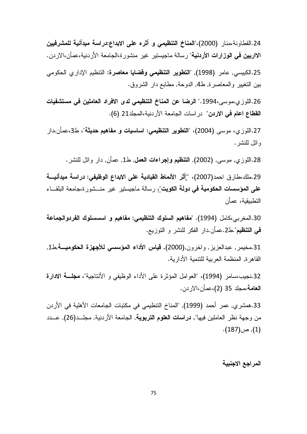24.القطاونة،منار (2000)،"المناخ التنظيمي و أثره على الإبداع:دراسة ميدأنية للمشرفيين **الااريين في الوزارات الأردنية**" رسالة ماجيستير غير منشورة،الجامعة الأردنية،عمأن،الاردن.

25.الكبيسي, عامر (1998), "**التطوير التنظيمي وقضايا معاصرة**: التنظيم الإداري الحكومي بين التغيير والمعاصرة, ط4, الدوحة, مطابع دار الشروق.

26.اللوزي،موسى،1994." الرضا عن المناخ التنظيمي لدى الافراد العاملين في مستشفيات ا**لقطاع اعام في الاردن**" در اسات الجامعة الأردنية،المجلد21 (6).

27.اللوزي، موسى (2004)، "ا**لنطوير التنظيمي: اساسيات و مفاهيم حديثة**"، ط3،عمأن،دار و ائل للنشر .

28.اللوزي, موسى, (2002), ا**لتنظيم وإجراءات الـعمل**, ط1, عمأن, دار وائل للنشر .

29 ملك،طار ق احمد(2007)، "ِ'أَثْرِ الأَنماط القيادية على الابداع الوظيفي: دراسة ميدأنيـــة **على المؤسسات الحكومية في دولة الكويت**<u>"،</u> رسالة ماجيستير غير منـــشورة،جامعة البلقـــاء التطبيقية، عمأن

30.المغربي،كامل (1994). "مفاهيم السلوك التنظيمي: مفاهيم و اسسسلوك الفردوالجماعة فمي التنظيم".ط2.عمأن.دار الفكر للنشر و النوزيع.

31.مخيمر , عبدالعزيز , واخرون,(2000), قياس الأداء المؤسسي للأجهزة الحكوميـــة,ط1, القاهر ة, المنظمة العربية للنتمية الأدارية.

32.نجيب،سامر (1994)، "العوامل المؤثِّرة على الأداء الوظيفي و الأنتاجية"، مجلسة الادارة ا**لعامة**،مجلد 35 (2)،عمأن،الاردن.

33.همشر ي, عمر أحمد (1999), "المناخ التنظيمي في مكتبات الجامعات الأهلية في الأردن من وجهة نظر العاملين فيها", **دراسات العلوم التربوية**, الجامعة الأردنية, مجلــد(26), عـــدد  $(187)_{0} \sim (1)$ .

المراجع الاجنبية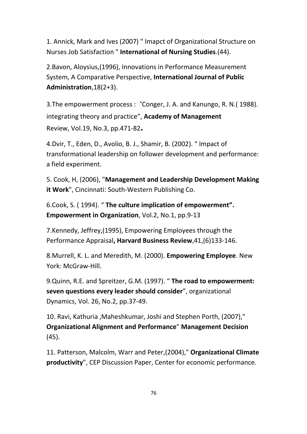1. Annick, Mark and Ives (2007) " Imapct of Organizational Structure on Nurses Job Satisfaction " International of Nursing Studies.(44).

2.Bavon, Aloysius,(1996), Innovations in Performance Measurement System, A Comparative Perspective, International Journal of Public Administration,18(2+3).

3.The empowerment process : "Conger, J. A. and Kanungo, R. N.( 1988). integrating theory and practice", Academy of Management Review, Vol.19, No.3, pp.471-82**.**

4.Dvir, T., Eden, D., Avolio, B. J., Shamir, B. (2002). " Impact of transformational leadership on follower development and performance: a field experiment.

5. Cook, H, (2006), "Management and Leadership Development Making it Work", Cincinnati: South-Western Publishing Co.

6.Cook, S. ( 1994). " The culture implication of empowerment". Empowerment in Organization, Vol.2, No.1, pp.9-13

7.Kennedy, Jeffrey,(1995), Empowering Employees through the Performance Appraisal, Harvard Business Review,41,(6)133-146.

8.Murrell, K. L. and Meredith, M. (2000). Empowering Employee. New York: McGraw-Hill.

9.Quinn, R.E. and Spreitzer, G.M. (1997). " The road to empowerment: seven questions every leader should consider", organizational Dynamics, Vol. 26, No.2, pp.37-49.

10. Ravi, Kathuria ,Maheshkumar, Joshi and Stephen Porth, (2007)," Organizational Alignment and Performance" Management Decision (45).

11. Patterson, Malcolm, Warr and Peter,(2004)," Organizational Climate productivity", CEP Discussion Paper, Center for economic performance.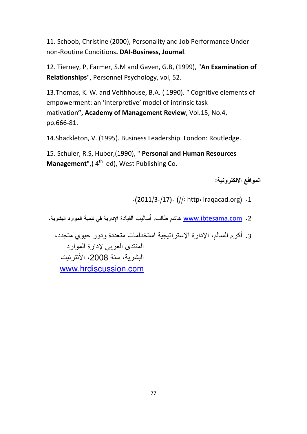11. Schoob, Christine (2000), Personality and Job Performance Under non-Routine Conditions. DAI-Business, Journal.

12. Tierney, P, Farmer, S.M and Gaven, G.B, (1999), "An Examination of Relationships", Personnel Psychology, vol, 52.

13. Thomas, K. W. and Velthhouse, B.A. (1990). " Cognitive elements of empowerment: an 'interpretive' model of intrinsic task mativation", Academy of Management Review, Vol.15, No.4, pp.666-81.

14. Shackleton, V. (1995). Business Leadership. London: Routledge.

15. Schuler, R.S, Huber, (1990), " Personal and Human Resources Management", (4<sup>th</sup> ed), West Publishing Co.

المواقع الالكترونية:

 $(2011/3./17)$ . (//: http: iraqacad.org) .1

<u>0. www.ibtesama.com هاشم طالب, أساليب القيادة الإدارية في تنمية الموارد البشرية.</u>

3. أكرم السالم، الإدارة الإستراتيجية استخدامات متعددة ودور حيوي متجدد، المنتدى العربي لادار ۃ المو ار د النشر بة، سنة 2008، الأنتر نيت www.hrdiscussion.com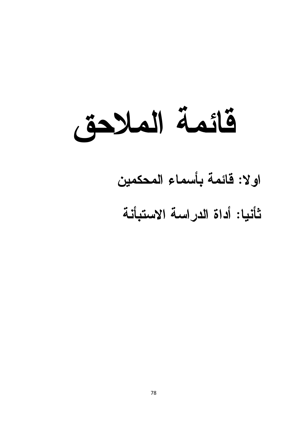قائمة الملاحق

اولا: ڤائمة بأسماء المحكمين ثأنيا: أداة الدراسة الاستبأنة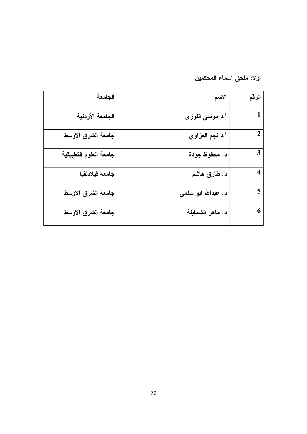### اولا: ملحق اسماء المحكمين

| الجامعة                | الاسم               | الرقم       |
|------------------------|---------------------|-------------|
| الجامعة الأردنية       | أ.د موسى اللوزي     | 1           |
| جامعة الشرق الاوسط     | أ.د نجم العزاوي     | $\mathbf 2$ |
| جامعة العلوم التطبيقية | د. محفوظ جودة       | 3           |
| جامعة فيلادلفيا        | د. طارق هاشم        | 4           |
| جامعة الشرق الاوسط     | د. عبدالله ابو سلمی | 5           |
| جامعة الشرق الاوسط     | د. ماهر الشمايلة    | 6           |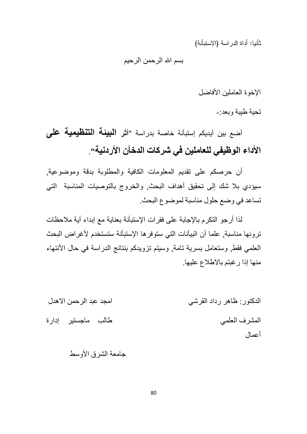ثأنيا: أداة الدر اسة (الاستبأنة)

#### بسم الله الرحمن الرحيم

الاخوة العاملين الأفاضل

تحبة طببة وبعد-

أضع بين أيديكم إستبأنة خاصة بدراسة "أثر ا**لبيئة التنظيمية عل**ى الأداء الوظيفي للعاملين في شركات الدخأن الأردنية''.

أن حرصكم على نقديم المعلومات الكافية والمطلوبة بدقة وموضوعية<sub>,</sub> سيؤدي بلا شك إلى تحقيق أهداف البحث, والخروج بالتوصيات المناسبة التي تساعد في وضع حلول مناسبة لموضوع البحث.

لذا أرجو التكرم بالإجابة على فقرات الإستبأنة بعناية مع إبداء أية ملاحظات ترونها مناسبة. علما أن البيأنات التي ستوفر ها الإستبأنة ستستخدم لأغراض البحث العلمي فقط وستعامل بسرية تامة وسيتم تزويدكم بنتائج الدراسة في حال الأنتهاء منها إذا رغبتم بالاطلاع علبها

| الدكتور: ظاهر رداد القرشي | امجد عبد الرحمن الاهدل |  |
|---------------------------|------------------------|--|
| المشرف العلمي             | طالب ماجستير إدارة     |  |
| أعمال                     |                        |  |

#### جامعة الشر ق الأو سط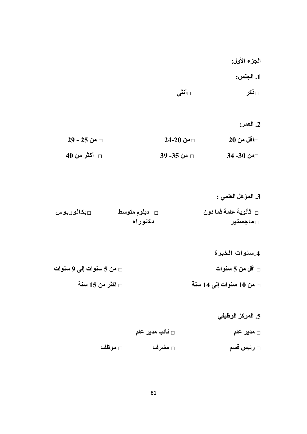الجزء الأول:

1. الجنس:

⊡ذکر ⊡أنثى

2. العمر:

| ِ □ من 25 - 29 | ِ □من 20-24 | $\sqrt{20}$ اقل من $_\square$ |
|----------------|-------------|-------------------------------|
| □ أكثر من 40   | □ من 35- 39 | □من 30- 34                    |

### 3. المؤهل العلمي :

| ِ <b>□بكالوريوس</b> | □ <b>دبلوم متوسط</b> | □   ثأنوية عامة فما دون |
|---------------------|----------------------|-------------------------|
|                     | ∟دکتوراه             | ∟ماجستير                |

- 4.سنوات الخبرة
- □ من 5 سنوات إلى 9 سنوات □ اقل من 5 سنوات اكثر من 15 سنة  $_\square$  $\Box$  من 10 سنوات إلى 14 سنة
	- 5. المركز الوظيفي
	- □ نـائب مدير عام **□ مدير عام** □ رئ**يس قسم** □ موظف **□ مشرف**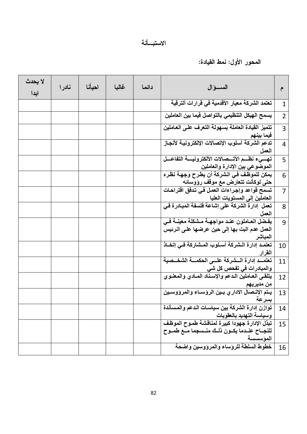## المحور الأول: نمط القيادة:

| لا يحدث | نادرا | احيأنا | غالبا | دائما | الســــوْال                                                                                        |                |
|---------|-------|--------|-------|-------|----------------------------------------------------------------------------------------------------|----------------|
| ایدا    |       |        |       |       |                                                                                                    |                |
|         |       |        |       |       | تعتمد الشركة معيار الأقدمية في قرارات ألترقية                                                      | $\mathbf{1}$   |
|         |       |        |       |       | يسمح الهيكل التنظيمي بالتواصل فيما بين العاملين                                                    | $\overline{2}$ |
|         |       |        |       |       | تتميز الفيادة العاملة بسهولة التعرف على العاملين<br>فيما بينهم                                     | $\overline{3}$ |
|         |       |        |       |       | تدعم الشركة أسلوب الإتصالات الإلكترونية لأنجاز<br>العمل                                            | $\overline{4}$ |
|         |       |        |       |       | تهسىء نظسم الأتسصالات الألكترونيسة التفاعسل<br>الموضوعي بين الإدارة والعاملين                      | 5              |
|         |       |        |       |       | يمكن للموظف في الشركة أن يطرح وجهة نظره<br>حتى لوكأنت تتعارض مع موقف رووسائه                       | 6              |
|         |       |        |       |       | تسمح قواعد وإجراءات العمل في تدفق اقتراحات<br>العاملين إلى المستويات العليا                        | $\overline{7}$ |
|         |       |        |       |       | تعمل إدارة الشركة على إشاعة فلسفة المبادرة في<br>العمل                                             | 8              |
|         |       |        |       |       | يفضل العـاملون عنـد مواجهـة مـشكلة معينــة فــى<br>العمل عدم البت بها إلى حين عرضها على الرئيس     | 9              |
|         |       |        |       |       | المباشر                                                                                            |                |
|         |       |        |       |       | تعتمـد إدارة الـشركة أسـلوب المـشاركة فـي إتخـاذ<br>القرار                                         | 10             |
|         |       |        |       |       | تعتمــد إدارة الـــشركة علـــى الحكمـــة الشخــصية<br>والمبادرات في تفحص كل شي                     | 11             |
|         |       |        |       |       | يتلقى العاملين الدعم والإسناد المادي والمعنوي<br>من مديريهم                                        | 12             |
|         |       |        |       |       | يتم الإتصال الادارى بين الرؤساء والمرووسين<br>بسرعة                                                | 13             |
|         |       |        |       |       | توازن إدارة الشركة بين سياسات الدعم والمساندة<br>وسياسة التهديد بالعقوبات                          | 14             |
|         |       |        |       |       | تبذل الإدارة جهودا كبيرة لمناقشة طموح الموظف<br>للنجــاح عنــدما يكــون ذلــك منــسجما مــع طمــوح | 15             |
|         |       |        |       |       | المؤسسسة                                                                                           |                |
|         |       |        |       |       | خطوط السلطة للروساء والمرووسين واضحة                                                               | 16             |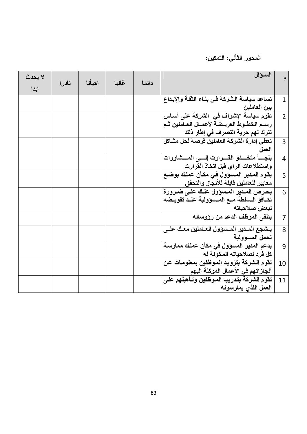## المحور الثأني: التمكين:

| لا يحدث<br>ابدا | نادرا | احيأنا | غالبا | دائما | السوال                                                                                                                   | $\hat{\tau}$   |
|-----------------|-------|--------|-------|-------|--------------------------------------------------------------------------------------------------------------------------|----------------|
|                 |       |        |       |       | تساعد سياسة الشركة فى بناء الثقة والإبداع<br>بين العاملين                                                                | $\mathbf{1}$   |
|                 |       |        |       |       | تقوم سياسة الإشراف في الشركة على أساس<br>رسم الخطـوط العريـضة لأعمــال العــاملين شم<br>تترك لهم حرية التصرف في إطار ذلك | $\overline{2}$ |
|                 |       |        |       |       | تعطى إدارة الشركة العاملين فرصة لحل مشاكل<br>العمل                                                                       | 3              |
|                 |       |        |       |       | يلجسأ متخسذو القسرارت إلسم المسشاورات<br>واستطلاعات الراى قبل اتخاذ القرارت                                              | $\overline{4}$ |
|                 |       |        |       |       | يقوم المدير المسؤول في مكأن عملك بوضع<br>معايير للعاملين قابلة للأنجاز والتحقق                                           | 5              |
|                 |       |        |       |       | يحرص المدير المسؤول علك على ضرورة<br>تكــافوَ الــسلطة مــع المــسوَولية عنــد تفويــضه<br>لبعض صلاحياته                 | 6              |
|                 |       |        |       |       | يتلقى الموظف الدعم من رووسائه                                                                                            | $\overline{7}$ |
|                 |       |        |       |       | يـشجع المـدير المـسوّول العـاملين معـك علــي<br>تحمل المسوولية                                                           | 8              |
|                 |       |        |       |       | يدعم المدير المسؤول في مكأن عملك ممارسة<br>كل فرد لصلاحياته المخولة له                                                   | 9              |
|                 |       |        |       |       | تقوم الشركة بتزويد الموظفين بمعلومات عن<br>أنجاز اتهم في الأعمال الموكلة إليهم                                           | 10             |
|                 |       |        |       |       | تقوم الشركة بتدريب الموظفين وتـأهيلهم على<br>العمل اللذى يمارسونه                                                        | 11             |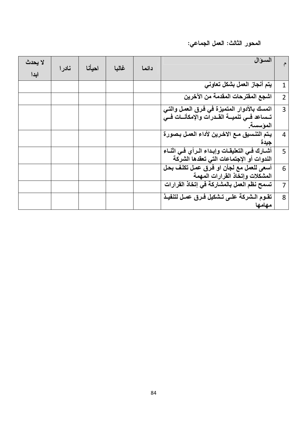## المحور الثالث: العمل الجماعي:

| لا يحدث<br>ایدا | نادرا | احيأنا | غالبا | دائما | السؤال                                                                                                       | م              |
|-----------------|-------|--------|-------|-------|--------------------------------------------------------------------------------------------------------------|----------------|
|                 |       |        |       |       | يتم أنجاز العمل بشكل تعاوني                                                                                  | $\mathbf{1}$   |
|                 |       |        |       |       | اشجع المقترحات المقدمة من الآخرين                                                                            | $\overline{2}$ |
|                 |       |        |       |       | اتمسك بالأدوار المتميزة في فرق العمل والتي<br>تــساعد فــى تنميـــة القــدرات والإمكأنـــات فــى<br>المؤسسة. | $\overline{3}$ |
|                 |       |        |       |       | يتم التنسيق مع الاخرين لأداء العمل بصورة<br>جيدة                                                             | $\overline{4}$ |
|                 |       |        |       |       | أشــارك فــى التعليقــات وإبــداء الــرأى فــى اثنــاء<br>الندوات أو الإجتماعات التي تعقدها الشركة           | 5              |
|                 |       |        |       |       | أسعى للعمل مع لجأن او فرق عمل تكلف بحل<br>المشكلات وإتخاذ القرارات المهمة                                    | 6              |
|                 |       |        |       |       | تسمح نظم العمل بالمشاركة ف <i>ي</i> إتخاذ القرارات                                                           | $\overline{7}$ |
|                 |       |        |       |       | تقـوم الـــثـــركــة علـــي تـــثــكيل فـــرق عمــل لتنـفيــذ<br>مهامها                                      | 8              |